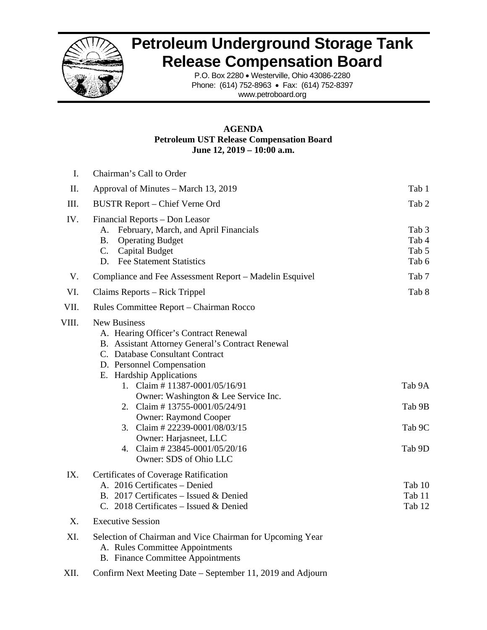

# **Petroleum Underground Storage Tank Release Compensation Board**

P.O. Box 2280 • Westerville, Ohio 43086-2280 Phone: (614) 752-8963 • Fax: (614) 752-8397 www.petroboard.org

#### **AGENDA Petroleum UST Release Compensation Board June 12, 2019 – 10:00 a.m.**

| I.    | Chairman's Call to Order                                                                                                                                                                                                                                                                                                                                                                                                                                                        |                                      |
|-------|---------------------------------------------------------------------------------------------------------------------------------------------------------------------------------------------------------------------------------------------------------------------------------------------------------------------------------------------------------------------------------------------------------------------------------------------------------------------------------|--------------------------------------|
| II.   | Approval of Minutes - March 13, 2019                                                                                                                                                                                                                                                                                                                                                                                                                                            | Tab 1                                |
| III.  | BUSTR Report – Chief Verne Ord                                                                                                                                                                                                                                                                                                                                                                                                                                                  | Tab 2                                |
| IV.   | Financial Reports – Don Leasor<br>February, March, and April Financials<br>A.<br><b>Operating Budget</b><br><b>B.</b><br><b>Capital Budget</b><br>$\mathbf{C}$ .<br><b>Fee Statement Statistics</b><br>D.                                                                                                                                                                                                                                                                       | Tab 3<br>Tab 4<br>Tab 5<br>Tab 6     |
| V.    | Compliance and Fee Assessment Report - Madelin Esquivel                                                                                                                                                                                                                                                                                                                                                                                                                         | Tab 7                                |
| VI.   | Claims Reports – Rick Trippel                                                                                                                                                                                                                                                                                                                                                                                                                                                   | Tab 8                                |
| VII.  | Rules Committee Report - Chairman Rocco                                                                                                                                                                                                                                                                                                                                                                                                                                         |                                      |
| VIII. | <b>New Business</b><br>A. Hearing Officer's Contract Renewal<br>B. Assistant Attorney General's Contract Renewal<br>C. Database Consultant Contract<br>D. Personnel Compensation<br>E. Hardship Applications<br>1. Claim # 11387-0001/05/16/91<br>Owner: Washington & Lee Service Inc.<br>2. Claim #13755-0001/05/24/91<br><b>Owner: Raymond Cooper</b><br>3. Claim # 22239-0001/08/03/15<br>Owner: Harjasneet, LLC<br>4. Claim # 23845-0001/05/20/16<br>Owner: SDS of Ohio LLC | Tab 9A<br>Tab 9B<br>Tab 9C<br>Tab 9D |
| IX.   | Certificates of Coverage Ratification<br>A. 2016 Certificates - Denied<br>B. 2017 Certificates – Issued & Denied<br>C. 2018 Certificates – Issued & Denied                                                                                                                                                                                                                                                                                                                      | Tab 10<br>Tab 11<br>Tab 12           |
| X.    | <b>Executive Session</b>                                                                                                                                                                                                                                                                                                                                                                                                                                                        |                                      |
| XI.   | Selection of Chairman and Vice Chairman for Upcoming Year<br>A. Rules Committee Appointments<br><b>B.</b> Finance Committee Appointments                                                                                                                                                                                                                                                                                                                                        |                                      |

XII. Confirm Next Meeting Date – September 11, 2019 and Adjourn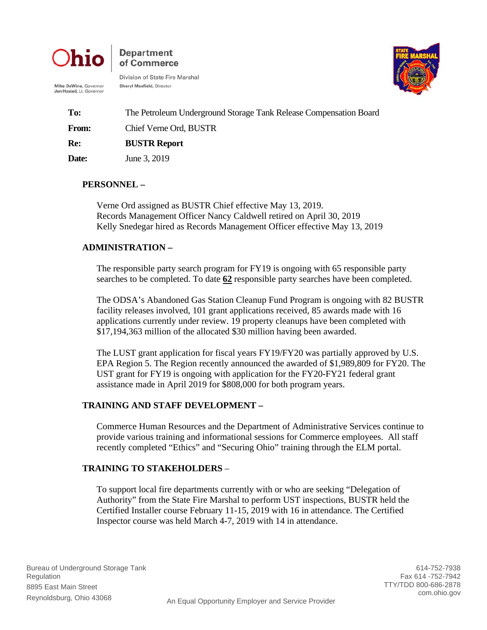

**Department** of Commerce

Mike DeWine, Governor Jon Husted, Lt. Governor

Division of State Fire Marshal Sheryl Maxfield, Director



**To:** The Petroleum Underground Storage Tank Release Compensation Board **From:** Chief Verne Ord, BUSTR **Re: BUSTR Report Date:** June 3, 2019

#### **PERSONNEL –**

Verne Ord assigned as BUSTR Chief effective May 13, 2019. Records Management Officer Nancy Caldwell retired on April 30, 2019 Kelly Snedegar hired as Records Management Officer effective May 13, 2019

#### **ADMINISTRATION –**

The responsible party search program for FY19 is ongoing with 65 responsible party searches to be completed. To date **62** responsible party searches have been completed.

The ODSA's Abandoned Gas Station Cleanup Fund Program is ongoing with 82 BUSTR facility releases involved, 101 grant applications received, 85 awards made with 16 applications currently under review. 19 property cleanups have been completed with \$17,194,363 million of the allocated \$30 million having been awarded.

The LUST grant application for fiscal years FY19/FY20 was partially approved by U.S. EPA Region 5. The Region recently announced the awarded of \$1,989,809 for FY20. The UST grant for FY19 is ongoing with application for the FY20-FY21 federal grant assistance made in April 2019 for \$808,000 for both program years.

#### **TRAINING AND STAFF DEVELOPMENT –**

Commerce Human Resources and the Department of Administrative Services continue to provide various training and informational sessions for Commerce employees. All staff recently completed "Ethics" and "Securing Ohio" training through the ELM portal.

#### **TRAINING TO STAKEHOLDERS** –

To support local fire departments currently with or who are seeking "Delegation of Authority" from the State Fire Marshal to perform UST inspections, BUSTR held the Certified Installer course February 11-15, 2019 with 16 in attendance. The Certified Inspector course was held March 4-7, 2019 with 14 in attendance.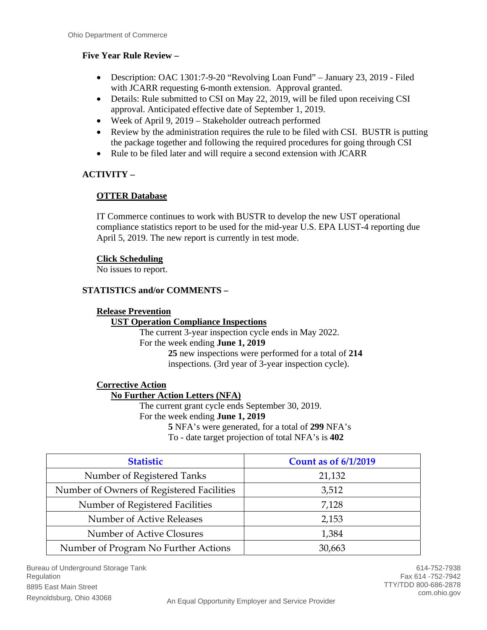#### **Five Year Rule Review –**

- Description: OAC 1301:7-9-20 "Revolving Loan Fund" January 23, 2019 Filed with JCARR requesting 6-month extension. Approval granted.
- Details: Rule submitted to CSI on May 22, 2019, will be filed upon receiving CSI approval. Anticipated effective date of September 1, 2019.
- Week of April 9, 2019 Stakeholder outreach performed
- Review by the administration requires the rule to be filed with CSI. BUSTR is putting the package together and following the required procedures for going through CSI
- Rule to be filed later and will require a second extension with JCARR

### **ACTIVITY –**

#### **OTTER Database**

IT Commerce continues to work with BUSTR to develop the new UST operational compliance statistics report to be used for the mid-year U.S. EPA LUST-4 reporting due April 5, 2019. The new report is currently in test mode.

#### **Click Scheduling**

No issues to report.

#### **STATISTICS and/or COMMENTS –**

#### **Release Prevention**

#### **UST Operation Compliance Inspections**

The current 3-year inspection cycle ends in May 2022. For the week ending **June 1, 2019 25** new inspections were performed for a total of **214** inspections. (3rd year of 3-year inspection cycle).

#### **Corrective Action**

#### **No Further Action Letters (NFA)**

The current grant cycle ends September 30, 2019. For the week ending **June 1, 2019** 

**5** NFA's were generated, for a total of **299** NFA's To - date target projection of total NFA's is **402** 

| <b>Statistic</b>                          | <b>Count as of 6/1/2019</b> |
|-------------------------------------------|-----------------------------|
| Number of Registered Tanks                | 21,132                      |
| Number of Owners of Registered Facilities | 3,512                       |
| Number of Registered Facilities           | 7,128                       |
| Number of Active Releases                 | 2,153                       |
| Number of Active Closures                 | 1,384                       |
| Number of Program No Further Actions      | 30,663                      |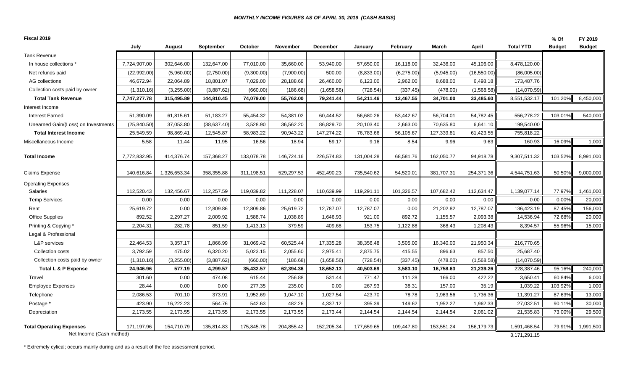| Fiscal 2019                         |              |              |              |            |                 |                 |            |            |            |              |                  | % Of          | FY 2019       |
|-------------------------------------|--------------|--------------|--------------|------------|-----------------|-----------------|------------|------------|------------|--------------|------------------|---------------|---------------|
|                                     | July         | August       | September    | October    | <b>November</b> | <b>December</b> | January    | February   | March      | April        | <b>Total YTD</b> | <b>Budget</b> | <b>Budget</b> |
| <b>Tank Revenue</b>                 |              |              |              |            |                 |                 |            |            |            |              |                  |               |               |
| In house collections *              | 7,724,907.00 | 302,646.00   | 132,647.00   | 77,010.00  | 35,660.00       | 53,940.00       | 57,650.00  | 16,118.00  | 32,436.00  | 45,106.00    | 8,478,120.00     |               |               |
| Net refunds paid                    | (22,992.00)  | (5,960.00)   | (2,750.00)   | (9,300.00) | (7,900.00)      | 500.00          | (8,833.00) | (6,275.00) | (5,945.00) | (16, 550.00) | (86,005.00)      |               |               |
| AG collections                      | 46,672.94    | 22,064.89    | 18,801.07    | 7,029.00   | 28,188.68       | 26,460.00       | 6,123.00   | 2,962.00   | 8,688.00   | 6,498.18     | 173,487.76       |               |               |
| Collection costs paid by owner      | (1,310.16)   | (3,255.00)   | (3,887.62)   | (660.00)   | (186.68)        | (1,658.56)      | (728.54)   | (337.45)   | (478.00)   | (1,568.58)   | (14,070.59)      |               |               |
| <b>Total Tank Revenue</b>           | 7,747,277.78 | 315,495.89   | 144,810.45   | 74,079.00  | 55,762.00       | 79,241.44       | 54,211.46  | 12,467.55  | 34,701.00  | 33,485.60    | 8,551,532.17     | 101.20%       | 8,450,000     |
| Interest Income                     |              |              |              |            |                 |                 |            |            |            |              |                  |               |               |
| <b>Interest Earned</b>              | 51,390.09    | 61,815.61    | 51,183.27    | 55,454.32  | 54,381.02       | 60,444.52       | 56,680.26  | 53,442.67  | 56,704.01  | 54,782.45    | 556,278.22       | 103.01%       | 540,000       |
| Unearned Gain/(Loss) on Investments | (25, 840.50) | 37,053.80    | (38, 637.40) | 3,528.90   | 36,562.20       | 86,829.70       | 20,103.40  | 2,663.00   | 70,635.80  | 6,641.10     | 199,540.00       |               |               |
| <b>Total Interest Income</b>        | 25,549.59    | 98,869.41    | 12,545.87    | 58,983.22  | 90,943.22       | 147,274.22      | 76,783.66  | 56,105.67  | 127,339.81 | 61,423.55    | 755,818.22       |               |               |
| Miscellaneous Income                | 5.58         | 11.44        | 11.95        | 16.56      | 18.94           | 59.17           | 9.16       | 8.54       | 9.96       | 9.63         | 160.93           | 16.09%        | 1,000         |
| <b>Total Income</b>                 | 7,772,832.95 | 414,376.74   | 157,368.27   | 133,078.78 | 146,724.16      | 226,574.83      | 131,004.28 | 68,581.76  | 162,050.77 | 94,918.78    | 9,307,511.32     | 103.52%       | 8,991,000     |
|                                     |              |              |              |            |                 |                 |            |            |            |              |                  |               |               |
| Claims Expense                      | 140,616.84   | 1,326,653.34 | 358,355.88   | 311,198.51 | 529,297.53      | 452,490.23      | 735,540.62 | 54,520.01  | 381,707.31 | 254,371.36   | 4,544,751.63     | 50.50%        | 9,000,000     |
| <b>Operating Expenses</b>           |              |              |              |            |                 |                 |            |            |            |              |                  |               |               |
| Salaries                            | 112,520.43   | 132,456.67   | 112,257.59   | 119,039.82 | 111,228.07      | 110,639.99      | 119,291.11 | 101,326.57 | 107,682.42 | 112,634.47   | 1,139,077.14     | 77.97%        | 1,461,000     |
| <b>Temp Services</b>                | 0.00         | 0.00         | 0.00         | 0.00       | 0.00            | 0.00            | 0.00       | 0.00       | 0.00       | 0.00         | 0.00             | 0.00%         | 20,000        |
| Rent                                | 25,619.72    | 0.00         | 12,809.86    | 12,809.86  | 25,619.72       | 12,787.07       | 12,787.07  | 0.00       | 21,202.82  | 12,787.07    | 136,423.19       | 87.45%        | 156,000       |
| <b>Office Supplies</b>              | 892.52       | 2,297.27     | 2,009.92     | 1,588.74   | 1,038.89        | 1,646.93        | 921.00     | 892.72     | 1,155.57   | 2,093.38     | 14,536.94        | 72.68%        | 20,000        |
| Printing & Copying *                | 2,204.31     | 282.78       | 851.59       | 1,413.13   | 379.59          | 409.68          | 153.75     | 1,122.88   | 368.43     | 1,208.43     | 8,394.57         | 55.96%        | 15,000        |
| Legal & Professional                |              |              |              |            |                 |                 |            |            |            |              |                  |               |               |
| L&P services                        | 22,464.53    | 3,357.17     | 1,866.99     | 31,069.42  | 60,525.44       | 17,335.28       | 38,356.48  | 3,505.00   | 16,340.00  | 21,950.34    | 216,770.65       |               |               |
| Collection costs                    | 3,792.59     | 475.02       | 6,320.20     | 5,023.15   | 2,055.60        | 2,975.41        | 2,875.75   | 415.55     | 896.63     | 857.50       | 25,687.40        |               |               |
| Collection costs paid by owner      | (1,310.16)   | (3,255.00)   | (3,887.62)   | (660.00)   | (186.68)        | (1,658.56)      | (728.54)   | (337.45)   | (478.00)   | (1,568.58)   | (14,070.59)      |               |               |
| <b>Total L &amp; P Expense</b>      | 24,946.96    | 577.19       | 4,299.57     | 35,432.57  | 62,394.36       | 18,652.13       | 40,503.69  | 3,583.10   | 16,758.63  | 21,239.26    | 228,387.46       | 95.16%        | 240,000       |
| Travel                              | 301.60       | 0.00         | 474.08       | 615.44     | 256.88          | 531.44          | 771.47     | 111.28     | 166.00     | 422.22       | 3,650.41         | 60.84%        | 6,000         |
| <b>Employee Expenses</b>            | 28.44        | 0.00         | 0.00         | 277.35     | 235.00          | 0.00            | 267.93     | 38.31      | 157.00     | 35.19        | 1,039.22         | 103.92%       | 1,000         |
| Telephone                           | 2,086.53     | 701.10       | 373.91       | 1,952.69   | 1,047.10        | 1,027.54        | 423.70     | 78.78      | 1,963.56   | 1,736.36     | 11,391.27        | 87.63%        | 13,000        |
| Postage *                           | 423.90       | 16,222.23    | 564.76       | 542.63     | 482.26          | 4,337.12        | 395.39     | 149.62     | 1,952.27   | 1,962.33     | 27,032.51        | 90.11%        | 30,000        |
| Depreciation                        | 2,173.55     | 2,173.55     | 2,173.55     | 2,173.55   | 2,173.55        | 2,173.44        | 2,144.54   | 2,144.54   | 2,144.54   | 2,061.02     | 21,535.83        | 73.00%        | 29,500        |
| <b>Total Operating Expenses</b>     | 171,197.96   | 154,710.79   | 135,814.83   | 175,845.78 | 204,855.42      | 152,205.34      | 177,659.65 | 109,447.80 | 153,551.24 | 156,179.73   | 1,591,468.54     | 79.91%        | 1,991,500     |
| Net Income (Cash method)            |              |              |              |            |                 |                 |            |            |            |              | 3,171,291.15     |               |               |

\* Extremely cylical; occurs mainly during and as a result of the fee assessment period.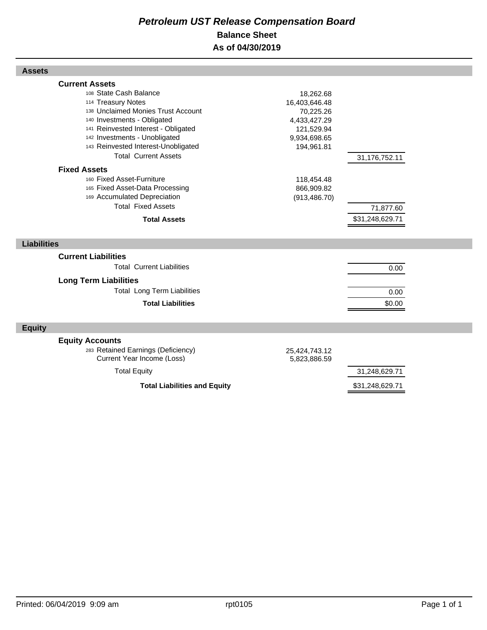### *Petroleum UST Release Compensation Board*  **Balance Sheet As of 04/30/2019**

| <b>Assets</b>                                                                                                                                                                                                                                                                            |                                                                                                     |                              |
|------------------------------------------------------------------------------------------------------------------------------------------------------------------------------------------------------------------------------------------------------------------------------------------|-----------------------------------------------------------------------------------------------------|------------------------------|
| <b>Current Assets</b><br>108 State Cash Balance<br>114 Treasury Notes<br>138 Unclaimed Monies Trust Account<br>140 Investments - Obligated<br>141 Reinvested Interest - Obligated<br>142 Investments - Unobligated<br>143 Reinvested Interest-Unobligated<br><b>Total Current Assets</b> | 18,262.68<br>16,403,646.48<br>70,225.26<br>4,433,427.29<br>121,529.94<br>9,934,698.65<br>194,961.81 | 31,176,752.11                |
| <b>Fixed Assets</b><br>160 Fixed Asset-Furniture<br>165 Fixed Asset-Data Processing<br>169 Accumulated Depreciation<br><b>Total Fixed Assets</b><br><b>Total Assets</b>                                                                                                                  | 118,454.48<br>866,909.82<br>(913, 486.70)                                                           | 71,877.60<br>\$31,248,629.71 |
| <b>Liabilities</b>                                                                                                                                                                                                                                                                       |                                                                                                     |                              |
| <b>Current Liabilities</b><br><b>Total Current Liabilities</b><br><b>Long Term Liabilities</b><br><b>Total Long Term Liabilities</b><br><b>Total Liabilities</b>                                                                                                                         |                                                                                                     | 0.00<br>0.00<br>\$0.00       |
| <b>Equity</b>                                                                                                                                                                                                                                                                            |                                                                                                     |                              |
| <b>Equity Accounts</b><br>283 Retained Earnings (Deficiency)<br>Current Year Income (Loss)<br><b>Total Equity</b>                                                                                                                                                                        | 25,424,743.12<br>5,823,886.59                                                                       | 31,248,629.71                |
| <b>Total Liabilities and Equity</b>                                                                                                                                                                                                                                                      |                                                                                                     | \$31,248,629.71              |

Г

Г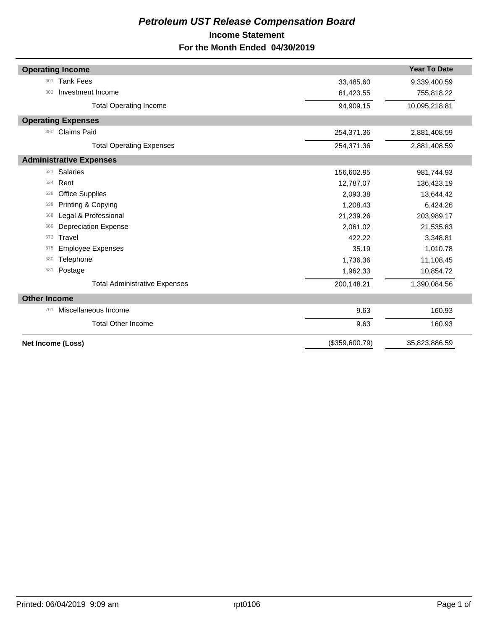### *Petroleum UST Release Compensation Board*  **Income Statement For the Month Ended 04/30/2019**

| <b>Operating Income</b>        |                                      |                | <b>Year To Date</b> |
|--------------------------------|--------------------------------------|----------------|---------------------|
| <b>Tank Fees</b><br>301        |                                      | 33,485.60      |                     |
| Investment Income<br>303       |                                      |                | 9,339,400.59        |
|                                |                                      | 61,423.55      | 755,818.22          |
|                                | <b>Total Operating Income</b>        | 94,909.15      | 10,095,218.81       |
| <b>Operating Expenses</b>      |                                      |                |                     |
| <b>Claims Paid</b><br>350      |                                      | 254,371.36     | 2,881,408.59        |
|                                | <b>Total Operating Expenses</b>      | 254,371.36     | 2,881,408.59        |
| <b>Administrative Expenses</b> |                                      |                |                     |
| Salaries<br>621                |                                      | 156,602.95     | 981,744.93          |
| Rent<br>634                    |                                      | 12,787.07      | 136,423.19          |
| <b>Office Supplies</b><br>638  |                                      | 2,093.38       | 13,644.42           |
| Printing & Copying<br>639      |                                      | 1,208.43       | 6,424.26            |
| 668                            | Legal & Professional                 | 21,239.26      | 203,989.17          |
| 669                            | <b>Depreciation Expense</b>          | 2,061.02       | 21,535.83           |
| Travel<br>672                  |                                      | 422.22         | 3,348.81            |
| 675                            | <b>Employee Expenses</b>             | 35.19          | 1,010.78            |
| Telephone<br>680               |                                      | 1,736.36       | 11,108.45           |
| Postage<br>681                 |                                      | 1,962.33       | 10,854.72           |
|                                | <b>Total Administrative Expenses</b> | 200,148.21     | 1,390,084.56        |
| <b>Other Income</b>            |                                      |                |                     |
| 701                            | Miscellaneous Income                 | 9.63           | 160.93              |
|                                | <b>Total Other Income</b>            | 9.63           | 160.93              |
| Net Income (Loss)              |                                      | (\$359,600.79) | \$5,823,886.59      |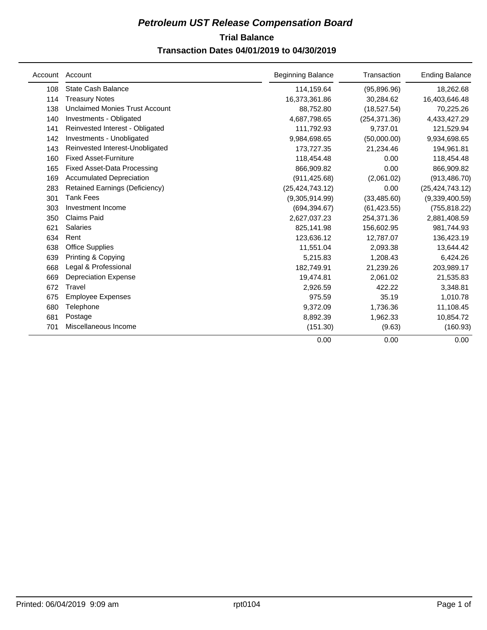## **Trial Balance** *Petroleum UST Release Compensation Board*

#### **Transaction Dates 04/01/2019 to 04/30/2019**

| Account | Account                               | <b>Beginning Balance</b> | Transaction   | <b>Ending Balance</b> |
|---------|---------------------------------------|--------------------------|---------------|-----------------------|
| 108     | State Cash Balance                    | 114,159.64               | (95,896.96)   | 18,262.68             |
| 114     | <b>Treasury Notes</b>                 | 16,373,361.86            | 30,284.62     | 16,403,646.48         |
| 138     | <b>Unclaimed Monies Trust Account</b> | 88,752.80                | (18, 527.54)  | 70,225.26             |
| 140     | Investments - Obligated               | 4,687,798.65             | (254, 371.36) | 4,433,427.29          |
| 141     | Reinvested Interest - Obligated       | 111,792.93               | 9.737.01      | 121,529.94            |
| 142     | Investments - Unobligated             | 9,984,698.65             | (50,000.00)   | 9,934,698.65          |
| 143     | Reinvested Interest-Unobligated       | 173,727.35               | 21,234.46     | 194,961.81            |
| 160     | <b>Fixed Asset-Furniture</b>          | 118,454.48               | 0.00          | 118,454.48            |
| 165     | <b>Fixed Asset-Data Processing</b>    | 866,909.82               | 0.00          | 866,909.82            |
| 169     | <b>Accumulated Depreciation</b>       | (911, 425.68)            | (2,061.02)    | (913, 486.70)         |
| 283     | Retained Earnings (Deficiency)        | (25, 424, 743.12)        | 0.00          | (25, 424, 743.12)     |
| 301     | <b>Tank Fees</b>                      | (9,305,914.99)           | (33, 485.60)  | (9,339,400.59)        |
| 303     | Investment Income                     | (694, 394.67)            | (61, 423.55)  | (755, 818.22)         |
| 350     | Claims Paid                           | 2,627,037.23             | 254,371.36    | 2,881,408.59          |
| 621     | <b>Salaries</b>                       | 825,141.98               | 156,602.95    | 981,744.93            |
| 634     | Rent                                  | 123,636.12               | 12,787.07     | 136,423.19            |
| 638     | <b>Office Supplies</b>                | 11,551.04                | 2,093.38      | 13,644.42             |
| 639     | Printing & Copying                    | 5,215.83                 | 1,208.43      | 6,424.26              |
| 668     | Legal & Professional                  | 182,749.91               | 21,239.26     | 203,989.17            |
| 669     | <b>Depreciation Expense</b>           | 19,474.81                | 2,061.02      | 21,535.83             |
| 672     | Travel                                | 2,926.59                 | 422.22        | 3,348.81              |
| 675     | <b>Employee Expenses</b>              | 975.59                   | 35.19         | 1,010.78              |
| 680     | Telephone                             | 9,372.09                 | 1,736.36      | 11,108.45             |
| 681     | Postage                               | 8,892.39                 | 1,962.33      | 10,854.72             |
| 701     | Miscellaneous Income                  | (151.30)                 | (9.63)        | (160.93)              |
|         |                                       | 0.00                     | 0.00          | 0.00                  |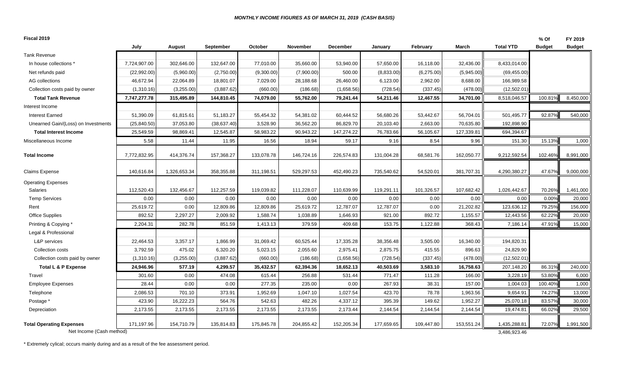#### *MONTHLY INCOME FIGURES AS OF MARCH 31, 2019 (CASH BASIS)*

| Fiscal 2019                         |              |              |              |            |            |                 |            |            |            |                  | % Of          | FY 2019       |
|-------------------------------------|--------------|--------------|--------------|------------|------------|-----------------|------------|------------|------------|------------------|---------------|---------------|
|                                     | July         | August       | September    | October    | November   | <b>December</b> | January    | February   | March      | <b>Total YTD</b> | <b>Budget</b> | <b>Budget</b> |
| <b>Tank Revenue</b>                 |              |              |              |            |            |                 |            |            |            |                  |               |               |
| In house collections *              | 7,724,907.00 | 302,646.00   | 132,647.00   | 77,010.00  | 35,660.00  | 53,940.00       | 57,650.00  | 16,118.00  | 32,436.00  | 8,433,014.00     |               |               |
| Net refunds paid                    | (22, 992.00) | (5,960.00)   | (2,750.00)   | (9,300.00) | (7,900.00) | 500.00          | (8,833.00) | (6,275.00) | (5,945.00) | (69, 455.00)     |               |               |
| AG collections                      | 46,672.94    | 22,064.89    | 18,801.07    | 7,029.00   | 28,188.68  | 26,460.00       | 6,123.00   | 2,962.00   | 8,688.00   | 166,989.58       |               |               |
| Collection costs paid by owner      | (1,310.16)   | (3,255.00)   | (3,887.62)   | (660.00)   | (186.68)   | (1,658.56)      | (728.54)   | (337.45)   | (478.00)   | (12,502.01)      |               |               |
| <b>Total Tank Revenue</b>           | 7,747,277.78 | 315,495.89   | 144,810.45   | 74,079.00  | 55,762.00  | 79,241.44       | 54,211.46  | 12,467.55  | 34,701.00  | 8,518,046.57     | 100.81%       | 8,450,000     |
| Interest Income                     |              |              |              |            |            |                 |            |            |            |                  |               |               |
| Interest Earned                     | 51,390.09    | 61,815.61    | 51,183.27    | 55,454.32  | 54,381.02  | 60,444.52       | 56,680.26  | 53,442.67  | 56,704.01  | 501,495.77       | 92.87%        | 540,000       |
| Unearned Gain/(Loss) on Investments | (25, 840.50) | 37,053.80    | (38, 637.40) | 3,528.90   | 36,562.20  | 86,829.70       | 20,103.40  | 2,663.00   | 70,635.80  | 192,898.90       |               |               |
| <b>Total Interest Income</b>        | 25,549.59    | 98,869.41    | 12,545.87    | 58,983.22  | 90,943.22  | 147,274.22      | 76,783.66  | 56,105.67  | 127,339.81 | 694,394.67       |               |               |
| Miscellaneous Income                | 5.58         | 11.44        | 11.95        | 16.56      | 18.94      | 59.17           | 9.16       | 8.54       | 9.96       | 151.30           | 15.13%        | 1,000         |
| <b>Total Income</b>                 | 7,772,832.95 | 414,376.74   | 157,368.27   | 133,078.78 | 146,724.16 | 226,574.83      | 131,004.28 | 68,581.76  | 162,050.77 | 9,212,592.54     | 102.46%       | 8,991,000     |
| <b>Claims Expense</b>               | 140,616.84   | 1,326,653.34 | 358,355.88   | 311,198.51 | 529,297.53 | 452,490.23      | 735,540.62 | 54,520.01  | 381,707.31 | 4,290,380.27     | 47.67%        | 9,000,000     |
| <b>Operating Expenses</b>           |              |              |              |            |            |                 |            |            |            |                  |               |               |
| Salaries                            | 112,520.43   | 132,456.67   | 112,257.59   | 119,039.82 | 111,228.07 | 110,639.99      | 119,291.11 | 101,326.57 | 107,682.42 | 1,026,442.67     | 70.26%        | 1,461,000     |
| <b>Temp Services</b>                | 0.00         | 0.00         | 0.00         | 0.00       | 0.00       | 0.00            | 0.00       | 0.00       | 0.00       | 0.00             | 0.00%         | 20,000        |
| Rent                                | 25,619.72    | 0.00         | 12,809.86    | 12,809.86  | 25,619.72  | 12,787.07       | 12,787.07  | 0.00       | 21,202.82  | 123,636.12       | 79.25%        | 156,000       |
| Office Supplies                     | 892.52       | 2,297.27     | 2,009.92     | 1,588.74   | 1,038.89   | 1,646.93        | 921.00     | 892.72     | 1,155.57   | 12,443.56        | 62.22%        | 20,000        |
| Printing & Copying *                | 2,204.31     | 282.78       | 851.59       | 1,413.13   | 379.59     | 409.68          | 153.75     | 1,122.88   | 368.43     | 7,186.14         | 47.91%        | 15,000        |
| Legal & Professional                |              |              |              |            |            |                 |            |            |            |                  |               |               |
| L&P services                        | 22,464.53    | 3,357.17     | 1,866.99     | 31,069.42  | 60,525.44  | 17,335.28       | 38,356.48  | 3,505.00   | 16,340.00  | 194,820.31       |               |               |
| Collection costs                    | 3,792.59     | 475.02       | 6,320.20     | 5,023.15   | 2,055.60   | 2,975.41        | 2,875.75   | 415.55     | 896.63     | 24,829.90        |               |               |
| Collection costs paid by owner      | (1,310.16)   | (3,255.00)   | (3,887.62)   | (660.00)   | (186.68)   | (1,658.56)      | (728.54)   | (337.45)   | (478.00)   | (12,502.01)      |               |               |
| <b>Total L &amp; P Expense</b>      | 24,946.96    | 577.19       | 4,299.57     | 35,432.57  | 62,394.36  | 18,652.13       | 40,503.69  | 3,583.10   | 16,758.63  | 207,148.20       | 86.31%        | 240,000       |
| Travel                              | 301.60       | 0.00         | 474.08       | 615.44     | 256.88     | 531.44          | 771.47     | 111.28     | 166.00     | 3,228.19         | 53.80%        | 6,000         |
| <b>Employee Expenses</b>            | 28.44        | 0.00         | 0.00         | 277.35     | 235.00     | 0.00            | 267.93     | 38.31      | 157.00     | 1,004.03         | 100.40%       | 1,000         |
| Telephone                           | 2,086.53     | 701.10       | 373.91       | 1,952.69   | 1,047.10   | 1,027.54        | 423.70     | 78.78      | 1,963.56   | 9,654.91         | 74.27%        | 13,000        |
| Postage *                           | 423.90       | 16,222.23    | 564.76       | 542.63     | 482.26     | 4,337.12        | 395.39     | 149.62     | 1,952.27   | 25,070.18        | 83.57%        | 30,000        |
| Depreciation                        | 2,173.55     | 2,173.55     | 2,173.55     | 2,173.55   | 2,173.55   | 2,173.44        | 2,144.54   | 2,144.54   | 2,144.54   | 19,474.81        | 66.02%        | 29,500        |
| <b>Total Operating Expenses</b>     | 171,197.96   | 154,710.79   | 135,814.83   | 175,845.78 | 204,855.42 | 152,205.34      | 177,659.65 | 109,447.80 | 153,551.24 | 1,435,288.81     | 72.07%        | 1,991,500     |
| Net Income (Cash method)            |              |              |              |            |            |                 |            |            |            | 3,486,923.46     |               |               |

\* Extremely cylical; occurs mainly during and as a result of the fee assessment period.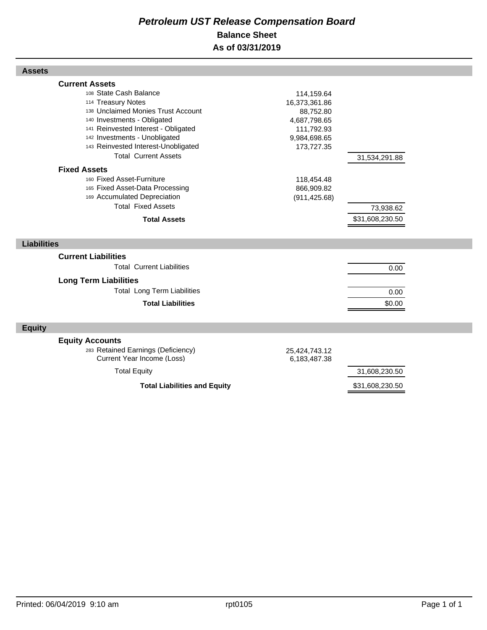### *Petroleum UST Release Compensation Board*  **Balance Sheet As of 03/31/2019**

| <b>Assets</b>                                                                                                                                                                                                                                                                            |                                                                                                      |                              |  |
|------------------------------------------------------------------------------------------------------------------------------------------------------------------------------------------------------------------------------------------------------------------------------------------|------------------------------------------------------------------------------------------------------|------------------------------|--|
| <b>Current Assets</b><br>108 State Cash Balance<br>114 Treasury Notes<br>138 Unclaimed Monies Trust Account<br>140 Investments - Obligated<br>141 Reinvested Interest - Obligated<br>142 Investments - Unobligated<br>143 Reinvested Interest-Unobligated<br><b>Total Current Assets</b> | 114,159.64<br>16,373,361.86<br>88,752.80<br>4,687,798.65<br>111,792.93<br>9,984,698.65<br>173,727.35 | 31,534,291.88                |  |
| <b>Fixed Assets</b><br>160 Fixed Asset-Furniture<br>165 Fixed Asset-Data Processing<br>169 Accumulated Depreciation<br><b>Total Fixed Assets</b><br><b>Total Assets</b>                                                                                                                  | 118,454.48<br>866,909.82<br>(911, 425.68)                                                            | 73,938.62<br>\$31,608,230.50 |  |
| <b>Liabilities</b>                                                                                                                                                                                                                                                                       |                                                                                                      |                              |  |
| <b>Current Liabilities</b><br><b>Total Current Liabilities</b><br><b>Long Term Liabilities</b><br><b>Total Long Term Liabilities</b><br><b>Total Liabilities</b>                                                                                                                         |                                                                                                      | 0.00<br>0.00<br>\$0.00       |  |
| <b>Equity</b>                                                                                                                                                                                                                                                                            |                                                                                                      |                              |  |
| <b>Equity Accounts</b><br>283 Retained Earnings (Deficiency)<br>Current Year Income (Loss)                                                                                                                                                                                               | 25,424,743.12<br>6,183,487.38                                                                        |                              |  |
| <b>Total Equity</b>                                                                                                                                                                                                                                                                      |                                                                                                      | 31,608,230.50                |  |
| <b>Total Liabilities and Equity</b>                                                                                                                                                                                                                                                      |                                                                                                      | \$31,608,230.50              |  |

Г

Г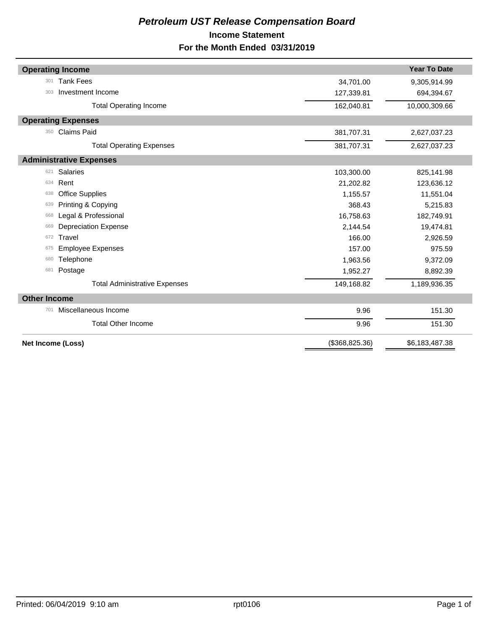### *Petroleum UST Release Compensation Board*  **Income Statement For the Month Ended 03/31/2019**

| <b>Operating Income</b>              |                 | <b>Year To Date</b> |
|--------------------------------------|-----------------|---------------------|
| <b>Tank Fees</b><br>301              | 34,701.00       | 9,305,914.99        |
| Investment Income<br>303             | 127,339.81      | 694,394.67          |
| <b>Total Operating Income</b>        | 162,040.81      | 10,000,309.66       |
| <b>Operating Expenses</b>            |                 |                     |
| <b>Claims Paid</b><br>350            | 381,707.31      | 2,627,037.23        |
| <b>Total Operating Expenses</b>      | 381,707.31      | 2,627,037.23        |
| <b>Administrative Expenses</b>       |                 |                     |
| Salaries<br>621                      | 103,300.00      | 825,141.98          |
| Rent<br>634                          | 21,202.82       | 123,636.12          |
| <b>Office Supplies</b><br>638        | 1,155.57        | 11,551.04           |
| Printing & Copying<br>639            | 368.43          | 5,215.83            |
| Legal & Professional<br>668          | 16,758.63       | 182,749.91          |
| Depreciation Expense<br>669          | 2,144.54        | 19,474.81           |
| Travel<br>672                        | 166.00          | 2,926.59            |
| <b>Employee Expenses</b><br>675      | 157.00          | 975.59              |
| Telephone<br>680                     | 1,963.56        | 9,372.09            |
| Postage<br>681                       | 1,952.27        | 8,892.39            |
| <b>Total Administrative Expenses</b> | 149,168.82      | 1,189,936.35        |
| <b>Other Income</b>                  |                 |                     |
| Miscellaneous Income<br>701          | 9.96            | 151.30              |
| <b>Total Other Income</b>            | 9.96            | 151.30              |
| Net Income (Loss)                    | (\$368, 825.36) | \$6,183,487.38      |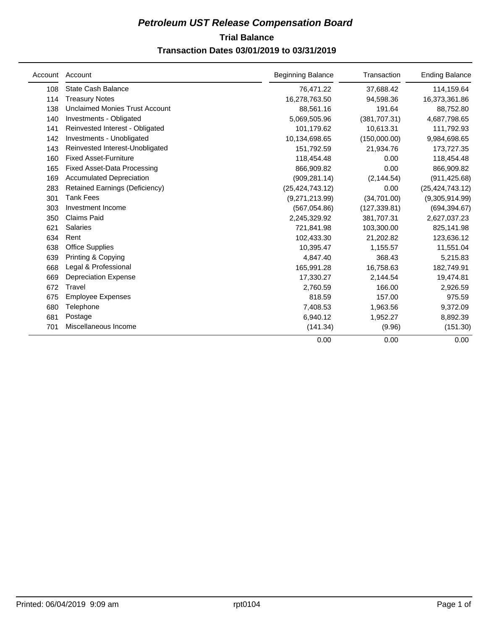### **Trial Balance** *Petroleum UST Release Compensation Board*  **Transaction Dates 03/01/2019 to 03/31/2019**

|     | Account Account                       | <b>Beginning Balance</b> | Transaction   | <b>Ending Balance</b> |
|-----|---------------------------------------|--------------------------|---------------|-----------------------|
| 108 | <b>State Cash Balance</b>             | 76,471.22                | 37,688.42     | 114,159.64            |
| 114 | <b>Treasury Notes</b>                 | 16,278,763.50            | 94,598.36     | 16,373,361.86         |
| 138 | <b>Unclaimed Monies Trust Account</b> | 88,561.16                | 191.64        | 88,752.80             |
| 140 | Investments - Obligated               | 5,069,505.96             | (381, 707.31) | 4,687,798.65          |
| 141 | Reinvested Interest - Obligated       | 101,179.62               | 10,613.31     | 111,792.93            |
| 142 | Investments - Unobligated             | 10,134,698.65            | (150,000.00)  | 9,984,698.65          |
| 143 | Reinvested Interest-Unobligated       | 151,792.59               | 21,934.76     | 173,727.35            |
| 160 | <b>Fixed Asset-Furniture</b>          | 118,454.48               | 0.00          | 118,454.48            |
| 165 | <b>Fixed Asset-Data Processing</b>    | 866,909.82               | 0.00          | 866,909.82            |
| 169 | <b>Accumulated Depreciation</b>       | (909, 281.14)            | (2, 144.54)   | (911, 425.68)         |
| 283 | <b>Retained Earnings (Deficiency)</b> | (25, 424, 743.12)        | 0.00          | (25, 424, 743.12)     |
| 301 | <b>Tank Fees</b>                      | (9,271,213.99)           | (34,701.00)   | (9,305,914.99)        |
| 303 | Investment Income                     | (567,054.86)             | (127, 339.81) | (694, 394.67)         |
| 350 | <b>Claims Paid</b>                    | 2,245,329.92             | 381,707.31    | 2,627,037.23          |
| 621 | Salaries                              | 721,841.98               | 103,300.00    | 825,141.98            |
| 634 | Rent                                  | 102.433.30               | 21,202.82     | 123,636.12            |
| 638 | <b>Office Supplies</b>                | 10,395.47                | 1,155.57      | 11,551.04             |
| 639 | Printing & Copying                    | 4,847.40                 | 368.43        | 5,215.83              |
| 668 | Legal & Professional                  | 165,991.28               | 16,758.63     | 182,749.91            |
| 669 | <b>Depreciation Expense</b>           | 17,330.27                | 2,144.54      | 19,474.81             |
| 672 | Travel                                | 2,760.59                 | 166.00        | 2,926.59              |
| 675 | <b>Employee Expenses</b>              | 818.59                   | 157.00        | 975.59                |
| 680 | Telephone                             | 7,408.53                 | 1,963.56      | 9,372.09              |
| 681 | Postage                               | 6,940.12                 | 1,952.27      | 8,892.39              |
| 701 | Miscellaneous Income                  | (141.34)                 | (9.96)        | (151.30)              |
|     |                                       | 0.00                     | 0.00          | 0.00                  |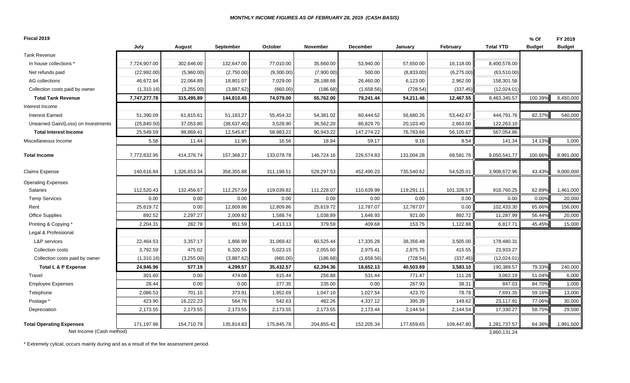| Fiscal 2019                         |              |              |              |            |            |            |            |            |                  | % Of          | FY 2019       |
|-------------------------------------|--------------|--------------|--------------|------------|------------|------------|------------|------------|------------------|---------------|---------------|
|                                     | July         | August       | September    | October    | November   | December   | January    | February   | <b>Total YTD</b> | <b>Budget</b> | <b>Budget</b> |
| Tank Revenue                        |              |              |              |            |            |            |            |            |                  |               |               |
| In house collections *              | 7,724,907.00 | 302,646.00   | 132,647.00   | 77,010.00  | 35,660.00  | 53,940.00  | 57,650.00  | 16,118.00  | 8,400,578.00     |               |               |
| Net refunds paid                    | (22,992.00)  | (5,960.00)   | (2,750.00)   | (9,300.00) | (7,900.00) | 500.00     | (8,833.00) | (6,275.00) | (63, 510.00)     |               |               |
| <b>AG</b> collections               | 46,672.94    | 22,064.89    | 18,801.07    | 7,029.00   | 28,188.68  | 26,460.00  | 6,123.00   | 2,962.00   | 158,301.58       |               |               |
| Collection costs paid by owner      | (1,310.16)   | (3,255.00)   | (3,887.62)   | (660.00)   | (186.68)   | (1,658.56) | (728.54)   | (337.45)   | (12,024.01)      |               |               |
| <b>Total Tank Revenue</b>           | 7,747,277.78 | 315,495.89   | 144,810.45   | 74,079.00  | 55,762.00  | 79,241.44  | 54,211.46  | 12,467.55  | 8,483,345.57     | 100.39%       | 8,450,000     |
| Interest Income                     |              |              |              |            |            |            |            |            |                  |               |               |
| <b>Interest Earned</b>              | 51,390.09    | 61,815.61    | 51,183.27    | 55,454.32  | 54,381.02  | 60,444.52  | 56,680.26  | 53,442.67  | 444,791.76       | 82.37%        | 540,000       |
| Unearned Gain/(Loss) on Investments | (25, 840.50) | 37,053.80    | (38, 637.40) | 3,528.90   | 36,562.20  | 86,829.70  | 20,103.40  | 2,663.00   | 122,263.10       |               |               |
| <b>Total Interest Income</b>        | 25,549.59    | 98,869.41    | 12,545.87    | 58,983.22  | 90,943.22  | 147,274.22 | 76,783.66  | 56,105.67  | 567,054.86       |               |               |
| Miscellaneous Income                | 5.58         | 11.44        | 11.95        | 16.56      | 18.94      | 59.17      | 9.16       | 8.54       | 141.34           | 14.13%        | 1,000         |
| <b>Total Income</b>                 | 7,772,832.95 | 414,376.74   | 157,368.27   | 133,078.78 | 146,724.16 | 226,574.83 | 131,004.28 | 68,581.76  | 9,050,541.77     | 100.66%       | 8,991,000     |
| Claims Expense                      | 140,616.84   | 1,326,653.34 | 358,355.88   | 311,198.51 | 529,297.53 | 452,490.23 | 735,540.62 | 54,520.01  | 3,908,672.96     | 43.43%        | 9,000,000     |
| <b>Operating Expenses</b>           |              |              |              |            |            |            |            |            |                  |               |               |
| Salaries                            | 112,520.43   | 132,456.67   | 112,257.59   | 119,039.82 | 111,228.07 | 110,639.99 | 119,291.11 | 101,326.57 | 918,760.25       | 62.89%        | 1,461,000     |
| <b>Temp Services</b>                | 0.00         | 0.00         | 0.00         | 0.00       | 0.00       | 0.00       | 0.00       | 0.00       | 0.00             | 0.00%         | 20,000        |
| Rent                                | 25,619.72    | 0.00         | 12,809.86    | 12,809.86  | 25,619.72  | 12,787.07  | 12,787.07  | 0.00       | 102,433.30       | 65.66%        | 156,000       |
| <b>Office Supplies</b>              | 892.52       | 2,297.27     | 2,009.92     | 1,588.74   | 1,038.89   | 1,646.93   | 921.00     | 892.72     | 11,287.99        | 56.44%        | 20,000        |
| Printing & Copying *                | 2,204.31     | 282.78       | 851.59       | 1,413.13   | 379.59     | 409.68     | 153.75     | 1,122.88   | 6,817.71         | 45.45%        | 15,000        |
| Legal & Professional                |              |              |              |            |            |            |            |            |                  |               |               |
| L&P services                        | 22,464.53    | 3,357.17     | 1,866.99     | 31,069.42  | 60,525.44  | 17,335.28  | 38,356.48  | 3,505.00   | 178,480.31       |               |               |
| Collection costs                    | 3,792.59     | 475.02       | 6,320.20     | 5,023.15   | 2,055.60   | 2,975.41   | 2,875.75   | 415.55     | 23,933.27        |               |               |
| Collection costs paid by owner      | (1,310.16)   | (3,255.00)   | (3,887.62)   | (660.00)   | (186.68)   | (1,658.56) | (728.54)   | (337.45)   | (12,024.01)      |               |               |
| Total L & P Expense                 | 24,946.96    | 577.19       | 4,299.57     | 35,432.57  | 62,394.36  | 18,652.13  | 40,503.69  | 3,583.10   | 190,389.57       | 79.33%        | 240,000       |
| Travel                              | 301.60       | 0.00         | 474.08       | 615.44     | 256.88     | 531.44     | 771.47     | 111.28     | 3,062.19         | 51.04%        | 6,000         |
| <b>Employee Expenses</b>            | 28.44        | 0.00         | 0.00         | 277.35     | 235.00     | 0.00       | 267.93     | 38.31      | 847.03           | 84.70%        | 1,000         |
| Telephone                           | 2,086.53     | 701.10       | 373.91       | 1,952.69   | 1,047.10   | 1,027.54   | 423.70     | 78.78      | 7,691.35         | 59.16%        | 13,000        |
| Postage *                           | 423.90       | 16,222.23    | 564.76       | 542.63     | 482.26     | 4,337.12   | 395.39     | 149.62     | 23,117.91        | 77.06%        | 30,000        |
| Depreciation                        | 2,173.55     | 2,173.55     | 2,173.55     | 2,173.55   | 2,173.55   | 2,173.44   | 2,144.54   | 2,144.54   | 17,330.27        | 58.75%        | 29,500        |
| <b>Total Operating Expenses</b>     | 171,197.96   | 154,710.79   | 135,814.83   | 175,845.78 | 204,855.42 | 152,205.34 | 177,659.65 | 109,447.80 | 1,281,737.57     | 64.36%        | 1,991,500     |
| Net Income (Cash method)            |              |              |              |            |            |            |            |            | 3,860,131.24     |               |               |

\* Extremely cylical; occurs mainly during and as a result of the fee assessment period.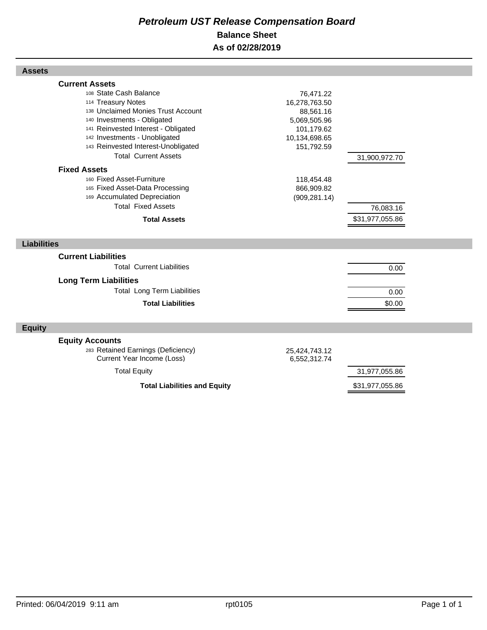### *Petroleum UST Release Compensation Board*  **Balance Sheet As of 02/28/2019**

| <b>Assets</b>                                                                                                                                                                                                                                                                            |                                                                                                      |                              |
|------------------------------------------------------------------------------------------------------------------------------------------------------------------------------------------------------------------------------------------------------------------------------------------|------------------------------------------------------------------------------------------------------|------------------------------|
| <b>Current Assets</b><br>108 State Cash Balance<br>114 Treasury Notes<br>138 Unclaimed Monies Trust Account<br>140 Investments - Obligated<br>141 Reinvested Interest - Obligated<br>142 Investments - Unobligated<br>143 Reinvested Interest-Unobligated<br><b>Total Current Assets</b> | 76,471.22<br>16,278,763.50<br>88,561.16<br>5,069,505.96<br>101,179.62<br>10,134,698.65<br>151,792.59 | 31,900,972.70                |
| <b>Fixed Assets</b><br>160 Fixed Asset-Furniture<br>165 Fixed Asset-Data Processing<br>169 Accumulated Depreciation<br><b>Total Fixed Assets</b><br><b>Total Assets</b>                                                                                                                  | 118,454.48<br>866,909.82<br>(909, 281.14)                                                            | 76,083.16<br>\$31,977,055.86 |
| <b>Liabilities</b>                                                                                                                                                                                                                                                                       |                                                                                                      |                              |
| <b>Current Liabilities</b><br><b>Total Current Liabilities</b><br><b>Long Term Liabilities</b><br><b>Total Long Term Liabilities</b><br><b>Total Liabilities</b>                                                                                                                         |                                                                                                      | 0.00<br>0.00<br>\$0.00       |
| <b>Equity</b>                                                                                                                                                                                                                                                                            |                                                                                                      |                              |
| <b>Equity Accounts</b><br>283 Retained Earnings (Deficiency)<br>Current Year Income (Loss)<br><b>Total Equity</b>                                                                                                                                                                        | 25,424,743.12<br>6,552,312.74                                                                        | 31,977,055.86                |
| <b>Total Liabilities and Equity</b>                                                                                                                                                                                                                                                      |                                                                                                      | \$31,977,055.86              |

I

Г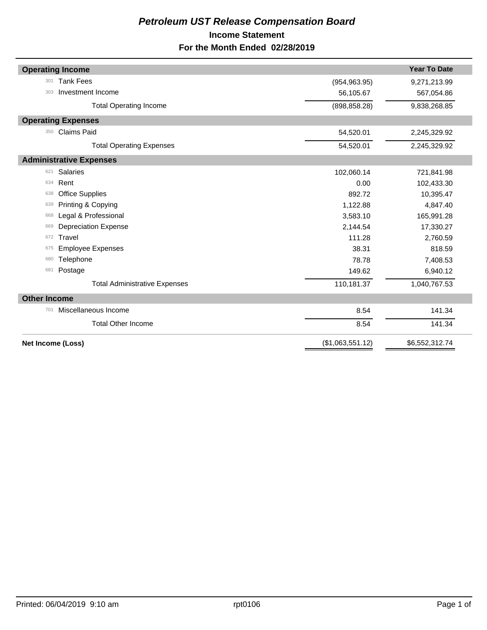### *Petroleum UST Release Compensation Board*  **Income Statement For the Month Ended 02/28/2019**

| <b>Operating Income</b>              |                  | <b>Year To Date</b> |
|--------------------------------------|------------------|---------------------|
| <b>Tank Fees</b><br>301              | (954, 963.95)    | 9,271,213.99        |
| Investment Income<br>303             | 56,105.67        | 567,054.86          |
| <b>Total Operating Income</b>        | (898, 858.28)    | 9,838,268.85        |
| <b>Operating Expenses</b>            |                  |                     |
| <b>Claims Paid</b><br>350            | 54,520.01        | 2,245,329.92        |
| <b>Total Operating Expenses</b>      | 54,520.01        | 2,245,329.92        |
| <b>Administrative Expenses</b>       |                  |                     |
| <b>Salaries</b><br>621               | 102,060.14       | 721,841.98          |
| Rent<br>634                          | 0.00             | 102,433.30          |
| <b>Office Supplies</b><br>638        | 892.72           | 10,395.47           |
| Printing & Copying<br>639            | 1,122.88         | 4,847.40            |
| Legal & Professional<br>668          | 3,583.10         | 165,991.28          |
| <b>Depreciation Expense</b><br>669   | 2,144.54         | 17,330.27           |
| Travel<br>672                        | 111.28           | 2,760.59            |
| <b>Employee Expenses</b><br>675      | 38.31            | 818.59              |
| Telephone<br>680                     | 78.78            | 7,408.53            |
| Postage<br>681                       | 149.62           | 6,940.12            |
| <b>Total Administrative Expenses</b> | 110,181.37       | 1,040,767.53        |
| <b>Other Income</b>                  |                  |                     |
| Miscellaneous Income<br>701          | 8.54             | 141.34              |
| <b>Total Other Income</b>            | 8.54             | 141.34              |
| Net Income (Loss)                    | (\$1,063,551.12) | \$6,552,312.74      |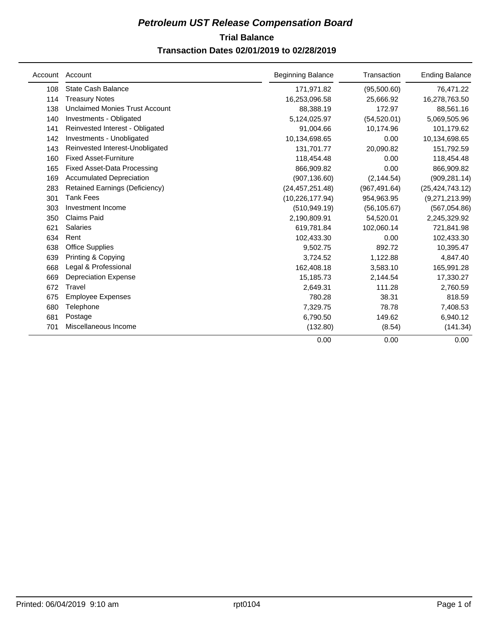### **Trial Balance** *Petroleum UST Release Compensation Board*  **Transaction Dates 02/01/2019 to 02/28/2019**

| Account | Account                               | <b>Beginning Balance</b> | Transaction   | <b>Ending Balance</b> |
|---------|---------------------------------------|--------------------------|---------------|-----------------------|
| 108     | <b>State Cash Balance</b>             | 171,971.82               | (95,500.60)   | 76,471.22             |
| 114     | <b>Treasury Notes</b>                 | 16,253,096.58            | 25,666.92     | 16,278,763.50         |
| 138     | <b>Unclaimed Monies Trust Account</b> | 88,388.19                | 172.97        | 88,561.16             |
| 140     | Investments - Obligated               | 5,124,025.97             | (54, 520.01)  | 5,069,505.96          |
| 141     | Reinvested Interest - Obligated       | 91,004.66                | 10,174.96     | 101,179.62            |
| 142     | Investments - Unobligated             | 10,134,698.65            | 0.00          | 10,134,698.65         |
| 143     | Reinvested Interest-Unobligated       | 131,701.77               | 20,090.82     | 151,792.59            |
| 160     | <b>Fixed Asset-Furniture</b>          | 118,454.48               | 0.00          | 118,454.48            |
| 165     | <b>Fixed Asset-Data Processing</b>    | 866,909.82               | 0.00          | 866,909.82            |
| 169     | <b>Accumulated Depreciation</b>       | (907, 136.60)            | (2, 144.54)   | (909, 281.14)         |
| 283     | Retained Earnings (Deficiency)        | (24, 457, 251.48)        | (967, 491.64) | (25, 424, 743.12)     |
| 301     | <b>Tank Fees</b>                      | (10, 226, 177.94)        | 954,963.95    | (9,271,213.99)        |
| 303     | Investment Income                     | (510, 949.19)            | (56, 105.67)  | (567,054.86)          |
| 350     | <b>Claims Paid</b>                    | 2,190,809.91             | 54,520.01     | 2,245,329.92          |
| 621     | Salaries                              | 619,781.84               | 102,060.14    | 721,841.98            |
| 634     | Rent                                  | 102,433.30               | 0.00          | 102,433.30            |
| 638     | <b>Office Supplies</b>                | 9,502.75                 | 892.72        | 10,395.47             |
| 639     | Printing & Copying                    | 3,724.52                 | 1,122.88      | 4,847.40              |
| 668     | Legal & Professional                  | 162,408.18               | 3,583.10      | 165,991.28            |
| 669     | <b>Depreciation Expense</b>           | 15,185.73                | 2,144.54      | 17,330.27             |
| 672     | Travel                                | 2,649.31                 | 111.28        | 2,760.59              |
| 675     | <b>Employee Expenses</b>              | 780.28                   | 38.31         | 818.59                |
| 680     | Telephone                             | 7,329.75                 | 78.78         | 7,408.53              |
| 681     | Postage                               | 6,790.50                 | 149.62        | 6,940.12              |
| 701     | Miscellaneous Income                  | (132.80)                 | (8.54)        | (141.34)              |
|         |                                       | 0.00                     | 0.00          | 0.00                  |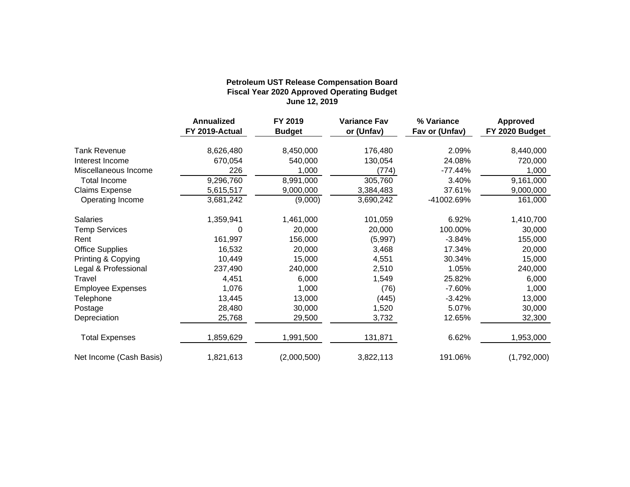#### **Fiscal Year 2020 Approved Operating Budget June 12, 2019 Petroleum UST Release Compensation Board**

|                          | <b>Annualized</b> | FY 2019       | <b>Variance Fav</b> | % Variance     | <b>Approved</b> |
|--------------------------|-------------------|---------------|---------------------|----------------|-----------------|
|                          | FY 2019-Actual    | <b>Budget</b> | or (Unfav)          | Fav or (Unfav) | FY 2020 Budget  |
| <b>Tank Revenue</b>      | 8,626,480         | 8,450,000     | 176,480             | 2.09%          | 8,440,000       |
| Interest Income          | 670,054           | 540,000       | 130,054             | 24.08%         | 720,000         |
| Miscellaneous Income     | 226               | 1,000         | (774)               | $-77.44%$      | 1,000           |
| <b>Total Income</b>      | 9,296,760         | 8,991,000     | 305,760             | 3.40%          | 9,161,000       |
| <b>Claims Expense</b>    | 5,615,517         | 9,000,000     | 3,384,483           | 37.61%         | 9,000,000       |
| Operating Income         | 3,681,242         | (9,000)       | 3,690,242           | -41002.69%     | 161,000         |
| <b>Salaries</b>          | 1,359,941         | 1,461,000     | 101,059             | 6.92%          | 1,410,700       |
| <b>Temp Services</b>     | 0                 | 20,000        | 20,000              | 100.00%        | 30,000          |
| Rent                     | 161,997           | 156,000       | (5,997)             | $-3.84%$       | 155,000         |
| <b>Office Supplies</b>   | 16,532            | 20,000        | 3,468               | 17.34%         | 20,000          |
| Printing & Copying       | 10,449            | 15,000        | 4,551               | 30.34%         | 15,000          |
| Legal & Professional     | 237,490           | 240,000       | 2,510               | 1.05%          | 240,000         |
| Travel                   | 4,451             | 6,000         | 1,549               | 25.82%         | 6,000           |
| <b>Employee Expenses</b> | 1,076             | 1,000         | (76)                | $-7.60\%$      | 1,000           |
| Telephone                | 13,445            | 13,000        | (445)               | $-3.42%$       | 13,000          |
| Postage                  | 28,480            | 30,000        | 1,520               | 5.07%          | 30,000          |
| Depreciation             | 25,768            | 29,500        | 3,732               | 12.65%         | 32,300          |
| <b>Total Expenses</b>    | 1,859,629         | 1,991,500     | 131,871             | 6.62%          | 1,953,000       |
| Net Income (Cash Basis)  | 1,821,613         | (2,000,500)   | 3,822,113           | 191.06%        | (1,792,000)     |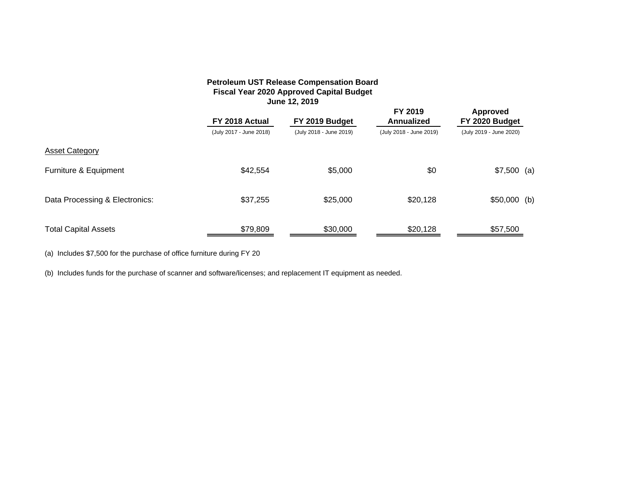#### **Petroleum UST Release Compensation Board Fiscal Year 2020 Approved Capital Budget June 12, 2019**

|                                | FY 2018 Actual          | FY 2019 Budget          | FY 2019<br>Annualized   | Approved<br>FY 2020 Budget |
|--------------------------------|-------------------------|-------------------------|-------------------------|----------------------------|
|                                | (July 2017 - June 2018) | (July 2018 - June 2019) | (July 2018 - June 2019) | (July 2019 - June 2020)    |
| <b>Asset Category</b>          |                         |                         |                         |                            |
| Furniture & Equipment          | \$42,554                | \$5,000                 | \$0                     | $$7,500$ (a)               |
| Data Processing & Electronics: | \$37,255                | \$25,000                | \$20,128                | $$50,000$ (b)              |
| <b>Total Capital Assets</b>    | \$79,809                | \$30,000                | \$20,128                | \$57,500                   |

(a) Includes \$7,500 for the purchase of office furniture during FY 20

(b) Includes funds for the purchase of scanner and software/licenses; and replacement IT equipment as needed.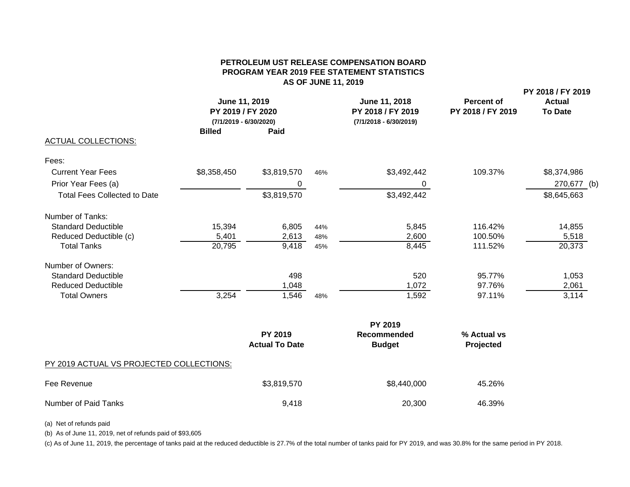#### **PETROLEUM UST RELEASE COMPENSATION BOARDPROGRAM YEAR 2019 FEE STATEMENT STATISTICS AS OF JUNE 11, 2019**

**PY 2018 / FY 2019**

|                                     | June 11, 2019<br>PY 2019 / FY 2020<br>(7/1/2019 - 6/30/2020) |                                  |     | June 11, 2018<br>PY 2018 / FY 2019<br>$(7/1/2018 - 6/30/2019)$ | <b>Percent of</b><br>PY 2018 / FY 2019 | <b>Actual</b><br><b>To Date</b> |  |
|-------------------------------------|--------------------------------------------------------------|----------------------------------|-----|----------------------------------------------------------------|----------------------------------------|---------------------------------|--|
|                                     | <b>Billed</b>                                                | Paid                             |     |                                                                |                                        |                                 |  |
| <b>ACTUAL COLLECTIONS:</b>          |                                                              |                                  |     |                                                                |                                        |                                 |  |
| Fees:                               |                                                              |                                  |     |                                                                |                                        |                                 |  |
| <b>Current Year Fees</b>            | \$8,358,450                                                  | \$3,819,570                      | 46% | \$3,492,442                                                    | 109.37%                                | \$8,374,986                     |  |
| Prior Year Fees (a)                 |                                                              | 0                                |     | 0                                                              |                                        | 270,677 (b)                     |  |
| <b>Total Fees Collected to Date</b> |                                                              | \$3,819,570                      |     | \$3,492,442                                                    |                                        | \$8,645,663                     |  |
| Number of Tanks:                    |                                                              |                                  |     |                                                                |                                        |                                 |  |
| <b>Standard Deductible</b>          | 15,394                                                       | 6,805                            | 44% | 5,845                                                          | 116.42%                                | 14,855                          |  |
| Reduced Deductible (c)              | 5,401                                                        | 2,613                            | 48% | 2,600                                                          | 100.50%                                | 5,518                           |  |
| <b>Total Tanks</b>                  | 20,795                                                       | 9,418                            | 45% | 8,445                                                          | 111.52%                                | 20,373                          |  |
| Number of Owners:                   |                                                              |                                  |     |                                                                |                                        |                                 |  |
| <b>Standard Deductible</b>          |                                                              | 498                              |     | 520                                                            | 95.77%                                 | 1,053                           |  |
| <b>Reduced Deductible</b>           |                                                              | 1,048                            |     | 1,072                                                          | 97.76%                                 | 2,061                           |  |
| <b>Total Owners</b>                 | 3,254                                                        | 1,546                            | 48% | 1,592                                                          | 97.11%                                 | 3,114                           |  |
|                                     |                                                              |                                  |     | PY 2019                                                        |                                        |                                 |  |
|                                     |                                                              | PY 2019<br><b>Actual To Date</b> |     | <b>Recommended</b><br><b>Budget</b>                            | % Actual vs<br>Projected               |                                 |  |

#### PY 2019 ACTUAL VS PROJECTED COLLECTIONS:

| Fee Revenue          | \$3,819,570 | \$8,440,000 | 45.26% |
|----------------------|-------------|-------------|--------|
| Number of Paid Tanks | 9.418       | 20,300      | 46.39% |

(a) Net of refunds paid

(b) As of June 11, 2019, net of refunds paid of \$93,605

(c) As of June 11, 2019, the percentage of tanks paid at the reduced deductible is 27.7% of the total number of tanks paid for PY 2019, and was 30.8% for the same period in PY 2018.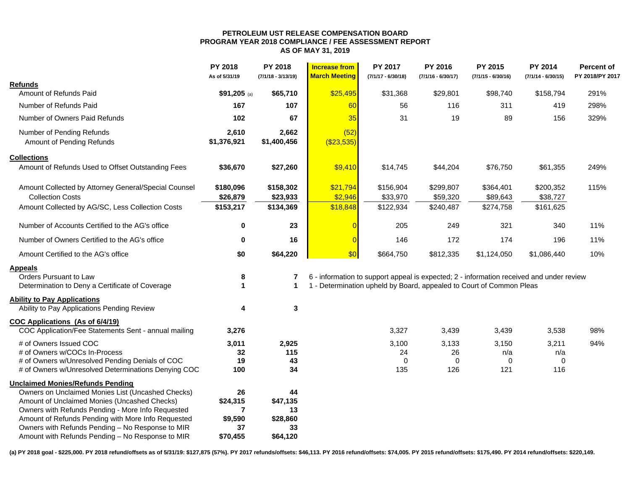#### **PETROLEUM UST RELEASE COMPENSATION BOARD PROGRAM YEAR 2018 COMPLIANCE / FEE ASSESSMENT REPORT AS OF MAY 31, 2019**

|                                                      | <b>PY 2018</b><br>As of 5/31/19 | PY 2018<br>$(7/1/18 - 3/13/19)$ | <b>Increase from</b><br><b>March Meeting</b> | PY 2017<br>$(7/1/17 - 6/30/18)$ | PY 2016<br>$(7/1/16 - 6/30/17)$                                                          | PY 2015<br>$(7/1/15 - 6/30/16)$ | PY 2014<br>$(7/1/14 - 6/30/15)$ | <b>Percent of</b><br>PY 2018/PY 2017 |
|------------------------------------------------------|---------------------------------|---------------------------------|----------------------------------------------|---------------------------------|------------------------------------------------------------------------------------------|---------------------------------|---------------------------------|--------------------------------------|
| Refunds                                              |                                 |                                 |                                              |                                 |                                                                                          |                                 |                                 |                                      |
| Amount of Refunds Paid                               | $$91,205$ (a)                   | \$65,710                        | \$25,495                                     | \$31,368                        | \$29,801                                                                                 | \$98,740                        | \$158,794                       | 291%                                 |
| Number of Refunds Paid                               | 167                             | 107                             | 60                                           | 56                              | 116                                                                                      | 311                             | 419                             | 298%                                 |
| Number of Owners Paid Refunds                        | 102                             | 67                              | 35                                           | 31                              | 19                                                                                       | 89                              | 156                             | 329%                                 |
| Number of Pending Refunds                            | 2,610                           | 2,662                           | (52)                                         |                                 |                                                                                          |                                 |                                 |                                      |
| Amount of Pending Refunds                            | \$1,376,921                     | \$1,400,456                     | (\$23,535)                                   |                                 |                                                                                          |                                 |                                 |                                      |
| <b>Collections</b>                                   |                                 |                                 |                                              |                                 |                                                                                          |                                 |                                 |                                      |
| Amount of Refunds Used to Offset Outstanding Fees    | \$36,670                        | \$27,260                        | \$9,410                                      | \$14,745                        | \$44,204                                                                                 | \$76,750                        | \$61,355                        | 249%                                 |
| Amount Collected by Attorney General/Special Counsel | \$180,096                       | \$158,302                       | \$21,794                                     | \$156,904                       | \$299,807                                                                                | \$364,401                       | \$200,352                       | 115%                                 |
| <b>Collection Costs</b>                              | \$26,879                        | \$23,933                        | \$2,946                                      | \$33,970                        | \$59,320                                                                                 | \$89,643                        | \$38,727                        |                                      |
| Amount Collected by AG/SC, Less Collection Costs     | \$153,217                       | \$134,369                       | \$18,848                                     | \$122,934                       | \$240,487                                                                                | \$274,758                       | \$161,625                       |                                      |
| Number of Accounts Certified to the AG's office      | $\bf{0}$                        | 23                              |                                              | 205                             | 249                                                                                      | 321                             | 340                             | 11%                                  |
| Number of Owners Certified to the AG's office        | $\bf{0}$                        | 16                              |                                              | 146                             | 172                                                                                      | 174                             | 196                             | 11%                                  |
| Amount Certified to the AG's office                  | \$0                             | \$64,220                        | \$0                                          | \$664,750                       | \$812,335                                                                                | \$1,124,050                     | \$1,086,440                     | 10%                                  |
| <b>Appeals</b>                                       |                                 |                                 |                                              |                                 |                                                                                          |                                 |                                 |                                      |
| <b>Orders Pursuant to Law</b>                        | 8                               | 7                               |                                              |                                 | 6 - information to support appeal is expected; 2 - information received and under review |                                 |                                 |                                      |
| Determination to Deny a Certificate of Coverage      | 1                               | 1                               |                                              |                                 | 1 - Determination upheld by Board, appealed to Court of Common Pleas                     |                                 |                                 |                                      |
| <b>Ability to Pay Applications</b>                   |                                 |                                 |                                              |                                 |                                                                                          |                                 |                                 |                                      |
| Ability to Pay Applications Pending Review           | 4                               | $\mathbf{3}$                    |                                              |                                 |                                                                                          |                                 |                                 |                                      |
| COC Applications (As of 6/4/19)                      |                                 |                                 |                                              |                                 |                                                                                          |                                 |                                 |                                      |
| COC Application/Fee Statements Sent - annual mailing | 3,276                           |                                 |                                              | 3,327                           | 3,439                                                                                    | 3,439                           | 3,538                           | 98%                                  |
| # of Owners Issued COC                               | 3,011                           | 2,925                           |                                              | 3,100                           | 3,133                                                                                    | 3,150                           | 3,211                           | 94%                                  |
| # of Owners w/COCs In-Process                        | 32                              | 115                             |                                              | 24                              | 26                                                                                       | n/a                             | n/a                             |                                      |
| # of Owners w/Unresolved Pending Denials of COC      | 19                              | 43                              |                                              | $\Omega$                        | $\mathbf 0$                                                                              | 0                               | $\Omega$                        |                                      |
| # of Owners w/Unresolved Determinations Denying COC  | 100                             | 34                              |                                              | 135                             | 126                                                                                      | 121                             | 116                             |                                      |
| <b>Unclaimed Monies/Refunds Pending</b>              |                                 |                                 |                                              |                                 |                                                                                          |                                 |                                 |                                      |
| Owners on Unclaimed Monies List (Uncashed Checks)    | 26                              | 44                              |                                              |                                 |                                                                                          |                                 |                                 |                                      |
| Amount of Unclaimed Monies (Uncashed Checks)         | \$24,315                        | \$47,135                        |                                              |                                 |                                                                                          |                                 |                                 |                                      |
| Owners with Refunds Pending - More Info Requested    | 7                               | 13                              |                                              |                                 |                                                                                          |                                 |                                 |                                      |
| Amount of Refunds Pending with More Info Requested   | \$9,590                         | \$28,860                        |                                              |                                 |                                                                                          |                                 |                                 |                                      |
| Owners with Refunds Pending - No Response to MIR     | 37                              | 33                              |                                              |                                 |                                                                                          |                                 |                                 |                                      |
| Amount with Refunds Pending - No Response to MIR     | \$70,455                        | \$64,120                        |                                              |                                 |                                                                                          |                                 |                                 |                                      |

(a) PY 2018 goal - \$225,000. PY 2018 refund/offsets as of 5/31/19: \$127,875 (57%). PY 2017 refunds/offsets: \$46,113. PY 2016 refund/offsets: \$74,005. PY 2015 refund/offsets: \$175,490. PY 2014 refund/offsets: \$220,149.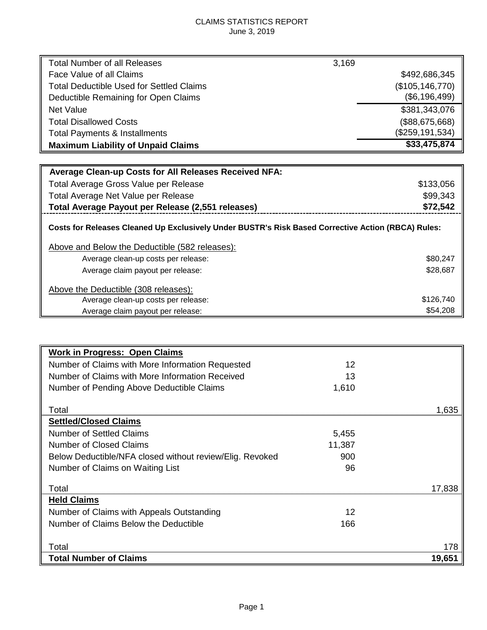#### CLAIMS STATISTICS REPORT June 3, 2019

| <b>Total Number of all Releases</b>                                                                | 3,169             |  |  |  |  |
|----------------------------------------------------------------------------------------------------|-------------------|--|--|--|--|
| Face Value of all Claims                                                                           | \$492,686,345     |  |  |  |  |
| Total Deductible Used for Settled Claims                                                           | (\$105, 146, 770) |  |  |  |  |
| Deductible Remaining for Open Claims                                                               | (\$6,196,499)     |  |  |  |  |
| <b>Net Value</b>                                                                                   | \$381,343,076     |  |  |  |  |
| <b>Total Disallowed Costs</b>                                                                      | (\$88,675,668)    |  |  |  |  |
| Total Payments & Installments                                                                      | (\$259,191,534)   |  |  |  |  |
| <b>Maximum Liability of Unpaid Claims</b>                                                          | \$33,475,874      |  |  |  |  |
|                                                                                                    |                   |  |  |  |  |
| <b>Average Clean-up Costs for All Releases Received NFA:</b>                                       |                   |  |  |  |  |
| Total Average Gross Value per Release                                                              | \$133,056         |  |  |  |  |
| Total Average Net Value per Release                                                                | \$99,343          |  |  |  |  |
| Total Average Payout per Release (2,551 releases)                                                  | \$72,542          |  |  |  |  |
| Costs for Releases Cleaned Up Exclusively Under BUSTR's Risk Based Corrective Action (RBCA) Rules: |                   |  |  |  |  |
| Above and Below the Deductible (582 releases):                                                     |                   |  |  |  |  |
| Average clean-up costs per release:                                                                | \$80,247          |  |  |  |  |
|                                                                                                    |                   |  |  |  |  |

| Average claim payout per release:    | \$28,687  |
|--------------------------------------|-----------|
| Above the Deductible (308 releases): |           |
| Average clean-up costs per release:  | \$126.740 |
| Average claim payout per release:    | \$54.208  |

| <b>Work in Progress: Open Claims</b>                     |        |        |
|----------------------------------------------------------|--------|--------|
| Number of Claims with More Information Requested         | 12     |        |
| Number of Claims with More Information Received          | 13     |        |
| Number of Pending Above Deductible Claims                | 1,610  |        |
| Total                                                    |        |        |
|                                                          |        | 1.635  |
| <b>Settled/Closed Claims</b>                             |        |        |
| Number of Settled Claims                                 | 5,455  |        |
| <b>Number of Closed Claims</b>                           | 11,387 |        |
| Below Deductible/NFA closed without review/Elig. Revoked | 900    |        |
| Number of Claims on Waiting List                         | 96     |        |
|                                                          |        |        |
| Total                                                    |        | 17.838 |
| <b>Held Claims</b>                                       |        |        |
| Number of Claims with Appeals Outstanding                | 12     |        |
| Number of Claims Below the Deductible                    | 166    |        |
|                                                          |        |        |
| Total                                                    |        | 178    |
| <b>Total Number of Claims</b>                            |        | 19.651 |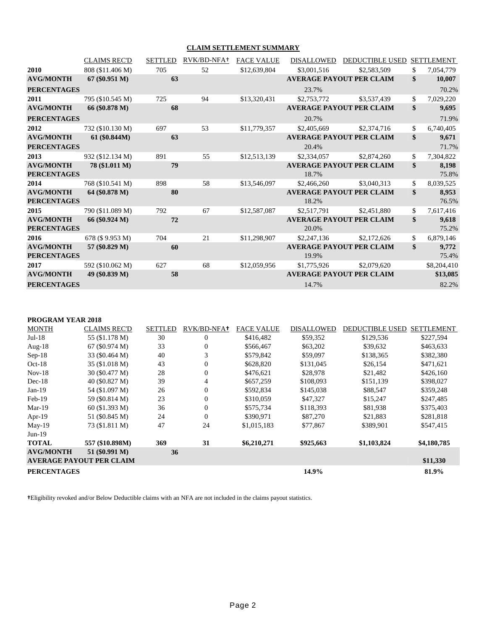#### **CLAIM SETTLEMENT SUMMARY**

|                                        | <b>CLAIMS REC'D</b> | <b>SETTLED</b> | RVK/BD-NFA+ | <b>FACE VALUE</b> | <b>DISALLOWED</b> | DEDUCTIBLE USED                 |              | <b>SETTLEMENT</b> |
|----------------------------------------|---------------------|----------------|-------------|-------------------|-------------------|---------------------------------|--------------|-------------------|
| 2010                                   | 808 (\$11.406 M)    | 705            | 52          | \$12,639,804      | \$3,001,516       | \$2,583,509                     | \$           | 7,054,779         |
| <b>AVG/MONTH</b>                       | $67 (\$0.951 M)$    | 63             |             |                   |                   | <b>AVERAGE PAYOUT PER CLAIM</b> | \$           | 10,007            |
| <b>PERCENTAGES</b>                     |                     |                |             |                   | 23.7%             |                                 |              | 70.2%             |
| 2011                                   | 795 (\$10.545 M)    | 725            | 94          | \$13,320,431      | \$2,753,772       | \$3,537,439                     | \$           | 7,029,220         |
| <b>AVG/MONTH</b>                       | 66 (\$0.878 M)      | 68             |             |                   |                   | <b>AVERAGE PAYOUT PER CLAIM</b> | \$           | 9,695             |
| <b>PERCENTAGES</b>                     |                     |                |             |                   | 20.7%             |                                 |              | 71.9%             |
| 2012                                   | 732 (\$10.130 M)    | 697            | 53          | \$11,779,357      | \$2,405,669       | \$2,374,716                     | \$           | 6,740,405         |
| <b>AVG/MONTH</b><br><b>PERCENTAGES</b> | 61 (\$0.844M)       | 63             |             |                   | 20.4%             | <b>AVERAGE PAYOUT PER CLAIM</b> | \$           | 9,671<br>71.7%    |
| 2013                                   | 932 (\$12.134 M)    | 891            | 55          | \$12,513,139      | \$2,334,057       | \$2,874,260                     | \$           | 7,304,822         |
| <b>AVG/MONTH</b><br><b>PERCENTAGES</b> | 78 (\$1.011 M)      | 79             |             |                   | 18.7%             | <b>AVERAGE PAYOUT PER CLAIM</b> | $\mathbf{s}$ | 8,198<br>75.8%    |
| 2014                                   | 768 (\$10.541 M)    | 898            | 58          | \$13,546,097      | \$2,466,260       | \$3,040,313                     | \$           | 8,039,525         |
| <b>AVG/MONTH</b><br><b>PERCENTAGES</b> | 64 (\$0.878 M)      | 80             |             |                   | 18.2%             | <b>AVERAGE PAYOUT PER CLAIM</b> | $\mathbf{s}$ | 8,953<br>76.5%    |
| 2015                                   | 790 (\$11.089 M)    | 792            | 67          | \$12,587,087      | \$2,517,791       | \$2,451,880                     | \$           | 7,617,416         |
| <b>AVG/MONTH</b><br><b>PERCENTAGES</b> | 66 (\$0.924 M)      | 72             |             |                   | 20.0%             | <b>AVERAGE PAYOUT PER CLAIM</b> | \$           | 9,618<br>75.2%    |
| 2016                                   | 678 (\$9.953 M)     | 704            | 21          | \$11,298,907      | \$2,247,136       | \$2,172,626                     | \$           | 6,879,146         |
| <b>AVG/MONTH</b><br><b>PERCENTAGES</b> | 57 (\$0.829 M)      | 60             |             |                   | 19.9%             | <b>AVERAGE PAYOUT PER CLAIM</b> | $\mathbf{s}$ | 9,772<br>75.4%    |
| 2017                                   | 592 (\$10.062 M)    | 627            | 68          | \$12,059,956      | \$1,775,926       | \$2,079,620                     |              | \$8,204,410       |
| <b>AVG/MONTH</b><br><b>PERCENTAGES</b> | 49 (\$0.839 M)      | 58             |             |                   | 14.7%             | <b>AVERAGE PAYOUT PER CLAIM</b> |              | \$13,085<br>82.2% |

#### **PROGRAM YEAR 2018**

| <b>MONTH</b>       | <b>CLAIMS REC'D</b>             | <b>SETTLED</b> | RVK/BD-NFA+ | <b>FACE VALUE</b> | <b>DISALLOWED</b> | <b>DEDUCTIBLE USED</b> | <b>SETTLEMENT</b> |
|--------------------|---------------------------------|----------------|-------------|-------------------|-------------------|------------------------|-------------------|
| $Jul-18$           | 55 (\$1.178 M)                  | 30             | 0           | \$416,482         | \$59,352          | \$129,536              | \$227,594         |
| Aug- $18$          | $67 (\$0.974 M)$                | 33             | 0           | \$566,467         | \$63,202          | \$39,632               | \$463,633         |
| $Sep-18$           | 33 (\$0.464 M)                  | 40             | 3           | \$579.842         | \$59,097          | \$138,365              | \$382,380         |
| $Oct-18$           | 35 (\$1.018 M)                  | 43             | $\theta$    | \$628,820         | \$131,045         | \$26,154               | \$471,621         |
| $Nov-18$           | 30 (\$0.477 M)                  | 28             | 0           | \$476,621         | \$28,978          | \$21,482               | \$426,160         |
| $Dec-18$           | 40 (\$0.827 M)                  | 39             | 4           | \$657,259         | \$108,093         | \$151,139              | \$398,027         |
| $Jan-19$           | 54 (\$1.097 M)                  | 26             | 0           | \$592,834         | \$145,038         | \$88,547               | \$359,248         |
| $Feb-19$           | 59 (\$0.814 M)                  | 23             | 0           | \$310,059         | \$47,327          | \$15,247               | \$247,485         |
| $Mar-19$           | 60 (1.393 M)                    | 36             | 0           | \$575,734         | \$118,393         | \$81,938               | \$375,403         |
| Apr- $19$          | 51 (\$0.845 M)                  | 24             | 0           | \$390.971         | \$87,270          | \$21,883               | \$281,818         |
| $May-19$           | 73 (\$1.811 M)                  | 47             | 24          | \$1,015,183       | \$77,867          | \$389,901              | \$547,415         |
| $Jun-19$           |                                 |                |             |                   |                   |                        |                   |
| <b>TOTAL</b>       | 557 (\$10.898M)                 | 369            | 31          | \$6,210,271       | \$925,663         | \$1,103,824            | \$4,180,785       |
| <b>AVG/MONTH</b>   | 51 (\$0.991 M)                  | 36             |             |                   |                   |                        |                   |
|                    | <b>AVERAGE PAYOUT PER CLAIM</b> |                |             |                   |                   |                        | \$11,330          |
| <b>PERCENTAGES</b> |                                 |                |             |                   | 14.9%             |                        | 81.9%             |

**†**Eligibility revoked and/or Below Deductible claims with an NFA are not included in the claims payout statistics.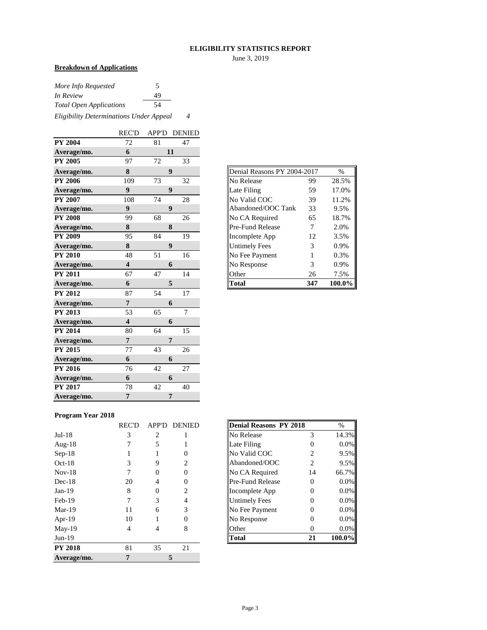#### **ELIGIBILITY STATISTICS REPORT**

June 3, 2019

#### **Breakdown of Applications**

| More Info Requested            | 5  |  |
|--------------------------------|----|--|
| <i>In Review</i>               | 49 |  |
| <b>Total Open Applications</b> | 54 |  |
|                                |    |  |

*Eligibility Determinations Under Appeal 4*

|                | <b>REC'D</b>            | <b>APP'D</b> | <b>DENIED</b>    |
|----------------|-------------------------|--------------|------------------|
| <b>PY 2004</b> | 72                      | 81           | 47               |
| Average/mo.    | 6                       |              | 11               |
| <b>PY 2005</b> | 97                      | 72           | 33               |
| Average/mo.    | ${\bf 8}$               |              | 9                |
| <b>PY 2006</b> | 109                     | 73           | 32               |
| Average/mo.    | $\boldsymbol{9}$        |              | $\boldsymbol{9}$ |
| <b>PY 2007</b> | 108                     | 74           | 28               |
| Average/mo.    | 9                       |              | 9                |
| <b>PY 2008</b> | 99                      | 68           | 26               |
| Average/mo.    | 8                       |              | 8                |
| <b>PY 2009</b> | 95                      | 84           | 19               |
| Average/mo.    | 8                       |              | $\boldsymbol{9}$ |
| <b>PY 2010</b> | 48                      | 51           | 16               |
| Average/mo.    | $\overline{\mathbf{4}}$ |              | 6                |
| <b>PY 2011</b> | 67                      | 47           | 14               |
| Average/mo.    | 6                       |              | 5                |
| <b>PY 2012</b> | 87                      | 54           | 17               |
| Average/mo.    | $\overline{7}$          |              | 6                |
| PY 2013        | 53                      | 65           | $\overline{7}$   |
| Average/mo.    | $\overline{\mathbf{4}}$ |              | 6                |
| <b>PY 2014</b> | 80                      | 64           | 15               |
| Average/mo.    | $\overline{7}$          |              | $\overline{7}$   |
| PY 2015        | 77                      | 43           | 26               |
| Average/mo.    | 6                       |              | 6                |
| PY 2016        |                         | 42           | 27               |
|                | 76                      |              |                  |
| Average/mo.    | 6                       |              | 6                |
| <b>PY 2017</b> | 78                      | 42           | 40               |

| Denial Reasons PY 2004-2017 |     | $\%$   |
|-----------------------------|-----|--------|
| No Release                  | 99  | 28.5%  |
| Late Filing                 | 59  | 17.0%  |
| No Valid COC                | 39  | 11.2%  |
| Abandoned/OOC Tank          | 33  | 9.5%   |
| No CA Required              | 65  | 18.7%  |
| Pre-Fund Release            | 7   | 2.0%   |
| Incomplete App              | 12  | 3.5%   |
| <b>Untimely Fees</b>        | 3   | 0.9%   |
| No Fee Payment              | 1   | 0.3%   |
| No Response                 | 3   | 0.9%   |
| Other                       | 26  | 7.5%   |
| Total                       | 347 | 100.0% |

#### **Program Year 2018**

|                | <b>REC'D</b> | <b>APP'D</b> | <b>DENIED</b>  | Denial Reasons PY 2018  |                | $\%$   |
|----------------|--------------|--------------|----------------|-------------------------|----------------|--------|
| $Jul-18$       | 3            | 2            |                | <b>No Release</b>       | 3              | 14.3%  |
| Aug- $18$      |              | 5            |                | Late Filing             | 0              | 0.0%   |
| $Sep-18$       |              |              |                | No Valid COC            | $\overline{c}$ | 9.5%   |
| $Oct-18$       | 3            | 9            | 2              | Abandoned/OOC           | $\overline{c}$ | 9.5%   |
| $Nov-18$       | 7            | 0            | 0              | No CA Required          | 14             | 66.7%  |
| $Dec-18$       | 20           | 4            |                | <b>Pre-Fund Release</b> | $\Omega$       | 0.0%   |
| $Jan-19$       | 8            | 0            | $\overline{c}$ | Incomplete App          | 0              | 0.0%   |
| $Feb-19$       | 7            | 3            | 4              | <b>Untimely Fees</b>    | 0              | 0.0%   |
| $Mar-19$       | 11           | 6            | 3              | No Fee Payment          | 0              | 0.0%   |
| Apr- $19$      | 10           |              | 0              | No Response             | 0              | 0.0%   |
| $May-19$       | 4            | 4            | 8              | Other                   | $\overline{0}$ | 0.0%   |
| $Jun-19$       |              |              |                | <b>Total</b>            | 21             | 100.0% |
| <b>PY 2018</b> | 81           | 35           | 21             |                         |                |        |
| Average/mo.    | 7            |              | 5              |                         |                |        |

| REC'D |   | <b>APP'D DENIED</b> | <b>Denial Reasons PY 2018</b> |          | $\%$    |
|-------|---|---------------------|-------------------------------|----------|---------|
| 3     |   |                     | No Release                    | 3        | 14.3%   |
|       |   |                     | Late Filing                   |          | $0.0\%$ |
|       |   |                     | No Valid COC                  |          | 9.5%    |
|       |   | $\mathfrak{D}$      | Abandoned/OOC                 | 2        | 9.5%    |
|       |   |                     | No CA Required                | 14       | 66.7%   |
| 20    |   |                     | <b>Pre-Fund Release</b>       | $\Omega$ | 0.0%    |
| 8     |   | 2                   | Incomplete App                |          | 0.0%    |
|       | 3 |                     | <b>Untimely Fees</b>          |          | 0.0%    |
|       | 6 |                     | No Fee Payment                |          | 0.0%    |
| 10    |   |                     | No Response                   |          | 0.0%    |
|       |   |                     | Other                         |          | 0.0%    |
|       |   |                     | <b>Total</b>                  | 21       | 100.0%  |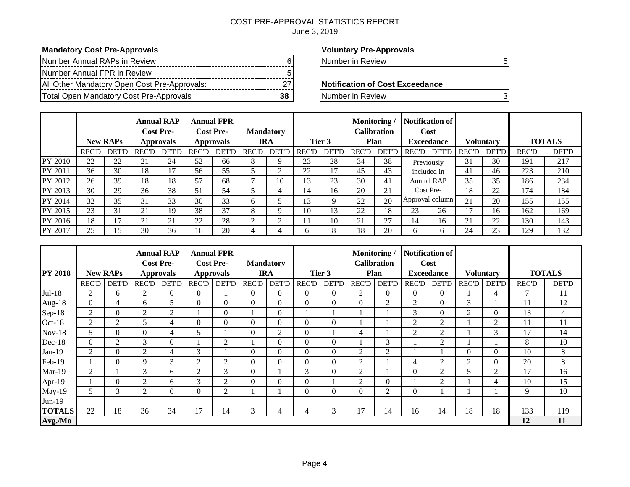### COST PRE-APPROVAL STATISTICS REPORT

#### June 3, 2019

#### **Mandatory Cost Pre-Approvals Voluntary Pre-Approvals**

| Number Annual RAPs in Review                 |     |
|----------------------------------------------|-----|
| Number Annual FPR in Review                  |     |
| All Other Mandatory Open Cost Pre-Approvals: |     |
| Total Open Mandatory Cost Pre-Approvals      | 38. |

Number in Review 6 Number in Review 6 Number in Review 6 Number 1988

#### **Notification of Cost Exceedance**

**The Manual Open Mandatory Cost Pre-Approvals** 3

|                |              | <b>New RAPs</b> |              | <b>Annual RAP</b><br><b>Cost Pre-</b><br><b>Approvals</b> |              | <b>Annual FPR</b><br><b>Cost Pre-</b><br><b>Approvals</b> |       | <b>Mandatory</b><br><b>IRA</b> |              | Tier 3 | Monitoring/ | Calibration<br>Plan |              | Notification of<br>Cost<br><b>Exceedance</b> |              | <b>Voluntary</b> |              | <b>TOTALS</b> |
|----------------|--------------|-----------------|--------------|-----------------------------------------------------------|--------------|-----------------------------------------------------------|-------|--------------------------------|--------------|--------|-------------|---------------------|--------------|----------------------------------------------|--------------|------------------|--------------|---------------|
|                | <b>REC'D</b> | <b>DET'D</b>    | <b>REC'D</b> | <b>DET'D</b>                                              | <b>REC'D</b> | <b>DET'D</b>                                              | REC'D | <b>DET'D</b>                   | <b>REC'D</b> | DET'D  | REC'D       | <b>DET'D</b>        | <b>REC'D</b> | DET'D                                        | <b>REC'D</b> | <b>DET'D</b>     | <b>REC'D</b> | <b>DET'D</b>  |
| PY 2010        | 22           | 22              | 21           | 24                                                        | 52           | 66                                                        | 8     |                                | 23           | 28     | 34          | 38                  |              | Previously                                   | 31           | 30               | 191          | 217           |
| PY 2011        | 36           | 30              | 18           | 17                                                        | 56           | 55                                                        |       |                                | 22           | 17     | 45          | 43                  |              | included in                                  |              | 46               | 223          | 210           |
| PY 2012        | 26           | 39              | 18           | 18                                                        | 57           | 68                                                        |       | 10                             | 13           | 23     | 30          | 41                  |              | <b>Annual RAP</b>                            | 35           | 35               | 186          | 234           |
| PY 2013        | 30           | 29              | 36           | 38                                                        | 51           | 54                                                        |       |                                | 14           | 16     | 20          | 21                  |              | Cost Pre-                                    | 18           | 22               | 174          | 184           |
| <b>PY 2014</b> | 32           | 35              | 31           | 33                                                        | 30           | 33                                                        | 6     |                                | 13           | Q      | 22          | 20                  |              | Approval column                              | 21           | 20               | 155          | 155           |
| <b>PY 2015</b> | 23           | 31              | 21           | 19                                                        | 38           | 37                                                        | 8     |                                | 10           | 13     | 22          | 18                  | 23           | 26                                           | 17           | 16               | 162          | 169           |
| <b>PY 2016</b> | 18           | 17              | 21           | 21                                                        | 22           | 28                                                        |       | $\sim$                         |              | 10     | 21          | 27                  | 14           | 16                                           | 21           | 22               | 130          | 143           |
| <b>PY 2017</b> | 25           | 15              | 30           | 36                                                        | 16           | 20                                                        |       |                                |              | 8      | 18          | 20                  | h.           | <sub>0</sub>                                 | 24           | 23               | 129          | 132           |

|                |              |                 | <b>Cost Pre-</b> | <b>Annual RAP</b> |              | <b>Annual FPR</b><br><b>Cost Pre-</b> |              | <b>Mandatory</b> |                |              | Monitoring/    | <b>Calibration</b> |          | <b>Notification of</b><br>Cost |                |                  |              |               |
|----------------|--------------|-----------------|------------------|-------------------|--------------|---------------------------------------|--------------|------------------|----------------|--------------|----------------|--------------------|----------|--------------------------------|----------------|------------------|--------------|---------------|
| <b>PY 2018</b> |              | <b>New RAPs</b> |                  | <b>Approvals</b>  |              | <b>Approvals</b>                      |              | <b>IRA</b>       |                | Tier 3       |                | Plan               |          | <b>Exceedance</b>              |                | <b>Voluntary</b> |              | <b>TOTALS</b> |
|                | <b>REC'D</b> | <b>DET'D</b>    | <b>REC'D</b>     | <b>DET'D</b>      | <b>REC'D</b> | <b>DET'D</b>                          | <b>REC'D</b> | <b>DET'D</b>     | <b>REC'D</b>   | <b>DET'D</b> | <b>REC'D</b>   | <b>DET'D</b>       | REC'D    | <b>DET'D</b>                   | <b>REC'D</b>   | <b>DET'D</b>     | <b>REC'D</b> | <b>DET'D</b>  |
| $Jul-18$       | 2            | 6               | 2                | $\overline{0}$    | 0            |                                       | $\Omega$     | 0                | $\Omega$       | $\Omega$     | $\overline{2}$ | 0                  | $\Omega$ | $\Omega$                       |                | 4                | ⇁            | 11            |
| Aug- $18$      | 0            | 4               | 6                | 5                 | 0            | $\Omega$                              | $\Omega$     | $\Omega$         | $\overline{0}$ | 0            | $\mathbf{0}$   | $\overline{c}$     | 2        | $\Omega$                       | 3              |                  | 11           | 12            |
| $Sep-18$       | 2            | $\Omega$        | $\overline{2}$   | $\overline{2}$    |              | $\Omega$                              |              | 0                |                |              |                |                    | 3        | $\Omega$                       | $\overline{c}$ | $\Omega$         | 13           | 4             |
| Oct-18         | 2            | 2               | 5                | 4                 | 0            | $\Omega$                              | $\Omega$     | $\Omega$         | $\Omega$       | 0            |                |                    | 2        | 2                              |                | 2                | 11           | 11            |
| $Nov-18$       | 5            | $\Omega$        | $\theta$         | 4                 | 5            |                                       | $\Omega$     | 2                | $\overline{0}$ |              | 4              |                    | 2        | 2                              |                | 3                | 17           | 14            |
| Dec-18         | $\Omega$     | 2               | 3                | $\mathbf{0}$      |              | 2                                     |              | 0                | $\Omega$       | 0            |                | 3                  |          | 2                              |                |                  | 8            | 10            |
| $Jan-19$       | 2            | $\Omega$        | $\overline{2}$   | 4                 | 3            |                                       | $\Omega$     | 0                | $\Omega$       | 0            | 2              | 2                  |          |                                | 0              | $\Omega$         | 10           | 8             |
| Feb-19         |              | $\Omega$        | 9                | 3                 | 2            | $\overline{2}$                        | $\Omega$     | $\Omega$         | $\Omega$       | 0            | 2              |                    | 4        | $\overline{2}$                 | 2              | $\Omega$         | 20           | 8             |
| Mar-19         | 2            |                 | 3                | 6                 | 2            | 3                                     | $\Omega$     |                  | 3              | 0            | $\overline{2}$ |                    | $\Omega$ | $\overline{2}$                 |                | 2                | 17           | 16            |
| Apr-19         |              | $\Omega$        | $\overline{2}$   | 6                 | 3            | $\overline{2}$                        | $\theta$     | $\Omega$         | $\overline{0}$ |              | $\overline{2}$ | 0                  |          | $\overline{2}$                 |                | 4                | 10           | 15            |
| May-19         | 5            | 3               | 2                | $\Omega$          | 0            | $\overline{2}$                        |              |                  | $\Omega$       | 0            | $\Omega$       | 2                  | $\theta$ |                                |                |                  | 9            | 10            |
| Jun-19         |              |                 |                  |                   |              |                                       |              |                  |                |              |                |                    |          |                                |                |                  |              |               |
| <b>TOTALS</b>  | 22           | 18              | 36               | 34                | 17           | 14                                    | 3            | 4                | 4              | 3            | 17             | 14                 | 16       | 14                             | 18             | 18               | 133          | 119           |
| Avg./Mo        |              |                 |                  |                   |              |                                       |              |                  |                |              |                |                    |          |                                |                |                  | 12           | 11            |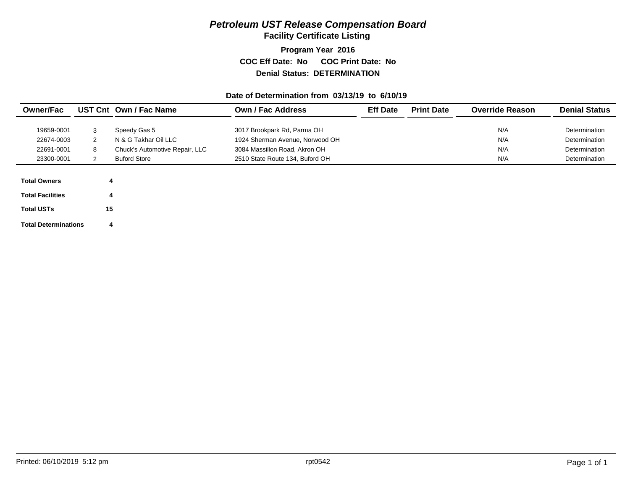**Facility Certificate Listing**

**Program Year 2016 COC Eff Date: No COC Print Date: No Denial Status: DETERMINATION**

#### **Date of Determination from 03/13/19 to 6/10/19**

| <b>Owner/Fac</b>        |    | UST Cnt Own / Fac Name         | <b>Own / Fac Address</b>        | <b>Eff Date</b> | <b>Print Date</b> | <b>Override Reason</b> | <b>Denial Status</b> |
|-------------------------|----|--------------------------------|---------------------------------|-----------------|-------------------|------------------------|----------------------|
| 19659-0001              | 3  | Speedy Gas 5                   | 3017 Brookpark Rd, Parma OH     |                 |                   | N/A                    | Determination        |
| 22674-0003              | 2  | N & G Takhar Oil LLC           | 1924 Sherman Avenue, Norwood OH |                 |                   | N/A                    | Determination        |
| 22691-0001              | 8  | Chuck's Automotive Repair, LLC | 3084 Massillon Road, Akron OH   |                 |                   | N/A                    | Determination        |
| 23300-0001              |    | <b>Buford Store</b>            | 2510 State Route 134, Buford OH |                 |                   | N/A                    | Determination        |
|                         |    |                                |                                 |                 |                   |                        |                      |
| <b>Total Owners</b>     | 4  |                                |                                 |                 |                   |                        |                      |
| <b>Total Facilities</b> | 4  |                                |                                 |                 |                   |                        |                      |
| <b>Total USTs</b>       | 15 |                                |                                 |                 |                   |                        |                      |

**Total Determinations 4**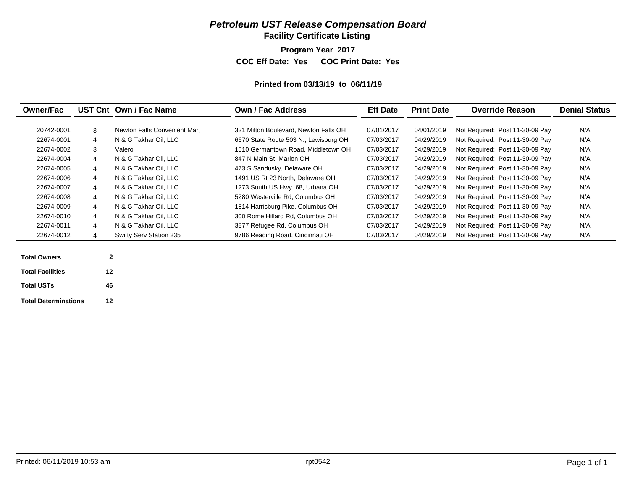**Facility Certificate Listing**

**Program Year 2017**

**COC Eff Date: Yes COC Print Date: Yes** 

#### **Printed from 03/13/19 to 06/11/19**

| <b>Owner/Fac</b> |                | UST Cnt Own / Fac Name       | <b>Own / Fac Address</b>              | <b>Eff Date</b> | <b>Print Date</b> | <b>Override Reason</b>          | <b>Denial Status</b> |
|------------------|----------------|------------------------------|---------------------------------------|-----------------|-------------------|---------------------------------|----------------------|
|                  |                | Newton Falls Convenient Mart |                                       | 07/01/2017      |                   |                                 |                      |
| 20742-0001       | 3              |                              | 321 Milton Boulevard, Newton Falls OH |                 | 04/01/2019        | Not Required: Post 11-30-09 Pay | N/A                  |
| 22674-0001       | $\overline{4}$ | N & G Takhar Oil, LLC        | 6670 State Route 503 N., Lewisburg OH | 07/03/2017      | 04/29/2019        | Not Required: Post 11-30-09 Pay | N/A                  |
| 22674-0002       | 3              | Valero                       | 1510 Germantown Road, Middletown OH   | 07/03/2017      | 04/29/2019        | Not Required: Post 11-30-09 Pay | N/A                  |
| 22674-0004       | 4              | N & G Takhar Oil, LLC        | 847 N Main St, Marion OH              | 07/03/2017      | 04/29/2019        | Not Required: Post 11-30-09 Pay | N/A                  |
| 22674-0005       | 4              | N & G Takhar Oil, LLC        | 473 S Sandusky, Delaware OH           | 07/03/2017      | 04/29/2019        | Not Required: Post 11-30-09 Pay | N/A                  |
| 22674-0006       | 4              | N & G Takhar Oil, LLC        | 1491 US Rt 23 North, Delaware OH      | 07/03/2017      | 04/29/2019        | Not Required: Post 11-30-09 Pay | N/A                  |
| 22674-0007       | 4              | N & G Takhar Oil, LLC        | 1273 South US Hwy. 68, Urbana OH      | 07/03/2017      | 04/29/2019        | Not Required: Post 11-30-09 Pay | N/A                  |
| 22674-0008       | 4              | N & G Takhar Oil, LLC        | 5280 Westerville Rd. Columbus OH      | 07/03/2017      | 04/29/2019        | Not Required: Post 11-30-09 Pay | N/A                  |
| 22674-0009       | 4              | N & G Takhar Oil, LLC        | 1814 Harrisburg Pike, Columbus OH     | 07/03/2017      | 04/29/2019        | Not Required: Post 11-30-09 Pay | N/A                  |
| 22674-0010       | $\overline{4}$ | N & G Takhar Oil, LLC        | 300 Rome Hillard Rd. Columbus OH      | 07/03/2017      | 04/29/2019        | Not Required: Post 11-30-09 Pay | N/A                  |
| 22674-0011       | 4              | N & G Takhar Oil, LLC        | 3877 Refugee Rd, Columbus OH          | 07/03/2017      | 04/29/2019        | Not Required: Post 11-30-09 Pay | N/A                  |
| 22674-0012       | 4              | Swifty Serv Station 235      | 9786 Reading Road, Cincinnati OH      | 07/03/2017      | 04/29/2019        | Not Required: Post 11-30-09 Pay | N/A                  |
|                  |                |                              |                                       |                 |                   |                                 |                      |

| <b>Total Owners</b>         | 2  |
|-----------------------------|----|
| <b>Total Facilities</b>     | 12 |
| <b>Total USTs</b>           | 46 |
| <b>Total Determinations</b> | 12 |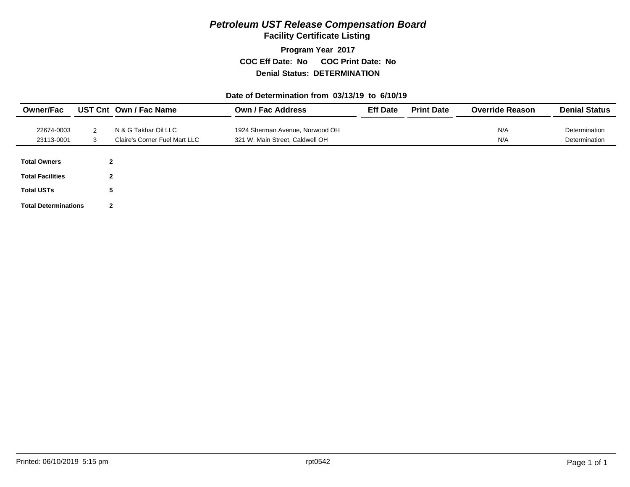**Facility Certificate Listing**

**Program Year 2017 COC Eff Date: No COC Print Date: No Denial Status: DETERMINATION**

#### **Date of Determination from 03/13/19 to 6/10/19**

| <b>Owner/Fac</b>            |                         | UST Cnt Own / Fac Name        | <b>Own / Fac Address</b>        | <b>Eff Date</b> | <b>Print Date</b> | <b>Override Reason</b> | <b>Denial Status</b> |
|-----------------------------|-------------------------|-------------------------------|---------------------------------|-----------------|-------------------|------------------------|----------------------|
| 22674-0003                  | $\mathcal{P}$           | N & G Takhar Oil LLC          | 1924 Sherman Avenue, Norwood OH |                 |                   | N/A                    | Determination        |
| 23113-0001                  | 3                       | Claire's Corner Fuel Mart LLC | 321 W. Main Street, Caldwell OH |                 |                   | N/A                    | Determination        |
|                             |                         |                               |                                 |                 |                   |                        |                      |
| <b>Total Owners</b>         | $\mathbf{2}$            |                               |                                 |                 |                   |                        |                      |
| <b>Total Facilities</b>     | $\mathbf{2}$            |                               |                                 |                 |                   |                        |                      |
| <b>Total USTs</b>           | 5                       |                               |                                 |                 |                   |                        |                      |
| <b>Total Determinations</b> | $\overline{\mathbf{2}}$ |                               |                                 |                 |                   |                        |                      |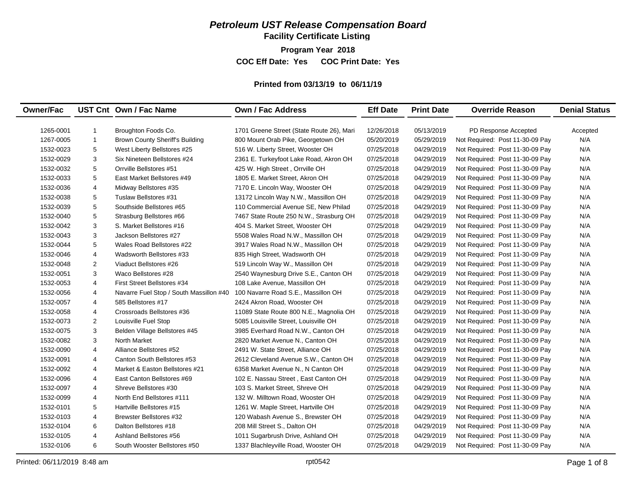**Facility Certificate Listing**

**Program Year 2018 COC Eff Date: Yes COC Print Date: Yes** 

#### **Printed from 03/13/19 to 06/11/19**

| <b>Owner/Fac</b> |                | UST Cnt Own / Fac Name                  | <b>Own / Fac Address</b>                  | <b>Eff Date</b> | <b>Print Date</b> | <b>Override Reason</b>          | <b>Denial Status</b> |
|------------------|----------------|-----------------------------------------|-------------------------------------------|-----------------|-------------------|---------------------------------|----------------------|
|                  |                |                                         |                                           |                 |                   |                                 |                      |
| 1265-0001        | $\mathbf{1}$   | Broughton Foods Co.                     | 1701 Greene Street (State Route 26), Mari | 12/26/2018      | 05/13/2019        | PD Response Accepted            | Accepted             |
| 1267-0005        | $\mathbf{1}$   | Brown County Sheriff's Building         | 800 Mount Orab Pike, Georgetown OH        | 05/20/2019      | 05/29/2019        | Not Required: Post 11-30-09 Pay | N/A                  |
| 1532-0023        | 5              | West Liberty Bellstores #25             | 516 W. Liberty Street, Wooster OH         | 07/25/2018      | 04/29/2019        | Not Required: Post 11-30-09 Pay | N/A                  |
| 1532-0029        | 3              | Six Nineteen Bellstores #24             | 2361 E. Turkeyfoot Lake Road, Akron OH    | 07/25/2018      | 04/29/2019        | Not Required: Post 11-30-09 Pay | N/A                  |
| 1532-0032        | 5              | Orrville Bellstores #51                 | 425 W. High Street, Orrville OH           | 07/25/2018      | 04/29/2019        | Not Required: Post 11-30-09 Pay | N/A                  |
| 1532-0033        | 5              | East Market Bellstores #49              | 1805 E. Market Street, Akron OH           | 07/25/2018      | 04/29/2019        | Not Required: Post 11-30-09 Pay | N/A                  |
| 1532-0036        | $\overline{4}$ | Midway Bellstores #35                   | 7170 E. Lincoln Way, Wooster OH           | 07/25/2018      | 04/29/2019        | Not Required: Post 11-30-09 Pay | N/A                  |
| 1532-0038        | 5              | Tuslaw Bellstores #31                   | 13172 Lincoln Way N.W., Massillon OH      | 07/25/2018      | 04/29/2019        | Not Required: Post 11-30-09 Pay | N/A                  |
| 1532-0039        | 5              | Southside Bellstores #65                | 110 Commercial Avenue SE, New Philad      | 07/25/2018      | 04/29/2019        | Not Required: Post 11-30-09 Pay | N/A                  |
| 1532-0040        | 5              | Strasburg Bellstores #66                | 7467 State Route 250 N.W., Strasburg OH   | 07/25/2018      | 04/29/2019        | Not Required: Post 11-30-09 Pay | N/A                  |
| 1532-0042        | 3              | S. Market Bellstores #16                | 404 S. Market Street, Wooster OH          | 07/25/2018      | 04/29/2019        | Not Required: Post 11-30-09 Pay | N/A                  |
| 1532-0043        | 3              | Jackson Bellstores #27                  | 5508 Wales Road N.W., Massillon OH        | 07/25/2018      | 04/29/2019        | Not Required: Post 11-30-09 Pay | N/A                  |
| 1532-0044        | 5              | Wales Road Bellstores #22               | 3917 Wales Road N.W., Massillon OH        | 07/25/2018      | 04/29/2019        | Not Required: Post 11-30-09 Pay | N/A                  |
| 1532-0046        | $\overline{4}$ | Wadsworth Bellstores #33                | 835 High Street, Wadsworth OH             | 07/25/2018      | 04/29/2019        | Not Required: Post 11-30-09 Pay | N/A                  |
| 1532-0048        | $\overline{2}$ | Viaduct Bellstores #26                  | 519 Lincoln Way W., Massillon OH          | 07/25/2018      | 04/29/2019        | Not Required: Post 11-30-09 Pay | N/A                  |
| 1532-0051        | 3              | Waco Bellstores #28                     | 2540 Waynesburg Drive S.E., Canton OH     | 07/25/2018      | 04/29/2019        | Not Required: Post 11-30-09 Pay | N/A                  |
| 1532-0053        | $\overline{4}$ | First Street Bellstores #34             | 108 Lake Avenue, Massillon OH             | 07/25/2018      | 04/29/2019        | Not Required: Post 11-30-09 Pay | N/A                  |
| 1532-0056        | $\overline{4}$ | Navarre Fuel Stop / South Massillon #40 | 100 Navarre Road S.E., Massillon OH       | 07/25/2018      | 04/29/2019        | Not Required: Post 11-30-09 Pay | N/A                  |
| 1532-0057        | $\overline{4}$ | 585 Bellstores #17                      | 2424 Akron Road, Wooster OH               | 07/25/2018      | 04/29/2019        | Not Required: Post 11-30-09 Pay | N/A                  |
| 1532-0058        | 4              | Crossroads Bellstores #36               | 11089 State Route 800 N.E., Magnolia OH   | 07/25/2018      | 04/29/2019        | Not Required: Post 11-30-09 Pay | N/A                  |
| 1532-0073        | $\overline{2}$ | Louisville Fuel Stop                    | 5085 Louisville Street, Louisville OH     | 07/25/2018      | 04/29/2019        | Not Required: Post 11-30-09 Pay | N/A                  |
| 1532-0075        | 3              | Belden Village Bellstores #45           | 3985 Everhard Road N.W., Canton OH        | 07/25/2018      | 04/29/2019        | Not Required: Post 11-30-09 Pay | N/A                  |
| 1532-0082        | 3              | <b>North Market</b>                     | 2820 Market Avenue N., Canton OH          | 07/25/2018      | 04/29/2019        | Not Required: Post 11-30-09 Pay | N/A                  |
| 1532-0090        | $\overline{4}$ | Alliance Bellstores #52                 | 2491 W. State Street, Alliance OH         | 07/25/2018      | 04/29/2019        | Not Required: Post 11-30-09 Pay | N/A                  |
| 1532-0091        | $\overline{4}$ | Canton South Bellstores #53             | 2612 Cleveland Avenue S.W., Canton OH     | 07/25/2018      | 04/29/2019        | Not Required: Post 11-30-09 Pay | N/A                  |
| 1532-0092        | $\overline{4}$ | Market & Easton Bellstores #21          | 6358 Market Avenue N., N Canton OH        | 07/25/2018      | 04/29/2019        | Not Required: Post 11-30-09 Pay | N/A                  |
| 1532-0096        | $\overline{4}$ | East Canton Bellstores #69              | 102 E. Nassau Street, East Canton OH      | 07/25/2018      | 04/29/2019        | Not Required: Post 11-30-09 Pay | N/A                  |
| 1532-0097        | 4              | Shreve Bellstores #30                   | 103 S. Market Street, Shreve OH           | 07/25/2018      | 04/29/2019        | Not Required: Post 11-30-09 Pay | N/A                  |
| 1532-0099        | 4              | North End Bellstores #111               | 132 W. Milltown Road, Wooster OH          | 07/25/2018      | 04/29/2019        | Not Required: Post 11-30-09 Pay | N/A                  |
| 1532-0101        | 5              | Hartville Bellstores #15                | 1261 W. Maple Street, Hartville OH        | 07/25/2018      | 04/29/2019        | Not Required: Post 11-30-09 Pay | N/A                  |
| 1532-0103        | $\overline{4}$ | Brewster Bellstores #32                 | 120 Wabash Avenue S., Brewster OH         | 07/25/2018      | 04/29/2019        | Not Required: Post 11-30-09 Pay | N/A                  |
| 1532-0104        | 6              | Dalton Bellstores #18                   | 208 Mill Street S., Dalton OH             | 07/25/2018      | 04/29/2019        | Not Required: Post 11-30-09 Pay | N/A                  |
| 1532-0105        | $\overline{4}$ | Ashland Bellstores #56                  | 1011 Sugarbrush Drive, Ashland OH         | 07/25/2018      | 04/29/2019        | Not Required: Post 11-30-09 Pay | N/A                  |
| 1532-0106        | 6              | South Wooster Bellstores #50            | 1337 Blachleyville Road, Wooster OH       | 07/25/2018      | 04/29/2019        | Not Required: Post 11-30-09 Pay | N/A                  |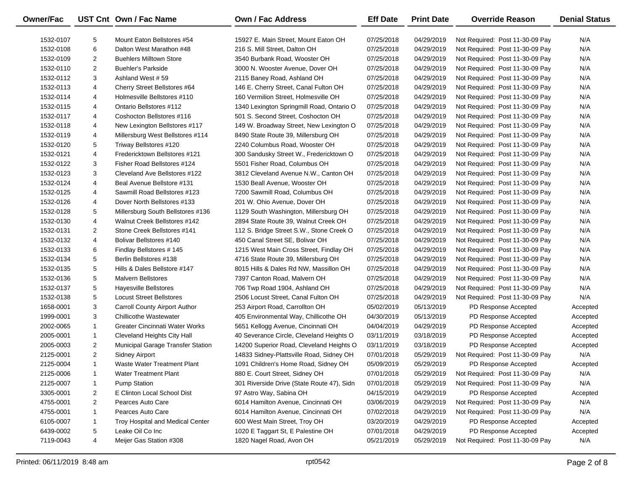| Owner/Fac |                | UST Cnt Own / Fac Name                | <b>Own / Fac Address</b>                   | <b>Eff Date</b> | <b>Print Date</b> | <b>Override Reason</b>          | <b>Denial Status</b> |
|-----------|----------------|---------------------------------------|--------------------------------------------|-----------------|-------------------|---------------------------------|----------------------|
| 1532-0107 | 5              | Mount Eaton Bellstores #54            | 15927 E. Main Street, Mount Eaton OH       | 07/25/2018      | 04/29/2019        | Not Required: Post 11-30-09 Pay | N/A                  |
| 1532-0108 | 6              | Dalton West Marathon #48              | 216 S. Mill Street, Dalton OH              | 07/25/2018      | 04/29/2019        | Not Required: Post 11-30-09 Pay | N/A                  |
| 1532-0109 | $\overline{2}$ | <b>Buehlers Milltown Store</b>        | 3540 Burbank Road, Wooster OH              | 07/25/2018      | 04/29/2019        | Not Required: Post 11-30-09 Pay | N/A                  |
| 1532-0110 | $\overline{2}$ | <b>Buehler's Parkside</b>             | 3000 N. Wooster Avenue, Dover OH           | 07/25/2018      | 04/29/2019        | Not Required: Post 11-30-09 Pay | N/A                  |
| 1532-0112 | 3              | Ashland West #59                      | 2115 Baney Road, Ashland OH                | 07/25/2018      | 04/29/2019        | Not Required: Post 11-30-09 Pay | N/A                  |
| 1532-0113 | 4              | Cherry Street Bellstores #64          | 146 E. Cherry Street, Canal Fulton OH      | 07/25/2018      | 04/29/2019        | Not Required: Post 11-30-09 Pay | N/A                  |
| 1532-0114 | 4              | Holmesville Bellstores #110           | 160 Vermilion Street, Holmesville OH       | 07/25/2018      | 04/29/2019        | Not Required: Post 11-30-09 Pay | N/A                  |
| 1532-0115 | 4              | Ontario Bellstores #112               | 1340 Lexington Springmill Road, Ontario O  | 07/25/2018      | 04/29/2019        | Not Required: Post 11-30-09 Pay | N/A                  |
| 1532-0117 | 4              | Coshocton Bellstores #116             | 501 S. Second Street, Coshocton OH         | 07/25/2018      | 04/29/2019        | Not Required: Post 11-30-09 Pay | N/A                  |
| 1532-0118 | 4              | New Lexington Bellstores #117         | 149 W. Broadway Street, New Lexington O    | 07/25/2018      | 04/29/2019        | Not Required: Post 11-30-09 Pay | N/A                  |
| 1532-0119 | 4              | Millersburg West Bellstores #114      | 8490 State Route 39, Millersburg OH        | 07/25/2018      | 04/29/2019        | Not Required: Post 11-30-09 Pay | N/A                  |
| 1532-0120 | 5              | Triway Bellstores #120                | 2240 Columbus Road, Wooster OH             | 07/25/2018      | 04/29/2019        | Not Required: Post 11-30-09 Pay | N/A                  |
| 1532-0121 | 4              | Fredericktown Bellstores #121         | 300 Sandusky Street W., Fredericktown O    | 07/25/2018      | 04/29/2019        | Not Required: Post 11-30-09 Pay | N/A                  |
| 1532-0122 | 3              | Fisher Road Bellstores #124           | 5501 Fisher Road, Columbus OH              | 07/25/2018      | 04/29/2019        | Not Required: Post 11-30-09 Pay | N/A                  |
| 1532-0123 | 3              | Cleveland Ave Bellstores #122         | 3812 Cleveland Avenue N.W., Canton OH      | 07/25/2018      | 04/29/2019        | Not Required: Post 11-30-09 Pay | N/A                  |
| 1532-0124 | 4              | Beal Avenue Bellstore #131            | 1530 Beall Avenue, Wooster OH              | 07/25/2018      | 04/29/2019        | Not Required: Post 11-30-09 Pay | N/A                  |
| 1532-0125 | 4              | Sawmill Road Bellstores #123          | 7200 Sawmill Road, Columbus OH             | 07/25/2018      | 04/29/2019        | Not Required: Post 11-30-09 Pay | N/A                  |
| 1532-0126 | 4              | Dover North Bellstores #133           | 201 W. Ohio Avenue, Dover OH               | 07/25/2018      | 04/29/2019        | Not Required: Post 11-30-09 Pay | N/A                  |
| 1532-0128 | 5              | Millersburg South Bellstores #136     | 1129 South Washington, Millersburg OH      | 07/25/2018      | 04/29/2019        | Not Required: Post 11-30-09 Pay | N/A                  |
| 1532-0130 | $\overline{4}$ | Walnut Creek Bellstores #142          | 2894 State Route 39, Walnut Creek OH       | 07/25/2018      | 04/29/2019        | Not Required: Post 11-30-09 Pay | N/A                  |
| 1532-0131 | $\overline{2}$ | Stone Creek Bellstores #141           | 112 S. Bridge Street S.W., Stone Creek O   | 07/25/2018      | 04/29/2019        | Not Required: Post 11-30-09 Pay | N/A                  |
| 1532-0132 | 4              | Bolivar Bellstores #140               | 450 Canal Street SE, Bolivar OH            | 07/25/2018      | 04/29/2019        | Not Required: Post 11-30-09 Pay | N/A                  |
| 1532-0133 | 6              | Findlay Bellstores #145               | 1215 West Main Cross Street, Findlay OH    | 07/25/2018      | 04/29/2019        | Not Required: Post 11-30-09 Pay | N/A                  |
| 1532-0134 | 5              | Berlin Bellstores #138                | 4716 State Route 39, Millersburg OH        | 07/25/2018      | 04/29/2019        | Not Required: Post 11-30-09 Pay | N/A                  |
| 1532-0135 | 5              | Hills & Dales Bellstore #147          | 8015 Hills & Dales Rd NW, Massillon OH     | 07/25/2018      | 04/29/2019        | Not Required: Post 11-30-09 Pay | N/A                  |
| 1532-0136 | 5              | <b>Malvern Bellstores</b>             | 7397 Canton Road, Malvern OH               | 07/25/2018      | 04/29/2019        | Not Required: Post 11-30-09 Pay | N/A                  |
| 1532-0137 | 5              | <b>Hayesville Bellstores</b>          | 706 Twp Road 1904, Ashland OH              | 07/25/2018      | 04/29/2019        | Not Required: Post 11-30-09 Pay | N/A                  |
| 1532-0138 | 5              | <b>Locust Street Bellstores</b>       | 2506 Locust Street, Canal Fulton OH        | 07/25/2018      | 04/29/2019        | Not Required: Post 11-30-09 Pay | N/A                  |
| 1658-0001 | 3              | Carroll County Airport Author         | 253 Airport Road, Carrollton OH            | 05/02/2019      | 05/13/2019        | PD Response Accepted            | Accepted             |
| 1999-0001 | 3              | <b>Chillicothe Wastewater</b>         | 405 Environmental Way, Chillicothe OH      | 04/30/2019      | 05/13/2019        | PD Response Accepted            | Accepted             |
| 2002-0065 | $\mathbf{1}$   | <b>Greater Cincinnati Water Works</b> | 5651 Kellogg Avenue, Cincinnati OH         | 04/04/2019      | 04/29/2019        | PD Response Accepted            | Accepted             |
| 2005-0001 | $\mathbf{1}$   | Cleveland Heights City Hall           | 40 Severance Circle, Cleveland Heights O   | 03/11/2019      | 03/18/2019        | PD Response Accepted            | Accepted             |
| 2005-0003 | $\overline{2}$ | Municipal Garage Transfer Station     | 14200 Superior Road, Cleveland Heights O   | 03/11/2019      | 03/18/2019        | PD Response Accepted            | Accepted             |
| 2125-0001 | $\overline{2}$ | <b>Sidney Airport</b>                 | 14833 Sidney-Plattsville Road, Sidney OH   | 07/01/2018      | 05/29/2019        | Not Required: Post 11-30-09 Pay | N/A                  |
| 2125-0004 | $\mathbf{1}$   | Waste Water Treatment Plant           | 1091 Children's Home Road, Sidney OH       | 05/09/2019      | 05/29/2019        | PD Response Accepted            | Accepted             |
| 2125-0006 | -1             | <b>Water Treatment Plant</b>          | 880 E. Court Street, Sidney OH             | 07/01/2018      | 05/29/2019        | Not Required: Post 11-30-09 Pay | N/A                  |
| 2125-0007 | -1             | <b>Pump Station</b>                   | 301 Riverside Drive (State Route 47), Sidn | 07/01/2018      | 05/29/2019        | Not Required: Post 11-30-09 Pay | N/A                  |
| 3305-0001 | 2              | E Clinton Local School Dist           | 97 Astro Way, Sabina OH                    | 04/15/2019      | 04/29/2019        | PD Response Accepted            | Accepted             |
| 4755-0001 | $\overline{2}$ | Pearces Auto Care                     | 6014 Hamilton Avenue, Cincinnati OH        | 03/06/2019      | 04/29/2019        | Not Required: Post 11-30-09 Pay | N/A                  |
| 4755-0001 | 1              | Pearces Auto Care                     | 6014 Hamilton Avenue, Cincinnati OH        | 07/02/2018      | 04/29/2019        | Not Required: Post 11-30-09 Pay | N/A                  |
| 6105-0007 |                | Troy Hospital and Medical Center      | 600 West Main Street, Troy OH              | 03/20/2019      | 04/29/2019        | PD Response Accepted            | Accepted             |
| 6439-0002 | 5              | Leake Oil Co Inc                      | 1020 E Taggart St, E Palestine OH          | 07/01/2018      | 04/29/2019        | PD Response Accepted            | Accepted             |
| 7119-0043 | 4              | Meijer Gas Station #308               | 1820 Nagel Road, Avon OH                   | 05/21/2019      | 05/29/2019        | Not Required: Post 11-30-09 Pay | N/A                  |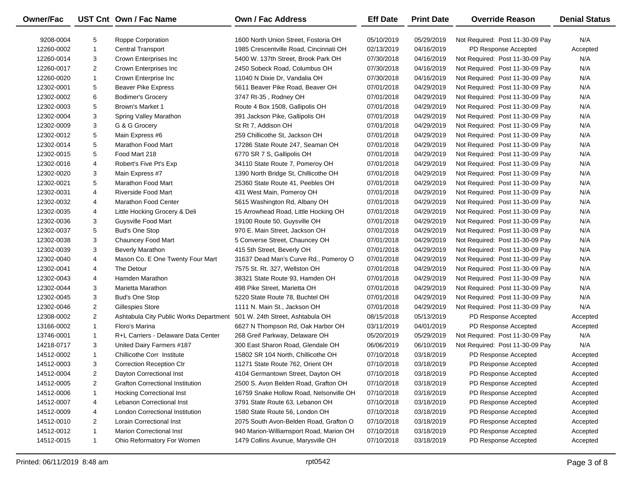| <b>Owner/Fac</b> |                | UST Cnt Own / Fac Name                  | Own / Fac Address                       | <b>Eff Date</b> | <b>Print Date</b> | <b>Override Reason</b>          | <b>Denial Status</b> |
|------------------|----------------|-----------------------------------------|-----------------------------------------|-----------------|-------------------|---------------------------------|----------------------|
| 9208-0004        | 5              | Roppe Corporation                       | 1600 North Union Street, Fostoria OH    | 05/10/2019      | 05/29/2019        | Not Required: Post 11-30-09 Pay | N/A                  |
| 12260-0002       | $\mathbf{1}$   | <b>Central Transport</b>                | 1985 Crescentville Road, Cincinnati OH  | 02/13/2019      | 04/16/2019        | PD Response Accepted            | Accepted             |
| 12260-0014       | 3              | Crown Enterprises Inc                   | 5400 W. 137th Street, Brook Park OH     | 07/30/2018      | 04/16/2019        | Not Required: Post 11-30-09 Pay | N/A                  |
| 12260-0017       | $\overline{2}$ | Crown Enterprises Inc                   | 2450 Sobeck Road, Columbus OH           | 07/30/2018      | 04/16/2019        | Not Required: Post 11-30-09 Pay | N/A                  |
| 12260-0020       | $\mathbf{1}$   | Crown Enterprise Inc                    | 11040 N Dixie Dr, Vandalia OH           | 07/30/2018      | 04/16/2019        | Not Required: Post 11-30-09 Pay | N/A                  |
| 12302-0001       | 5              | <b>Beaver Pike Express</b>              | 5611 Beaver Pike Road, Beaver OH        | 07/01/2018      | 04/29/2019        | Not Required: Post 11-30-09 Pay | N/A                  |
| 12302-0002       | 6              | <b>Bodimer's Grocery</b>                | 3747 Rt-35, Rodney OH                   | 07/01/2018      | 04/29/2019        | Not Required: Post 11-30-09 Pay | N/A                  |
| 12302-0003       | 5              | Brown's Market 1                        | Route 4 Box 1508, Gallipolis OH         | 07/01/2018      | 04/29/2019        | Not Required: Post 11-30-09 Pay | N/A                  |
| 12302-0004       | 3              | Spring Valley Marathon                  | 391 Jackson Pike, Gallipolis OH         | 07/01/2018      | 04/29/2019        | Not Required: Post 11-30-09 Pay | N/A                  |
| 12302-0009       | 3              | G & G Grocery                           | St Rt 7, Addison OH                     | 07/01/2018      | 04/29/2019        | Not Required: Post 11-30-09 Pay | N/A                  |
| 12302-0012       | 5              | Main Express #6                         | 259 Chillicothe St, Jackson OH          | 07/01/2018      | 04/29/2019        | Not Required: Post 11-30-09 Pay | N/A                  |
| 12302-0014       | 5              | Marathon Food Mart                      | 17286 State Route 247, Seaman OH        | 07/01/2018      | 04/29/2019        | Not Required: Post 11-30-09 Pay | N/A                  |
| 12302-0015       | 5              | Food Mart 218                           | 6770 SR 7 S, Gallipolis OH              | 07/01/2018      | 04/29/2019        | Not Required: Post 11-30-09 Pay | N/A                  |
| 12302-0016       | 4              | Robert's Five Pt's Exp                  | 34110 State Route 7, Pomeroy OH         | 07/01/2018      | 04/29/2019        | Not Required: Post 11-30-09 Pay | N/A                  |
| 12302-0020       | 3              | Main Express #7                         | 1390 North Bridge St, Chillicothe OH    | 07/01/2018      | 04/29/2019        | Not Required: Post 11-30-09 Pay | N/A                  |
| 12302-0021       | 5              | Marathon Food Mart                      | 25360 State Route 41, Peebles OH        | 07/01/2018      | 04/29/2019        | Not Required: Post 11-30-09 Pay | N/A                  |
| 12302-0031       | 4              | <b>Riverside Food Mart</b>              | 431 West Main, Pomeroy OH               | 07/01/2018      | 04/29/2019        | Not Required: Post 11-30-09 Pay | N/A                  |
| 12302-0032       | 4              | <b>Marathon Food Center</b>             | 5615 Washington Rd, Albany OH           | 07/01/2018      | 04/29/2019        | Not Required: Post 11-30-09 Pay | N/A                  |
| 12302-0035       | 4              | Little Hocking Grocery & Deli           | 15 Arrowhead Road, Little Hocking OH    | 07/01/2018      | 04/29/2019        | Not Required: Post 11-30-09 Pay | N/A                  |
| 12302-0036       | 3              | <b>Guysville Food Mart</b>              | 19100 Route 50, Guysville OH            | 07/01/2018      | 04/29/2019        | Not Required: Post 11-30-09 Pay | N/A                  |
| 12302-0037       | 5              | <b>Bud's One Stop</b>                   | 970 E. Main Street, Jackson OH          | 07/01/2018      | 04/29/2019        | Not Required: Post 11-30-09 Pay | N/A                  |
| 12302-0038       | 3              | Chauncey Food Mart                      | 5 Converse Street, Chauncey OH          | 07/01/2018      | 04/29/2019        | Not Required: Post 11-30-09 Pay | N/A                  |
| 12302-0039       | 3              | Beverly Marathon                        | 415 5th Street, Beverly OH              | 07/01/2018      | 04/29/2019        | Not Required: Post 11-30-09 Pay | N/A                  |
| 12302-0040       | 4              | Mason Co. E One Twenty Four Mart        | 31637 Dead Man's Curve Rd., Pomeroy O   | 07/01/2018      | 04/29/2019        | Not Required: Post 11-30-09 Pay | N/A                  |
| 12302-0041       | 4              | The Detour                              | 7575 St. Rt. 327, Wellston OH           | 07/01/2018      | 04/29/2019        | Not Required: Post 11-30-09 Pay | N/A                  |
| 12302-0043       | 4              | Hamden Marathon                         | 38321 State Route 93, Hamden OH         | 07/01/2018      | 04/29/2019        | Not Required: Post 11-30-09 Pay | N/A                  |
| 12302-0044       | 3              | Marietta Marathon                       | 498 Pike Street, Marietta OH            | 07/01/2018      | 04/29/2019        | Not Required: Post 11-30-09 Pay | N/A                  |
| 12302-0045       | 3              | <b>Bud's One Stop</b>                   | 5220 State Route 78, Buchtel OH         | 07/01/2018      | 04/29/2019        | Not Required: Post 11-30-09 Pay | N/A                  |
| 12302-0046       | $\overline{2}$ | Gillespies Store                        | 1111 N. Main St., Jackson OH            | 07/01/2018      | 04/29/2019        | Not Required: Post 11-30-09 Pay | N/A                  |
| 12308-0002       | $\overline{2}$ | Ashtabula City Public Works Department  | 501 W. 24th Street, Ashtabula OH        | 08/15/2018      | 05/13/2019        | PD Response Accepted            | Accepted             |
| 13166-0002       | $\mathbf{1}$   | Floro's Marina                          | 6627 N Thompson Rd, Oak Harbor OH       | 03/11/2019      | 04/01/2019        | PD Response Accepted            | Accepted             |
| 13746-0001       | $\mathbf{1}$   | R+L Carriers - Delaware Data Center     | 268 Greif Parkway, Delaware OH          | 05/20/2019      | 05/29/2019        | Not Required: Post 11-30-09 Pay | N/A                  |
| 14218-0717       | 3              | United Dairy Farmers #187               | 300 East Sharon Road, Glendale OH       | 06/06/2019      | 06/10/2019        | Not Required: Post 11-30-09 Pay | N/A                  |
| 14512-0002       | $\mathbf{1}$   | Chillicothe Corr Institute              | 15802 SR 104 North, Chillicothe OH      | 07/10/2018      | 03/18/2019        | PD Response Accepted            | Accepted             |
| 14512-0003       | 3              | <b>Correction Reception Ctr</b>         | 11271 State Route 762, Orient OH        | 07/10/2018      | 03/18/2019        | PD Response Accepted            | Accepted             |
| 14512-0004       | 2              | Dayton Correctional Inst                | 4104 Germantown Street, Dayton OH       | 07/10/2018      | 03/18/2019        | PD Response Accepted            | Accepted             |
| 14512-0005       | $\overline{2}$ | <b>Grafton Correctional Institution</b> | 2500 S. Avon Belden Road, Grafton OH    | 07/10/2018      | 03/18/2019        | PD Response Accepted            | Accepted             |
| 14512-0006       | $\mathbf{1}$   | <b>Hocking Correctional Inst</b>        | 16759 Snake Hollow Road, Nelsonville OH | 07/10/2018      | 03/18/2019        | PD Response Accepted            | Accepted             |
| 14512-0007       | 4              | <b>Lebanon Correctional Inst</b>        | 3791 State Route 63, Lebanon OH         | 07/10/2018      | 03/18/2019        | PD Response Accepted            | Accepted             |
| 14512-0009       | 4              | London Correctional Institution         | 1580 State Route 56, London OH          | 07/10/2018      | 03/18/2019        | PD Response Accepted            | Accepted             |
| 14512-0010       | $\overline{2}$ | Lorain Correctional Inst                | 2075 South Avon-Belden Road, Grafton O  | 07/10/2018      | 03/18/2019        | PD Response Accepted            | Accepted             |
| 14512-0012       | $\mathbf{1}$   | <b>Marion Correctional Inst</b>         | 940 Marion-Williamsport Road, Marion OH | 07/10/2018      | 03/18/2019        | PD Response Accepted            | Accepted             |
| 14512-0015       | $\mathbf{1}$   | Ohio Reformatory For Women              | 1479 Collins Avunue, Marysville OH      | 07/10/2018      | 03/18/2019        | PD Response Accepted            | Accepted             |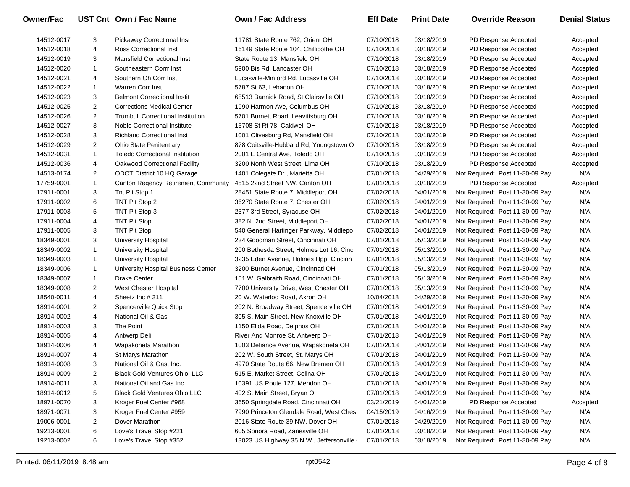| Owner/Fac  |                | UST Cnt Own / Fac Name                     | <b>Own / Fac Address</b>                 | <b>Eff Date</b> | <b>Print Date</b> | <b>Override Reason</b>          | <b>Denial Status</b> |
|------------|----------------|--------------------------------------------|------------------------------------------|-----------------|-------------------|---------------------------------|----------------------|
| 14512-0017 | 3              | <b>Pickaway Correctional Inst</b>          | 11781 State Route 762, Orient OH         | 07/10/2018      | 03/18/2019        | PD Response Accepted            | Accepted             |
| 14512-0018 | 4              | <b>Ross Correctional Inst</b>              | 16149 State Route 104, Chillicothe OH    | 07/10/2018      | 03/18/2019        | PD Response Accepted            | Accepted             |
| 14512-0019 | 3              | <b>Mansfield Correctional Inst</b>         | State Route 13. Mansfield OH             | 07/10/2018      | 03/18/2019        | PD Response Accepted            | Accepted             |
| 14512-0020 | $\mathbf{1}$   | Southeastern Corrr Inst                    | 5900 Bis Rd, Lancaster OH                | 07/10/2018      | 03/18/2019        | PD Response Accepted            | Accepted             |
| 14512-0021 | 4              | Southern Oh Corr Inst                      | Lucasville-Minford Rd, Lucasville OH     | 07/10/2018      | 03/18/2019        | PD Response Accepted            | Accepted             |
| 14512-0022 | 1              | <b>Warren Corr Inst</b>                    | 5787 St 63, Lebanon OH                   | 07/10/2018      | 03/18/2019        | PD Response Accepted            | Accepted             |
| 14512-0023 | 3              | <b>Belmont Correctional Instit</b>         | 68513 Bannick Road, St Clairsville OH    | 07/10/2018      | 03/18/2019        | PD Response Accepted            | Accepted             |
| 14512-0025 | $\overline{2}$ | <b>Corrections Medical Center</b>          | 1990 Harmon Ave, Columbus OH             | 07/10/2018      | 03/18/2019        | PD Response Accepted            | Accepted             |
| 14512-0026 | $\overline{2}$ | <b>Trumbull Correctional Institution</b>   | 5701 Burnett Road, Leavittsburg OH       | 07/10/2018      | 03/18/2019        | PD Response Accepted            | Accepted             |
| 14512-0027 | 3              | Noble Correctional Institute               | 15708 St Rt 78, Caldwell OH              | 07/10/2018      | 03/18/2019        | PD Response Accepted            | Accepted             |
| 14512-0028 | 3              | <b>Richland Correctional Inst</b>          | 1001 Olivesburg Rd, Mansfield OH         | 07/10/2018      | 03/18/2019        | PD Response Accepted            | Accepted             |
| 14512-0029 | $\overline{2}$ | Ohio State Penitentiary                    | 878 Coitsville-Hubbard Rd, Youngstown O  | 07/10/2018      | 03/18/2019        | PD Response Accepted            | Accepted             |
| 14512-0031 | 1              | <b>Toledo Correctional Institution</b>     | 2001 E Central Ave, Toledo OH            | 07/10/2018      | 03/18/2019        | PD Response Accepted            | Accepted             |
| 14512-0036 | 4              | Oakwood Correctional Facility              | 3200 North West Street, Lima OH          | 07/10/2018      | 03/18/2019        | PD Response Accepted            | Accepted             |
| 14513-0174 | $\overline{2}$ | ODOT District 10 HQ Garage                 | 1401 Colegate Dr., Marietta OH           | 07/01/2018      | 04/29/2019        | Not Required: Post 11-30-09 Pay | N/A                  |
| 17759-0001 | 1              | <b>Canton Regency Retirement Community</b> | 4515 22nd Street NW, Canton OH           | 07/01/2018      | 03/18/2019        | PD Response Accepted            | Accepted             |
| 17911-0001 | 3              | Tnt Pit Stop 1                             | 28451 State Route 7, Middleport OH       | 07/02/2018      | 04/01/2019        | Not Required: Post 11-30-09 Pay | N/A                  |
| 17911-0002 | 6              | TNT Pit Stop 2                             | 36270 State Route 7, Chester OH          | 07/02/2018      | 04/01/2019        | Not Required: Post 11-30-09 Pay | N/A                  |
| 17911-0003 | 5              | TNT Pit Stop 3                             | 2377 3rd Street, Syracuse OH             | 07/02/2018      | 04/01/2019        | Not Required: Post 11-30-09 Pay | N/A                  |
| 17911-0004 | 4              | TNT Pit Stop                               | 382 N. 2nd Street, Middleport OH         | 07/02/2018      | 04/01/2019        | Not Required: Post 11-30-09 Pay | N/A                  |
| 17911-0005 | 3              | TNT Pit Stop                               | 540 General Hartinger Parkway, Middlepo  | 07/02/2018      | 04/01/2019        | Not Required: Post 11-30-09 Pay | N/A                  |
| 18349-0001 | 3              | <b>University Hospital</b>                 | 234 Goodman Street, Cincinnati OH        | 07/01/2018      | 05/13/2019        | Not Required: Post 11-30-09 Pay | N/A                  |
| 18349-0002 | -1             | <b>University Hospital</b>                 | 200 Bethesda Street, Holmes Lot 16, Cinc | 07/01/2018      | 05/13/2019        | Not Required: Post 11-30-09 Pay | N/A                  |
| 18349-0003 | 1              | <b>University Hospital</b>                 | 3235 Eden Avenue, Holmes Hpp, Cincinn    | 07/01/2018      | 05/13/2019        | Not Required: Post 11-30-09 Pay | N/A                  |
| 18349-0006 | 1              | University Hospital Business Center        | 3200 Burnet Avenue, Cincinnati OH        | 07/01/2018      | 05/13/2019        | Not Required: Post 11-30-09 Pay | N/A                  |
| 18349-0007 | 1              | <b>Drake Center</b>                        | 151 W. Galbraith Road, Cincinnati OH     | 07/01/2018      | 05/13/2019        | Not Required: Post 11-30-09 Pay | N/A                  |
| 18349-0008 | 2              | West Chester Hospital                      | 7700 University Drive, West Chester OH   | 07/01/2018      | 05/13/2019        | Not Required: Post 11-30-09 Pay | N/A                  |
| 18540-0011 | 4              | Sheetz Inc # 311                           | 20 W. Waterloo Road, Akron OH            | 10/04/2018      | 04/29/2019        | Not Required: Post 11-30-09 Pay | N/A                  |
| 18914-0001 | $\overline{2}$ | Spencerville Quick Stop                    | 202 N. Broadway Street, Spencerville OH  | 07/01/2018      | 04/01/2019        | Not Required: Post 11-30-09 Pay | N/A                  |
| 18914-0002 | 4              | National Oil & Gas                         | 305 S. Main Street, New Knoxville OH     | 07/01/2018      | 04/01/2019        | Not Required: Post 11-30-09 Pay | N/A                  |
| 18914-0003 | 3              | The Point                                  | 1150 Elida Road, Delphos OH              | 07/01/2018      | 04/01/2019        | Not Required: Post 11-30-09 Pay | N/A                  |
| 18914-0005 | 4              | Antwerp Deli                               | River And Monroe St, Antwerp OH          | 07/01/2018      | 04/01/2019        | Not Required: Post 11-30-09 Pay | N/A                  |
| 18914-0006 | 4              | Wapakoneta Marathon                        | 1003 Defiance Avenue, Wapakoneta OH      | 07/01/2018      | 04/01/2019        | Not Required: Post 11-30-09 Pay | N/A                  |
| 18914-0007 | 4              | St Marys Marathon                          | 202 W. South Street, St. Marys OH        | 07/01/2018      | 04/01/2019        | Not Required: Post 11-30-09 Pay | N/A                  |
| 18914-0008 | 3              | National Oil & Gas, Inc.                   | 4970 State Route 66, New Bremen OH       | 07/01/2018      | 04/01/2019        | Not Required: Post 11-30-09 Pay | N/A                  |
| 18914-0009 | 2              | Black Gold Ventures Ohio, LLC              | 515 E. Market Street, Celina OH          | 07/01/2018      | 04/01/2019        | Not Required: Post 11-30-09 Pay | N/A                  |
| 18914-0011 | 3              | National Oil and Gas Inc.                  | 10391 US Route 127, Mendon OH            | 07/01/2018      | 04/01/2019        | Not Required: Post 11-30-09 Pay | N/A                  |
| 18914-0012 | 5              | <b>Black Gold Ventures Ohio LLC</b>        | 402 S. Main Street, Bryan OH             | 07/01/2018      | 04/01/2019        | Not Required: Post 11-30-09 Pay | N/A                  |
| 18971-0070 | 3              | Kroger Fuel Center #968                    | 3650 Springdale Road, Cincinnati OH      | 03/21/2019      | 04/01/2019        | PD Response Accepted            | Accepted             |
| 18971-0071 | 3              | Kroger Fuel Center #959                    | 7990 Princeton Glendale Road, West Ches  | 04/15/2019      | 04/16/2019        | Not Required: Post 11-30-09 Pay | N/A                  |
| 19006-0001 | 2              | Dover Marathon                             | 2016 State Route 39 NW, Dover OH         | 07/01/2018      | 04/29/2019        | Not Required: Post 11-30-09 Pay | N/A                  |
| 19213-0001 | 6              | Love's Travel Stop #221                    | 605 Sonora Road, Zanesville OH           | 07/01/2018      | 03/18/2019        | Not Required: Post 11-30-09 Pay | N/A                  |
| 19213-0002 | 6              | Love's Travel Stop #352                    | 13023 US Highway 35 N.W., Jeffersonville | 07/01/2018      | 03/18/2019        | Not Required: Post 11-30-09 Pay | N/A                  |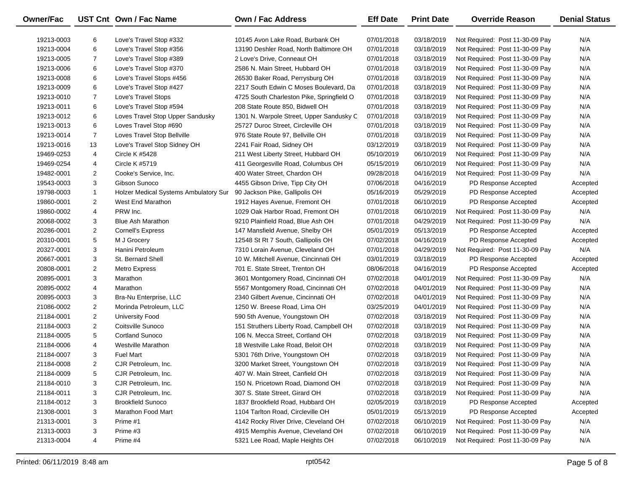| Owner/Fac  |                | UST Cnt Own / Fac Name                | <b>Own / Fac Address</b>                  | <b>Eff Date</b> | <b>Print Date</b> | <b>Override Reason</b>          | <b>Denial Status</b> |
|------------|----------------|---------------------------------------|-------------------------------------------|-----------------|-------------------|---------------------------------|----------------------|
| 19213-0003 | 6              | Love's Travel Stop #332               | 10145 Avon Lake Road, Burbank OH          | 07/01/2018      | 03/18/2019        | Not Required: Post 11-30-09 Pay | N/A                  |
| 19213-0004 | 6              | Love's Travel Stop #356               | 13190 Deshler Road, North Baltimore OH    | 07/01/2018      | 03/18/2019        | Not Required: Post 11-30-09 Pay | N/A                  |
| 19213-0005 | $\overline{7}$ | Love's Travel Stop #389               | 2 Love's Drive, Conneaut OH               | 07/01/2018      | 03/18/2019        | Not Required: Post 11-30-09 Pay | N/A                  |
| 19213-0006 | 6              | Love's Travel Stop #370               | 2586 N. Main Street, Hubbard OH           | 07/01/2018      | 03/18/2019        | Not Required: Post 11-30-09 Pay | N/A                  |
| 19213-0008 | 6              | Love's Travel Stops #456              | 26530 Baker Road, Perrysburg OH           | 07/01/2018      | 03/18/2019        | Not Required: Post 11-30-09 Pay | N/A                  |
| 19213-0009 | 6              | Love's Travel Stop #427               | 2217 South Edwin C Moses Boulevard, Da    | 07/01/2018      | 03/18/2019        | Not Required: Post 11-30-09 Pay | N/A                  |
| 19213-0010 | $\overline{7}$ | Love's Travel Stops                   | 4725 South Charleston Pike, Springfield O | 07/01/2018      | 03/18/2019        | Not Required: Post 11-30-09 Pay | N/A                  |
| 19213-0011 | 6              | Love's Travel Stop #594               | 208 State Route 850, Bidwell OH           | 07/01/2018      | 03/18/2019        | Not Required: Post 11-30-09 Pay | N/A                  |
| 19213-0012 | 6              | Loves Travel Stop Upper Sandusky      | 1301 N. Warpole Street, Upper Sandusky C  | 07/01/2018      | 03/18/2019        | Not Required: Post 11-30-09 Pay | N/A                  |
| 19213-0013 | 6              | Loves Travel Stop #690                | 25727 Duroc Street, Circleville OH        | 07/01/2018      | 03/18/2019        | Not Required: Post 11-30-09 Pay | N/A                  |
| 19213-0014 | $\overline{7}$ | Loves Travel Stop Bellville           | 976 State Route 97, Bellville OH          | 07/01/2018      | 03/18/2019        | Not Required: Post 11-30-09 Pay | N/A                  |
| 19213-0016 | 13             | Love's Travel Stop Sidney OH          | 2241 Fair Road, Sidney OH                 | 03/12/2019      | 03/18/2019        | Not Required: Post 11-30-09 Pay | N/A                  |
| 19469-0253 | 4              | Circle K #5428                        | 211 West Liberty Street, Hubbard OH       | 05/10/2019      | 06/10/2019        | Not Required: Post 11-30-09 Pay | N/A                  |
| 19469-0254 | 4              | Circle K #5719                        | 411 Georgesville Road, Columbus OH        | 05/15/2019      | 06/10/2019        | Not Required: Post 11-30-09 Pay | N/A                  |
| 19482-0001 | $\overline{2}$ | Cooke's Service, Inc.                 | 400 Water Street, Chardon OH              | 09/28/2018      | 04/16/2019        | Not Required: Post 11-30-09 Pay | N/A                  |
| 19543-0003 | 3              | Gibson Sunoco                         | 4455 Gibson Drive, Tipp City OH           | 07/06/2018      | 04/16/2019        | PD Response Accepted            | Accepted             |
| 19798-0003 | $\mathbf{1}$   | Holzer Medical Systems Ambulatory Sur | 90 Jackson Pike, Gallipolis OH            | 05/16/2019      | 05/29/2019        | PD Response Accepted            | Accepted             |
| 19860-0001 | $\overline{2}$ | West End Marathon                     | 1912 Hayes Avenue, Fremont OH             | 07/01/2018      | 06/10/2019        | PD Response Accepted            | Accepted             |
| 19860-0002 | 4              | PRW Inc.                              | 1029 Oak Harbor Road, Fremont OH          | 07/01/2018      | 06/10/2019        | Not Required: Post 11-30-09 Pay | N/A                  |
| 20068-0002 | 3              | <b>Blue Ash Marathon</b>              | 9210 Plainfield Road, Blue Ash OH         | 07/01/2018      | 04/29/2019        | Not Required: Post 11-30-09 Pay | N/A                  |
| 20286-0001 | $\overline{2}$ | <b>Cornell's Express</b>              | 147 Mansfield Avenue, Shelby OH           | 05/01/2019      | 05/13/2019        | PD Response Accepted            | Accepted             |
| 20310-0001 | 5              | M J Grocery                           | 12548 St Rt 7 South, Gallipolis OH        | 07/02/2018      | 04/16/2019        | PD Response Accepted            | Accepted             |
| 20327-0001 | 3              | Hanini Petroleum                      | 7310 Lorain Avenue, Cleveland OH          | 07/01/2018      | 04/29/2019        | Not Required: Post 11-30-09 Pay | N/A                  |
| 20667-0001 | 3              | St. Bernard Shell                     | 10 W. Mitchell Avenue, Cincinnati OH      | 03/01/2019      | 03/18/2019        | PD Response Accepted            | Accepted             |
| 20808-0001 | $\overline{2}$ | <b>Metro Express</b>                  | 701 E. State Street, Trenton OH           | 08/06/2018      | 04/16/2019        | PD Response Accepted            | Accepted             |
| 20895-0001 | 3              | Marathon                              | 3601 Montgomery Road, Cincinnati OH       | 07/02/2018      | 04/01/2019        | Not Required: Post 11-30-09 Pay | N/A                  |
| 20895-0002 | 4              | Marathon                              | 5567 Montgomery Road, Cincinnati OH       | 07/02/2018      | 04/01/2019        | Not Required: Post 11-30-09 Pay | N/A                  |
| 20895-0003 | 3              | Bra-Nu Enterprise, LLC                | 2340 Gilbert Avenue, Cincinnati OH        | 07/02/2018      | 04/01/2019        | Not Required: Post 11-30-09 Pay | N/A                  |
| 21086-0002 | $\overline{2}$ | Morinda Petroleum, LLC                | 1250 W. Breese Road, Lima OH              | 03/25/2019      | 04/01/2019        | Not Required: Post 11-30-09 Pay | N/A                  |
| 21184-0001 | $\overline{2}$ | <b>University Food</b>                | 590 5th Avenue, Youngstown OH             | 07/02/2018      | 03/18/2019        | Not Required: Post 11-30-09 Pay | N/A                  |
| 21184-0003 | $\overline{2}$ | Coitsville Sunoco                     | 151 Struthers Liberty Road, Campbell OH   | 07/02/2018      | 03/18/2019        | Not Required: Post 11-30-09 Pay | N/A                  |
| 21184-0005 | 5              | <b>Cortland Sunoco</b>                | 106 N. Mecca Street, Cortland OH          | 07/02/2018      | 03/18/2019        | Not Required: Post 11-30-09 Pay | N/A                  |
| 21184-0006 | 4              | <b>Westville Marathon</b>             | 18 Westville Lake Road, Beloit OH         | 07/02/2018      | 03/18/2019        | Not Required: Post 11-30-09 Pay | N/A                  |
| 21184-0007 | 3              | <b>Fuel Mart</b>                      | 5301 76th Drive, Youngstown OH            | 07/02/2018      | 03/18/2019        | Not Required: Post 11-30-09 Pay | N/A                  |
| 21184-0008 | $\overline{2}$ | CJR Petroleum, Inc.                   | 3200 Market Street, Youngstown OH         | 07/02/2018      | 03/18/2019        | Not Required: Post 11-30-09 Pay | N/A                  |
| 21184-0009 | 5              | CJR Petroleum, Inc.                   | 407 W. Main Street, Canfield OH           | 07/02/2018      | 03/18/2019        | Not Required: Post 11-30-09 Pay | N/A                  |
| 21184-0010 | 3              | CJR Petroleum, Inc.                   | 150 N. Pricetown Road, Diamond OH         | 07/02/2018      | 03/18/2019        | Not Required: Post 11-30-09 Pay | N/A                  |
| 21184-0011 | 3              | CJR Petroleum, Inc.                   | 307 S. State Street, Girard OH            | 07/02/2018      | 03/18/2019        | Not Required: Post 11-30-09 Pay | N/A                  |
| 21184-0012 | 3              | <b>Brookfield Sunoco</b>              | 1837 Brookfield Road, Hubbard OH          | 02/05/2019      | 03/18/2019        | PD Response Accepted            | Accepted             |
| 21308-0001 | 3              | Marathon Food Mart                    | 1104 Tarlton Road, Circleville OH         | 05/01/2019      | 05/13/2019        | PD Response Accepted            | Accepted             |
| 21313-0001 | 3              | Prime #1                              | 4142 Rocky River Drive, Cleveland OH      | 07/02/2018      | 06/10/2019        | Not Required: Post 11-30-09 Pay | N/A                  |
| 21313-0003 | 3              | Prime #3                              | 4915 Memphis Avenue, Cleveland OH         | 07/02/2018      | 06/10/2019        | Not Required: Post 11-30-09 Pay | N/A                  |
| 21313-0004 | 4              | Prime #4                              | 5321 Lee Road, Maple Heights OH           | 07/02/2018      | 06/10/2019        | Not Required: Post 11-30-09 Pay | N/A                  |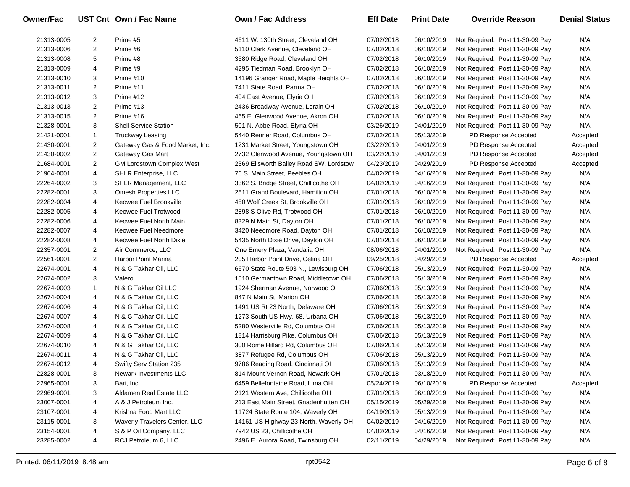| Owner/Fac  |                | UST Cnt Own / Fac Name           | <b>Own / Fac Address</b>                | <b>Eff Date</b> | <b>Print Date</b> | <b>Override Reason</b>          | <b>Denial Status</b> |
|------------|----------------|----------------------------------|-----------------------------------------|-----------------|-------------------|---------------------------------|----------------------|
| 21313-0005 | 2              | Prime #5                         | 4611 W. 130th Street, Cleveland OH      | 07/02/2018      | 06/10/2019        | Not Required: Post 11-30-09 Pay | N/A                  |
| 21313-0006 | $\overline{2}$ | Prime #6                         | 5110 Clark Avenue, Cleveland OH         | 07/02/2018      | 06/10/2019        | Not Required: Post 11-30-09 Pay | N/A                  |
| 21313-0008 | 5              | Prime #8                         | 3580 Ridge Road, Cleveland OH           | 07/02/2018      | 06/10/2019        | Not Required: Post 11-30-09 Pay | N/A                  |
| 21313-0009 | 4              | Prime #9                         | 4295 Tiedman Road, Brooklyn OH          | 07/02/2018      | 06/10/2019        | Not Required: Post 11-30-09 Pay | N/A                  |
| 21313-0010 | 3              | Prime #10                        | 14196 Granger Road, Maple Heights OH    | 07/02/2018      | 06/10/2019        | Not Required: Post 11-30-09 Pay | N/A                  |
| 21313-0011 | $\overline{2}$ | Prime #11                        | 7411 State Road, Parma OH               | 07/02/2018      | 06/10/2019        | Not Required: Post 11-30-09 Pay | N/A                  |
| 21313-0012 | 3              | Prime #12                        | 404 East Avenue, Elyria OH              | 07/02/2018      | 06/10/2019        | Not Required: Post 11-30-09 Pay | N/A                  |
| 21313-0013 | $\overline{2}$ | Prime #13                        | 2436 Broadway Avenue, Lorain OH         | 07/02/2018      | 06/10/2019        | Not Required: Post 11-30-09 Pay | N/A                  |
| 21313-0015 | $\overline{2}$ | Prime #16                        | 465 E. Glenwood Avenue, Akron OH        | 07/02/2018      | 06/10/2019        | Not Required: Post 11-30-09 Pay | N/A                  |
| 21328-0001 | 3              | <b>Shell Service Station</b>     | 501 N. Abbe Road, Elyria OH             | 03/26/2019      | 04/01/2019        | Not Required: Post 11-30-09 Pay | N/A                  |
| 21421-0001 | $\mathbf{1}$   | <b>Truckway Leasing</b>          | 5440 Renner Road, Columbus OH           | 07/02/2018      | 05/13/2019        | PD Response Accepted            | Accepted             |
| 21430-0001 | $\overline{2}$ | Gateway Gas & Food Market, Inc.  | 1231 Market Street, Youngstown OH       | 03/22/2019      | 04/01/2019        | PD Response Accepted            | Accepted             |
| 21430-0002 | $\overline{2}$ | Gateway Gas Mart                 | 2732 Glenwood Avenue, Youngstown OH     | 03/22/2019      | 04/01/2019        | PD Response Accepted            | Accepted             |
| 21684-0001 | $\overline{2}$ | <b>GM Lordstown Complex West</b> | 2369 Ellsworth Bailey Road SW, Lordstow | 04/23/2019      | 04/29/2019        | PD Response Accepted            | Accepted             |
| 21964-0001 | 4              | <b>SHLR Enterprise, LLC</b>      | 76 S. Main Street, Peebles OH           | 04/02/2019      | 04/16/2019        | Not Required: Post 11-30-09 Pay | N/A                  |
| 22264-0002 | 3              | SHLR Management, LLC             | 3362 S. Bridge Street, Chillicothe OH   | 04/02/2019      | 04/16/2019        | Not Required: Post 11-30-09 Pay | N/A                  |
| 22282-0001 | 3              | Omesh Properties LLC             | 2511 Grand Boulevard, Hamilton OH       | 07/01/2018      | 06/10/2019        | Not Required: Post 11-30-09 Pay | N/A                  |
| 22282-0004 | 4              | Keowee Fuel Brookville           | 450 Wolf Creek St, Brookville OH        | 07/01/2018      | 06/10/2019        | Not Required: Post 11-30-09 Pay | N/A                  |
| 22282-0005 | 4              | Keowee Fuel Trotwood             | 2898 S Olive Rd, Trotwood OH            | 07/01/2018      | 06/10/2019        | Not Required: Post 11-30-09 Pay | N/A                  |
| 22282-0006 | 4              | Keowee Fuel North Main           | 8329 N Main St, Dayton OH               | 07/01/2018      | 06/10/2019        | Not Required: Post 11-30-09 Pay | N/A                  |
| 22282-0007 | 4              | Keowee Fuel Needmore             | 3420 Needmore Road, Dayton OH           | 07/01/2018      | 06/10/2019        | Not Required: Post 11-30-09 Pay | N/A                  |
| 22282-0008 | 4              | Keowee Fuel North Dixie          | 5435 North Dixie Drive, Dayton OH       | 07/01/2018      | 06/10/2019        | Not Required: Post 11-30-09 Pay | N/A                  |
| 22357-0001 | $\overline{2}$ | Air Commerce, LLC                | One Emery Plaza, Vandalia OH            | 08/06/2018      | 04/01/2019        | Not Required: Post 11-30-09 Pay | N/A                  |
| 22561-0001 | $\overline{2}$ | Harbor Point Marina              | 205 Harbor Point Drive, Celina OH       | 09/25/2018      | 04/29/2019        | PD Response Accepted            | Accepted             |
| 22674-0001 | 4              | N & G Takhar Oil, LLC            | 6670 State Route 503 N., Lewisburg OH   | 07/06/2018      | 05/13/2019        | Not Required: Post 11-30-09 Pay | N/A                  |
| 22674-0002 | 3              | Valero                           | 1510 Germantown Road, Middletown OH     | 07/06/2018      | 05/13/2019        | Not Required: Post 11-30-09 Pay | N/A                  |
| 22674-0003 | $\mathbf{1}$   | N & G Takhar Oil LLC             | 1924 Sherman Avenue, Norwood OH         | 07/06/2018      | 05/13/2019        | Not Required: Post 11-30-09 Pay | N/A                  |
| 22674-0004 | 4              | N & G Takhar Oil, LLC            | 847 N Main St, Marion OH                | 07/06/2018      | 05/13/2019        | Not Required: Post 11-30-09 Pay | N/A                  |
| 22674-0006 | 4              | N & G Takhar Oil, LLC            | 1491 US Rt 23 North, Delaware OH        | 07/06/2018      | 05/13/2019        | Not Required: Post 11-30-09 Pay | N/A                  |
| 22674-0007 | 4              | N & G Takhar Oil, LLC            | 1273 South US Hwy. 68, Urbana OH        | 07/06/2018      | 05/13/2019        | Not Required: Post 11-30-09 Pay | N/A                  |
| 22674-0008 | 4              | N & G Takhar Oil, LLC            | 5280 Westerville Rd, Columbus OH        | 07/06/2018      | 05/13/2019        | Not Required: Post 11-30-09 Pay | N/A                  |
| 22674-0009 | 4              | N & G Takhar Oil, LLC            | 1814 Harrisburg Pike, Columbus OH       | 07/06/2018      | 05/13/2019        | Not Required: Post 11-30-09 Pay | N/A                  |
| 22674-0010 | 4              | N & G Takhar Oil, LLC            | 300 Rome Hillard Rd, Columbus OH        | 07/06/2018      | 05/13/2019        | Not Required: Post 11-30-09 Pay | N/A                  |
| 22674-0011 | 4              | N & G Takhar Oil, LLC            | 3877 Refugee Rd, Columbus OH            | 07/06/2018      | 05/13/2019        | Not Required: Post 11-30-09 Pay | N/A                  |
| 22674-0012 | 4              | Swifty Serv Station 235          | 9786 Reading Road, Cincinnati OH        | 07/06/2018      | 05/13/2019        | Not Required: Post 11-30-09 Pay | N/A                  |
| 22828-0001 | 3              | Newark Investments LLC           | 814 Mount Vernon Road, Newark OH        | 07/01/2018      | 03/18/2019        | Not Required: Post 11-30-09 Pay | N/A                  |
| 22965-0001 | 3              | Bari, Inc.                       | 6459 Bellefontaine Road, Lima OH        | 05/24/2019      | 06/10/2019        | PD Response Accepted            | Accepted             |
| 22969-0001 | 3              | Aldamen Real Estate LLC          | 2121 Western Ave, Chillicothe OH        | 07/01/2018      | 06/10/2019        | Not Required: Post 11-30-09 Pay | N/A                  |
| 23007-0001 | 4              | A & J Petroleum Inc.             | 213 East Main Street, Gnadenhutten OH   | 05/15/2019      | 05/29/2019        | Not Required: Post 11-30-09 Pay | N/A                  |
| 23107-0001 | 4              | Krishna Food Mart LLC            | 11724 State Route 104, Waverly OH       | 04/19/2019      | 05/13/2019        | Not Required: Post 11-30-09 Pay | N/A                  |
| 23115-0001 | 3              | Waverly Travelers Center, LLC    | 14161 US Highway 23 North, Waverly OH   | 04/02/2019      | 04/16/2019        | Not Required: Post 11-30-09 Pay | N/A                  |
| 23154-0001 | 4              | S & P Oil Company, LLC           | 7942 US 23, Chillicothe OH              | 04/02/2019      | 04/16/2019        | Not Required: Post 11-30-09 Pay | N/A                  |
| 23285-0002 | 4              | RCJ Petroleum 6, LLC             | 2496 E. Aurora Road, Twinsburg OH       | 02/11/2019      | 04/29/2019        | Not Required: Post 11-30-09 Pay | N/A                  |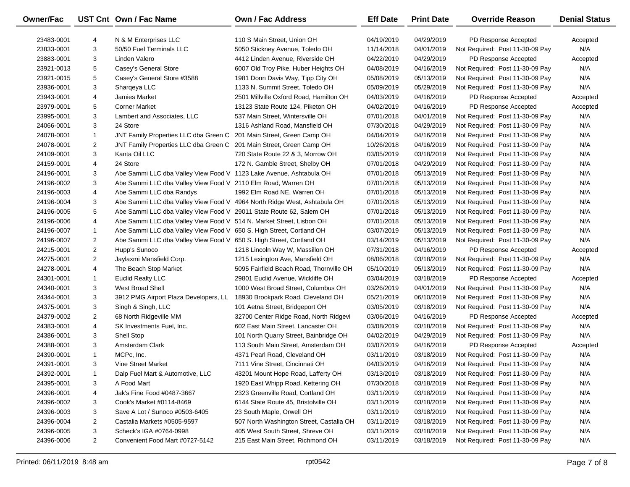| Owner/Fac  |                | UST Cnt Own / Fac Name                                                   | <b>Own / Fac Address</b>                 | <b>Eff Date</b> | <b>Print Date</b> | <b>Override Reason</b>          | <b>Denial Status</b> |
|------------|----------------|--------------------------------------------------------------------------|------------------------------------------|-----------------|-------------------|---------------------------------|----------------------|
| 23483-0001 | 4              | N & M Enterprises LLC                                                    | 110 S Main Street. Union OH              | 04/19/2019      | 04/29/2019        | PD Response Accepted            | Accepted             |
| 23833-0001 | 3              | 50/50 Fuel Terminals LLC                                                 | 5050 Stickney Avenue, Toledo OH          | 11/14/2018      | 04/01/2019        | Not Required: Post 11-30-09 Pay | N/A                  |
| 23883-0001 | 3              | Linden Valero                                                            | 4412 Linden Avenue, Riverside OH         | 04/22/2019      | 04/29/2019        | PD Response Accepted            | Accepted             |
| 23921-0013 | 5              | Casey's General Store                                                    | 6007 Old Troy Pike, Huber Heights OH     | 04/08/2019      | 04/16/2019        | Not Required: Post 11-30-09 Pay | N/A                  |
| 23921-0015 | 5              | Casey's General Store #3588                                              | 1981 Donn Davis Way, Tipp City OH        | 05/08/2019      | 05/13/2019        | Not Required: Post 11-30-09 Pay | N/A                  |
| 23936-0001 | 3              | Shargeya LLC                                                             | 1133 N. Summit Street, Toledo OH         | 05/09/2019      | 05/29/2019        | Not Required: Post 11-30-09 Pay | N/A                  |
| 23943-0001 | 4              | Jamies Market                                                            | 2501 Millville Oxford Road, Hamilton OH  | 04/03/2019      | 04/16/2019        | PD Response Accepted            | Accepted             |
| 23979-0001 | 5              | <b>Corner Market</b>                                                     | 13123 State Route 124, Piketon OH        | 04/02/2019      | 04/16/2019        | PD Response Accepted            | Accepted             |
| 23995-0001 | 3              | Lambert and Associates, LLC                                              | 537 Main Street, Wintersville OH         | 07/01/2018      | 04/01/2019        | Not Required: Post 11-30-09 Pay | N/A                  |
| 24066-0001 | 3              | 24 Store                                                                 | 1316 Ashland Road, Mansfield OH          | 07/30/2018      | 04/29/2019        | Not Required: Post 11-30-09 Pay | N/A                  |
| 24078-0001 | 1              | JNT Family Properties LLC dba Green C 201 Main Street, Green Camp OH     |                                          | 04/04/2019      | 04/16/2019        | Not Required: Post 11-30-09 Pay | N/A                  |
| 24078-0001 | $\overline{2}$ | JNT Family Properties LLC dba Green C 201 Main Street, Green Camp OH     |                                          | 10/26/2018      | 04/16/2019        | Not Required: Post 11-30-09 Pay | N/A                  |
| 24109-0001 | 3              | Kanta Oil LLC                                                            | 720 State Route 22 & 3, Morrow OH        | 03/05/2019      | 03/18/2019        | Not Required: Post 11-30-09 Pay | N/A                  |
| 24159-0001 | 4              | 24 Store                                                                 | 172 N. Gamble Street, Shelby OH          | 07/01/2018      | 04/29/2019        | Not Required: Post 11-30-09 Pay | N/A                  |
| 24196-0001 | 3              | Abe Sammi LLC dba Valley View Food V 1123 Lake Avenue, Ashtabula OH      |                                          | 07/01/2018      | 05/13/2019        | Not Required: Post 11-30-09 Pay | N/A                  |
| 24196-0002 | 3              | Abe Sammi LLC dba Valley View Food V 2110 Elm Road, Warren OH            |                                          | 07/01/2018      | 05/13/2019        | Not Required: Post 11-30-09 Pay | N/A                  |
| 24196-0003 | 4              | Abe Sammi LLC dba Randys                                                 | 1992 Elm Road NE, Warren OH              | 07/01/2018      | 05/13/2019        | Not Required: Post 11-30-09 Pay | N/A                  |
| 24196-0004 | 3              | Abe Sammi LLC dba Valley View Food V 4964 North Ridge West, Ashtabula OH |                                          | 07/01/2018      | 05/13/2019        | Not Required: Post 11-30-09 Pay | N/A                  |
| 24196-0005 | 5              | Abe Sammi LLC dba Valley View Food V 29011 State Route 62, Salem OH      |                                          | 07/01/2018      | 05/13/2019        | Not Required: Post 11-30-09 Pay | N/A                  |
| 24196-0006 | 4              | Abe Sammi LLC dba Valley View Food V 514 N. Market Street, Lisbon OH     |                                          | 07/01/2018      | 05/13/2019        | Not Required: Post 11-30-09 Pay | N/A                  |
| 24196-0007 | 1              | Abe Sammi LLC dba Valley View Food V 650 S. High Street, Cortland OH     |                                          | 03/07/2019      | 05/13/2019        | Not Required: Post 11-30-09 Pay | N/A                  |
| 24196-0007 | 2              | Abe Sammi LLC dba Valley View Food V 650 S. High Street, Cortland OH     |                                          | 03/14/2019      | 05/13/2019        | Not Required: Post 11-30-09 Pay | N/A                  |
| 24215-0001 | $\overline{2}$ | Hupp's Sunoco                                                            | 1218 Lincoln Way W, Massillon OH         | 07/31/2018      | 04/16/2019        | PD Response Accepted            | Accepted             |
| 24275-0001 | $\overline{2}$ | Jaylaxmi Mansfield Corp.                                                 | 1215 Lexington Ave, Mansfield OH         | 08/06/2018      | 03/18/2019        | Not Required: Post 11-30-09 Pay | N/A                  |
| 24278-0001 | 4              | The Beach Stop Market                                                    | 5095 Fairfield Beach Road, Thornville OH | 05/10/2019      | 05/13/2019        | Not Required: Post 11-30-09 Pay | N/A                  |
| 24301-0001 | $\mathbf{1}$   | <b>Euclid Realty LLC</b>                                                 | 29801 Euclid Avenue, Wickliffe OH        | 03/04/2019      | 03/18/2019        | PD Response Accepted            | Accepted             |
| 24340-0001 | 3              | West Broad Shell                                                         | 1000 West Broad Street, Columbus OH      | 03/26/2019      | 04/01/2019        | Not Required: Post 11-30-09 Pay | N/A                  |
| 24344-0001 | 3              | 3912 PMG Airport Plaza Developers, LL                                    | 18930 Brookpark Road, Cleveland OH       | 05/21/2019      | 06/10/2019        | Not Required: Post 11-30-09 Pay | N/A                  |
| 24375-0001 | 3              | Singh & Singh, LLC                                                       | 101 Aetna Street, Bridgeport OH          | 03/05/2019      | 03/18/2019        | Not Required: Post 11-30-09 Pay | N/A                  |
| 24379-0002 | $\overline{2}$ | 68 North Ridgeville MM                                                   | 32700 Center Ridge Road, North Ridgevi   | 03/06/2019      | 04/16/2019        | PD Response Accepted            | Accepted             |
| 24383-0001 | 4              | SK Investments Fuel, Inc.                                                | 602 East Main Street, Lancaster OH       | 03/08/2019      | 03/18/2019        | Not Required: Post 11-30-09 Pay | N/A                  |
| 24386-0001 | 3              | Shell Stop                                                               | 101 North Quarry Street, Bainbridge OH   | 04/02/2019      | 04/29/2019        | Not Required: Post 11-30-09 Pay | N/A                  |
| 24388-0001 | 3              | Amsterdam Clark                                                          | 113 South Main Street, Amsterdam OH      | 03/07/2019      | 04/16/2019        | PD Response Accepted            | Accepted             |
| 24390-0001 | 1              | MCPc, Inc.                                                               | 4371 Pearl Road, Cleveland OH            | 03/11/2019      | 03/18/2019        | Not Required: Post 11-30-09 Pay | N/A                  |
| 24391-0001 | 3              | <b>Vine Street Market</b>                                                | 7111 Vine Street, Cincinnati OH          | 04/03/2019      | 04/16/2019        | Not Required: Post 11-30-09 Pay | N/A                  |
| 24392-0001 | $\mathbf{1}$   | Dalp Fuel Mart & Automotive, LLC                                         | 43201 Mount Hope Road, Lafferty OH       | 03/13/2019      | 03/18/2019        | Not Required: Post 11-30-09 Pay | N/A                  |
| 24395-0001 | 3              | A Food Mart                                                              | 1920 East Whipp Road, Kettering OH       | 07/30/2018      | 03/18/2019        | Not Required: Post 11-30-09 Pay | N/A                  |
| 24396-0001 | 4              | Jak's Fine Food #0487-3667                                               | 2323 Greenville Road, Cortland OH        | 03/11/2019      | 03/18/2019        | Not Required: Post 11-30-09 Pay | N/A                  |
| 24396-0002 | 3              | Cook's Market #0114-8469                                                 | 6144 State Route 45, Bristolville OH     | 03/11/2019      | 03/18/2019        | Not Required: Post 11-30-09 Pay | N/A                  |
| 24396-0003 | 3              | Save A Lot / Sunoco #0503-6405                                           | 23 South Maple, Orwell OH                | 03/11/2019      | 03/18/2019        | Not Required: Post 11-30-09 Pay | N/A                  |
| 24396-0004 | 2              | Castalia Markets #0505-9597                                              | 507 North Washington Street, Castalia OH | 03/11/2019      | 03/18/2019        | Not Required: Post 11-30-09 Pay | N/A                  |
| 24396-0005 | 3              | Scheck's IGA #0764-0998                                                  | 405 West South Street, Shreve OH         | 03/11/2019      | 03/18/2019        | Not Required: Post 11-30-09 Pay | N/A                  |
| 24396-0006 | $\overline{2}$ | Convenient Food Mart #0727-5142                                          | 215 East Main Street, Richmond OH        | 03/11/2019      | 03/18/2019        | Not Required: Post 11-30-09 Pay | N/A                  |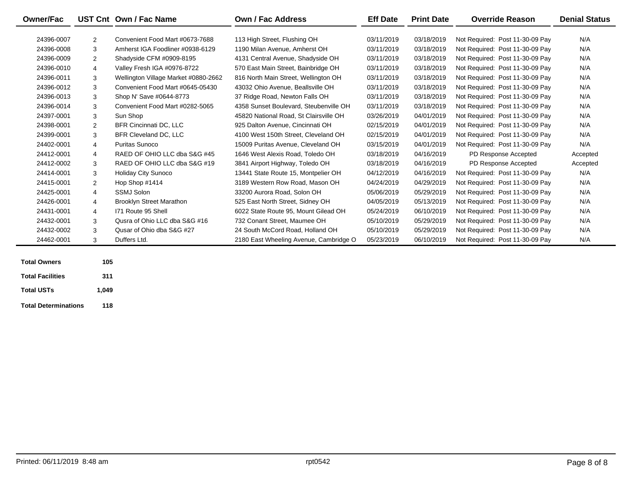| <b>Owner/Fac</b> |                | UST Cnt Own / Fac Name               | Own / Fac Address                      | <b>Eff Date</b> | <b>Print Date</b> | <b>Override Reason</b>          | <b>Denial Status</b> |
|------------------|----------------|--------------------------------------|----------------------------------------|-----------------|-------------------|---------------------------------|----------------------|
| 24396-0007       | $\overline{2}$ | Convenient Food Mart #0673-7688      | 113 High Street, Flushing OH           | 03/11/2019      | 03/18/2019        | Not Required: Post 11-30-09 Pay | N/A                  |
| 24396-0008       | 3              | Amherst IGA Foodliner #0938-6129     | 1190 Milan Avenue, Amherst OH          | 03/11/2019      | 03/18/2019        | Not Required: Post 11-30-09 Pay | N/A                  |
| 24396-0009       | $\overline{2}$ | Shadyside CFM #0909-8195             | 4131 Central Avenue, Shadyside OH      | 03/11/2019      | 03/18/2019        | Not Required: Post 11-30-09 Pay | N/A                  |
| 24396-0010       | 4              | Valley Fresh IGA #0976-8722          | 570 East Main Street, Bainbridge OH    | 03/11/2019      | 03/18/2019        | Not Required: Post 11-30-09 Pay | N/A                  |
| 24396-0011       | 3              | Wellington Village Market #0880-2662 | 816 North Main Street, Wellington OH   | 03/11/2019      | 03/18/2019        | Not Required: Post 11-30-09 Pay | N/A                  |
| 24396-0012       | 3              | Convenient Food Mart #0645-05430     | 43032 Ohio Avenue, Beallsville OH      | 03/11/2019      | 03/18/2019        | Not Required: Post 11-30-09 Pay | N/A                  |
| 24396-0013       | 3              | Shop N' Save #0644-8773              | 37 Ridge Road, Newton Falls OH         | 03/11/2019      | 03/18/2019        | Not Required: Post 11-30-09 Pay | N/A                  |
| 24396-0014       | 3              | Convenient Food Mart #0282-5065      | 4358 Sunset Boulevard. Steubenville OH | 03/11/2019      | 03/18/2019        | Not Required: Post 11-30-09 Pay | N/A                  |
| 24397-0001       | 3              | Sun Shop                             | 45820 National Road. St Clairsville OH | 03/26/2019      | 04/01/2019        | Not Required: Post 11-30-09 Pay | N/A                  |
| 24398-0001       | $\overline{2}$ | <b>BFR Cincinnati DC, LLC</b>        | 925 Dalton Avenue, Cincinnati OH       | 02/15/2019      | 04/01/2019        | Not Required: Post 11-30-09 Pay | N/A                  |
| 24399-0001       | 3              | BFR Cleveland DC, LLC                | 4100 West 150th Street, Cleveland OH   | 02/15/2019      | 04/01/2019        | Not Required: Post 11-30-09 Pay | N/A                  |
| 24402-0001       | 4              | <b>Puritas Sunoco</b>                | 15009 Puritas Avenue, Cleveland OH     | 03/15/2019      | 04/01/2019        | Not Required: Post 11-30-09 Pay | N/A                  |
| 24412-0001       | 4              | RAED OF OHIO LLC dba S&G #45         | 1646 West Alexis Road. Toledo OH       | 03/18/2019      | 04/16/2019        | PD Response Accepted            | Accepted             |
| 24412-0002       | 3              | RAED OF OHIO LLC dba S&G #19         | 3841 Airport Highway, Toledo OH        | 03/18/2019      | 04/16/2019        | PD Response Accepted            | Accepted             |
| 24414-0001       | 3              | <b>Holiday City Sunoco</b>           | 13441 State Route 15, Montpelier OH    | 04/12/2019      | 04/16/2019        | Not Required: Post 11-30-09 Pay | N/A                  |
| 24415-0001       | $\overline{2}$ | Hop Shop #1414                       | 3189 Western Row Road, Mason OH        | 04/24/2019      | 04/29/2019        | Not Required: Post 11-30-09 Pay | N/A                  |
| 24425-0001       | 4              | SSMJ Solon                           | 33200 Aurora Road, Solon OH            | 05/06/2019      | 05/29/2019        | Not Required: Post 11-30-09 Pay | N/A                  |
| 24426-0001       | 4              | <b>Brooklyn Street Marathon</b>      | 525 East North Street, Sidney OH       | 04/05/2019      | 05/13/2019        | Not Required: Post 11-30-09 Pay | N/A                  |
| 24431-0001       | 4              | 171 Route 95 Shell                   | 6022 State Route 95. Mount Gilead OH   | 05/24/2019      | 06/10/2019        | Not Required: Post 11-30-09 Pay | N/A                  |
| 24432-0001       | 3              | Qusra of Ohio LLC dba S&G #16        | 732 Conant Street. Maumee OH           | 05/10/2019      | 05/29/2019        | Not Required: Post 11-30-09 Pay | N/A                  |
| 24432-0002       | 3              | Qusar of Ohio dba S&G #27            | 24 South McCord Road, Holland OH       | 05/10/2019      | 05/29/2019        | Not Required: Post 11-30-09 Pay | N/A                  |
| 24462-0001       | 3              | Duffers Ltd.                         | 2180 East Wheeling Avenue, Cambridge O | 05/23/2019      | 06/10/2019        | Not Required: Post 11-30-09 Pay | N/A                  |

| <b>Total Owners</b>         | 105   |
|-----------------------------|-------|
| <b>Total Facilities</b>     | 311   |
| <b>Total USTs</b>           | 1.049 |
| <b>Total Determinations</b> | 118   |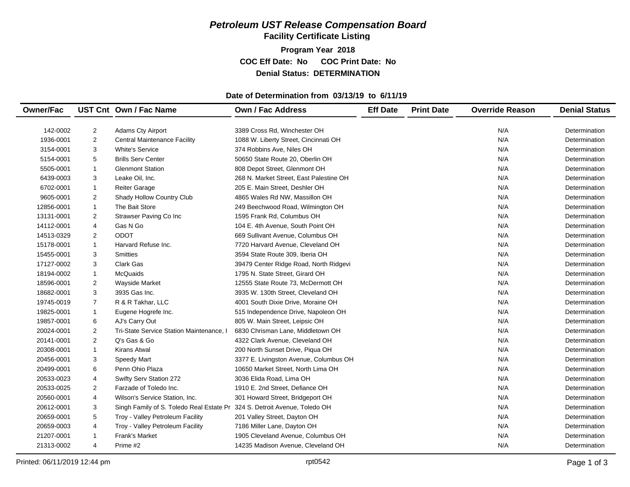**Facility Certificate Listing**

**Program Year 2018 COC Eff Date: No COC Print Date: No Denial Status: DETERMINATION**

#### **Date of Determination from 03/13/19 to 6/11/19**

| <b>Owner/Fac</b> |                | UST Cnt Own / Fac Name                                                    | <b>Own / Fac Address</b>                | <b>Eff Date</b> | <b>Print Date</b> | <b>Override Reason</b> | <b>Denial Status</b> |
|------------------|----------------|---------------------------------------------------------------------------|-----------------------------------------|-----------------|-------------------|------------------------|----------------------|
|                  |                |                                                                           |                                         |                 |                   |                        |                      |
| 142-0002         | $\overline{c}$ | <b>Adams Cty Airport</b>                                                  | 3389 Cross Rd, Winchester OH            |                 |                   | N/A                    | Determination        |
| 1936-0001        | $\mathbf{2}$   | <b>Central Maintenance Facility</b>                                       | 1088 W. Liberty Street, Cincinnati OH   |                 |                   | N/A                    | Determination        |
| 3154-0001        | 3              | <b>White's Service</b>                                                    | 374 Robbins Ave, Niles OH               |                 |                   | N/A                    | Determination        |
| 5154-0001        | 5              | <b>Brills Serv Center</b>                                                 | 50650 State Route 20, Oberlin OH        |                 |                   | N/A                    | Determination        |
| 5505-0001        | $\mathbf{1}$   | <b>Glenmont Station</b>                                                   | 808 Depot Street, Glenmont OH           |                 |                   | N/A                    | Determination        |
| 6439-0003        | 3              | Leake Oil, Inc.                                                           | 268 N. Market Street, East Palestine OH |                 |                   | N/A                    | Determination        |
| 6702-0001        | $\mathbf{1}$   | <b>Reiter Garage</b>                                                      | 205 E. Main Street, Deshler OH          |                 |                   | N/A                    | Determination        |
| 9605-0001        | $\overline{c}$ | Shady Hollow Country Club                                                 | 4865 Wales Rd NW, Massillon OH          |                 |                   | N/A                    | Determination        |
| 12856-0001       | $\mathbf{1}$   | The Bait Store                                                            | 249 Beechwood Road, Wilmington OH       |                 |                   | N/A                    | Determination        |
| 13131-0001       | 2              | Strawser Paving Co Inc                                                    | 1595 Frank Rd, Columbus OH              |                 |                   | N/A                    | Determination        |
| 14112-0001       | $\overline{4}$ | Gas N Go                                                                  | 104 E. 4th Avenue, South Point OH       |                 |                   | N/A                    | Determination        |
| 14513-0329       | $\overline{2}$ | ODOT                                                                      | 669 Sullivant Avenue, Columbus OH       |                 |                   | N/A                    | Determination        |
| 15178-0001       | $\mathbf{1}$   | Harvard Refuse Inc.                                                       | 7720 Harvard Avenue, Cleveland OH       |                 |                   | N/A                    | Determination        |
| 15455-0001       | 3              | <b>Smitties</b>                                                           | 3594 State Route 309, Iberia OH         |                 |                   | N/A                    | Determination        |
| 17127-0002       | 3              | Clark Gas                                                                 | 39479 Center Ridge Road, North Ridgevi  |                 |                   | N/A                    | Determination        |
| 18194-0002       | $\mathbf{1}$   | McQuaids                                                                  | 1795 N. State Street, Girard OH         |                 |                   | N/A                    | Determination        |
| 18596-0001       | 2              | <b>Wayside Market</b>                                                     | 12555 State Route 73, McDermott OH      |                 |                   | N/A                    | Determination        |
| 18682-0001       | 3              | 3935 Gas Inc.                                                             | 3935 W. 130th Street, Cleveland OH      |                 |                   | N/A                    | Determination        |
| 19745-0019       | $\overline{7}$ | R & R Takhar, LLC                                                         | 4001 South Dixie Drive, Moraine OH      |                 |                   | N/A                    | Determination        |
| 19825-0001       | $\mathbf{1}$   | Eugene Hogrefe Inc.                                                       | 515 Independence Drive, Napoleon OH     |                 |                   | N/A                    | Determination        |
| 19857-0001       | 6              | AJ's Carry Out                                                            | 805 W. Main Street, Leipsic OH          |                 |                   | N/A                    | Determination        |
| 20024-0001       | $\overline{2}$ | Tri-State Service Station Maintenance, I                                  | 6830 Chrisman Lane, Middletown OH       |                 |                   | N/A                    | Determination        |
| 20141-0001       | $\overline{2}$ | Q's Gas & Go                                                              | 4322 Clark Avenue, Cleveland OH         |                 |                   | N/A                    | Determination        |
| 20308-0001       | $\mathbf{1}$   | Kirans Atwal                                                              | 200 North Sunset Drive, Piqua OH        |                 |                   | N/A                    | Determination        |
| 20456-0001       | 3              | Speedy Mart                                                               | 3377 E. Livingston Avenue, Columbus OH  |                 |                   | N/A                    | Determination        |
| 20499-0001       | 6              | Penn Ohio Plaza                                                           | 10650 Market Street, North Lima OH      |                 |                   | N/A                    | Determination        |
| 20533-0023       | 4              | Swifty Serv Station 272                                                   | 3036 Elida Road, Lima OH                |                 |                   | N/A                    | Determination        |
| 20533-0025       | 2              | Farzade of Toledo Inc.                                                    | 1910 E. 2nd Street, Defiance OH         |                 |                   | N/A                    | Determination        |
| 20560-0001       | 4              | Wilson's Service Station, Inc.                                            | 301 Howard Street, Bridgeport OH        |                 |                   | N/A                    | Determination        |
| 20612-0001       | 3              | Singh Family of S. Toledo Real Estate Pr 324 S. Detroit Avenue, Toledo OH |                                         |                 |                   | N/A                    | Determination        |
| 20659-0001       | 5              | Troy - Valley Petroleum Facility                                          | 201 Valley Street, Dayton OH            |                 |                   | N/A                    | Determination        |
| 20659-0003       | 4              | Troy - Valley Petroleum Facility                                          | 7186 Miller Lane, Dayton OH             |                 |                   | N/A                    | Determination        |
| 21207-0001       | $\mathbf{1}$   | <b>Frank's Market</b>                                                     | 1905 Cleveland Avenue, Columbus OH      |                 |                   | N/A                    | Determination        |
| 21313-0002       | 4              | Prime #2                                                                  | 14235 Madison Avenue, Cleveland OH      |                 |                   | N/A                    | Determination        |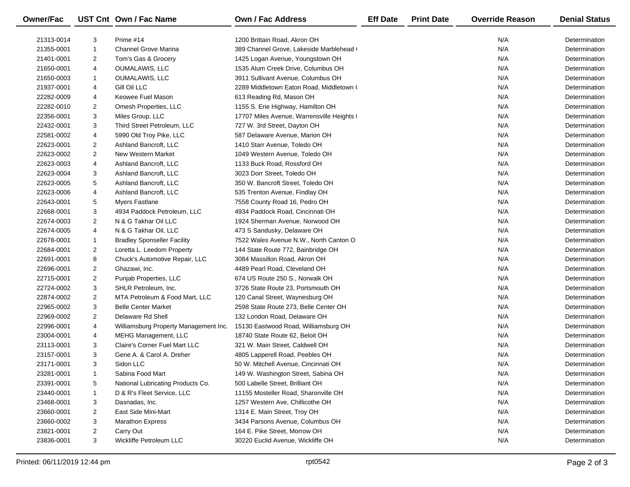| <b>Owner/Fac</b> |                | UST Cnt Own / Fac Name                | Own / Fac Address                          | <b>Eff Date</b> | <b>Print Date</b> | <b>Override Reason</b> | <b>Denial Status</b> |
|------------------|----------------|---------------------------------------|--------------------------------------------|-----------------|-------------------|------------------------|----------------------|
| 21313-0014       | 3              | Prime #14                             | 1200 Brittain Road, Akron OH               |                 |                   | N/A                    | Determination        |
| 21355-0001       | $\mathbf{1}$   | <b>Channel Grove Marina</b>           | 389 Channel Grove, Lakeside Marblehead (   |                 |                   | N/A                    | Determination        |
| 21401-0001       | 2              | Tom's Gas & Grocery                   | 1425 Logan Avenue, Youngstown OH           |                 |                   | N/A                    | Determination        |
| 21650-0001       | 4              | OUMALAWIS, LLC                        | 1535 Alum Creek Drive, Columbus OH         |                 |                   | N/A                    | Determination        |
| 21650-0003       | 1              | OUMALAWIS, LLC                        | 3911 Sullivant Avenue, Columbus OH         |                 |                   | N/A                    | Determination        |
| 21937-0001       | 4              | Gill Oil LLC                          | 2289 Middletown Eaton Road, Middletown (   |                 |                   | N/A                    | Determination        |
| 22282-0009       | 4              | Keowee Fuel Mason                     | 613 Reading Rd, Mason OH                   |                 |                   | N/A                    | Determination        |
| 22282-0010       | $\overline{c}$ | Omesh Properties, LLC                 | 1155 S. Erie Highway, Hamilton OH          |                 |                   | N/A                    | Determination        |
| 22356-0001       | 3              | Miles Group, LLC                      | 17707 Miles Avenue, Warrensville Heights ( |                 |                   | N/A                    | Determination        |
| 22432-0001       | 3              | Third Street Petroleum, LLC           | 727 W. 3rd Street, Dayton OH               |                 |                   | N/A                    | Determination        |
| 22581-0002       | 4              | 5990 Old Troy Pike, LLC               | 587 Delaware Avenue, Marion OH             |                 |                   | N/A                    | Determination        |
| 22623-0001       | $\overline{c}$ | Ashland Bancroft, LLC                 | 1410 Starr Avenue, Toledo OH               |                 |                   | N/A                    | Determination        |
| 22623-0002       | 2              | <b>New Western Market</b>             | 1049 Western Avenue, Toledo OH             |                 |                   | N/A                    | Determination        |
| 22623-0003       | 4              | Ashland Bancroft, LLC                 | 1133 Buck Road, Rossford OH                |                 |                   | N/A                    | Determination        |
| 22623-0004       | 3              | Ashland Bancroft, LLC                 | 3023 Dorr Street, Toledo OH                |                 |                   | N/A                    | Determination        |
| 22623-0005       | 5              | Ashland Bancroft, LLC                 | 350 W. Bancroft Street, Toledo OH          |                 |                   | N/A                    | Determination        |
| 22623-0006       | 4              | Ashland Bancroft, LLC                 | 535 Trenton Avenue, Findlay OH             |                 |                   | N/A                    | Determination        |
| 22643-0001       | 5              | <b>Myers Fastlane</b>                 | 7558 County Road 16, Pedro OH              |                 |                   | N/A                    | Determination        |
| 22668-0001       | 3              | 4934 Paddock Petroleum, LLC           | 4934 Paddock Road, Cincinnati OH           |                 |                   | N/A                    | Determination        |
| 22674-0003       | $\overline{c}$ | N & G Takhar Oil LLC                  | 1924 Sherman Avenue, Norwood OH            |                 |                   | N/A                    | Determination        |
| 22674-0005       | 4              | N & G Takhar Oil, LLC                 | 473 S Sandusky, Delaware OH                |                 |                   | N/A                    | Determination        |
| 22678-0001       | 1              | <b>Bradley Sponseller Facility</b>    | 7522 Wales Avenue N.W., North Canton O     |                 |                   | N/A                    | Determination        |
| 22684-0001       | 2              | Loretta L. Leedom Property            | 144 State Route 772, Bainbridge OH         |                 |                   | N/A                    | Determination        |
| 22691-0001       | 8              | Chuck's Automotive Repair, LLC        | 3084 Massillon Road, Akron OH              |                 |                   | N/A                    | Determination        |
| 22696-0001       | 2              | Ghazawi, Inc.                         | 4489 Pearl Road, Cleveland OH              |                 |                   | N/A                    | Determination        |
| 22715-0001       | $\overline{c}$ | Punjab Properties, LLC                | 674 US Route 250 S., Norwalk OH            |                 |                   | N/A                    | Determination        |
| 22724-0002       | 3              | SHLR Petroleum, Inc.                  | 3726 State Route 23, Portsmouth OH         |                 |                   | N/A                    | Determination        |
| 22874-0002       | $\overline{c}$ | MTA Petroleum & Food Mart, LLC        | 120 Canal Street, Waynesburg OH            |                 |                   | N/A                    | Determination        |
| 22965-0002       | 3              | <b>Belle Center Market</b>            | 2598 State Route 273, Belle Center OH      |                 |                   | N/A                    | Determination        |
| 22969-0002       | $\overline{c}$ | Delaware Rd Shell                     | 132 London Road, Delaware OH               |                 |                   | N/A                    | Determination        |
| 22996-0001       | 4              | Williamsburg Property Management Inc. | 15130 Eastwood Road, Williamsburg OH       |                 |                   | N/A                    | Determination        |
| 23004-0001       | 4              | MEHG Management, LLC                  | 18740 State Route 62, Beloit OH            |                 |                   | N/A                    | Determination        |
| 23113-0001       | 3              | Claire's Corner Fuel Mart LLC         | 321 W. Main Street, Caldwell OH            |                 |                   | N/A                    | Determination        |
| 23157-0001       | 3              | Gene A. & Carol A. Dreher             | 4805 Lapperell Road, Peebles OH            |                 |                   | N/A                    | Determination        |
| 23171-0001       | 3              | Sidon LLC                             | 50 W. Mitchell Avenue, Cincinnati OH       |                 |                   | N/A                    | Determination        |
| 23281-0001       | $\mathbf{1}$   | Sabina Food Mart                      | 149 W. Washington Street, Sabina OH        |                 |                   | N/A                    | Determination        |
| 23391-0001       | 5              | National Lubricating Products Co.     | 500 Labelle Street, Brilliant OH           |                 |                   | N/A                    | Determination        |
| 23440-0001       | 1              | D & R's Fleet Service, LLC            | 11155 Mosteller Road, Sharonville OH       |                 |                   | N/A                    | Determination        |
| 23468-0001       | 3              | Dasnadas, Inc.                        | 1257 Western Ave, Chillicothe OH           |                 |                   | N/A                    | Determination        |
| 23660-0001       | 2              | East Side Mini-Mart                   | 1314 E. Main Street, Troy OH               |                 |                   | N/A                    | Determination        |
| 23660-0002       | 3              | <b>Marathon Express</b>               | 3434 Parsons Avenue, Columbus OH           |                 |                   | N/A                    | Determination        |
| 23821-0001       | 2              | Carry Out                             | 164 E. Pike Street, Morrow OH              |                 |                   | N/A                    | Determination        |
| 23836-0001       | 3              | Wickliffe Petroleum LLC               | 30220 Euclid Avenue, Wickliffe OH          |                 |                   | N/A                    | Determination        |

 $\overline{\phantom{0}}$